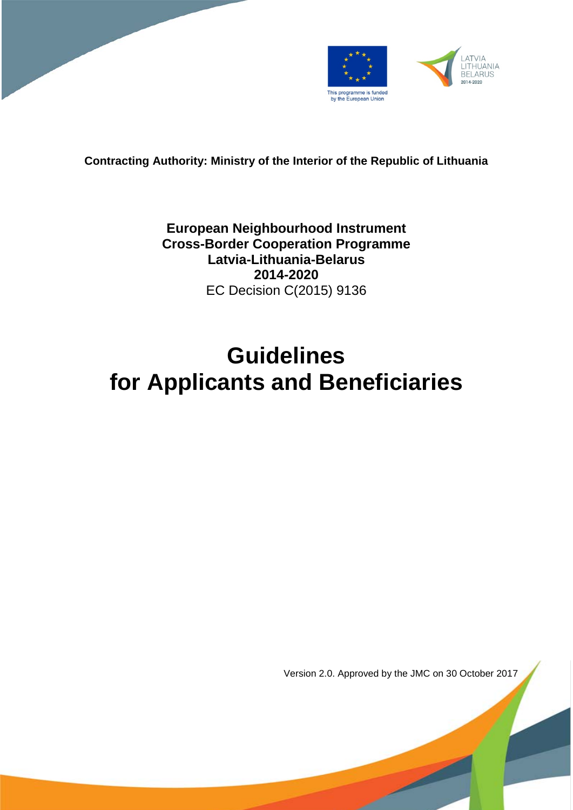



**Contracting Authority: Ministry of the Interior of the Republic of Lithuania**

**European Neighbourhood Instrument Cross-Border Cooperation Programme Latvia-Lithuania-Belarus 2014-2020** EC Decision C(2015) 9136

# **Guidelines for Applicants and Beneficiaries**

Version 2.0. Approved by the JMC on 30 October 2017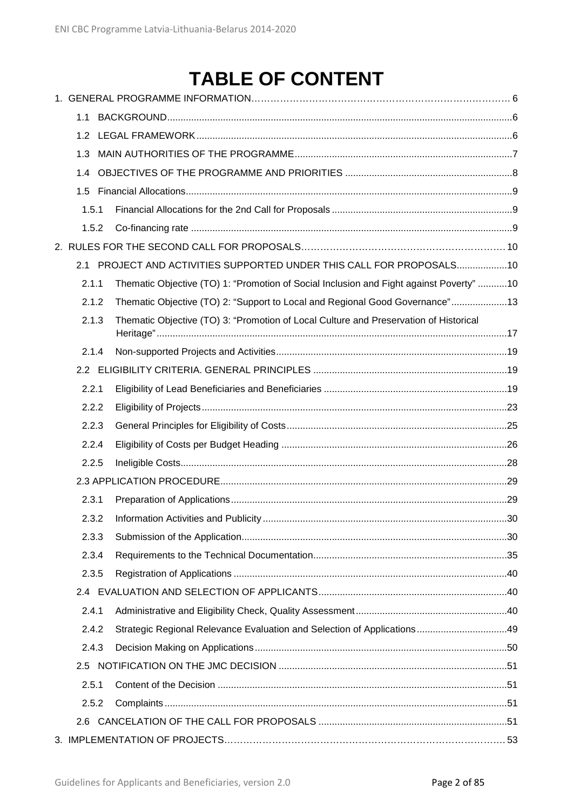# **TABLE OF CONTENT**

| 1.1   |                                                                                         |  |
|-------|-----------------------------------------------------------------------------------------|--|
| 1.2   |                                                                                         |  |
| 1.3   |                                                                                         |  |
| 1.4   |                                                                                         |  |
|       |                                                                                         |  |
| 1.5.1 |                                                                                         |  |
| 1.5.2 |                                                                                         |  |
|       |                                                                                         |  |
|       | 2.1 PROJECT AND ACTIVITIES SUPPORTED UNDER THIS CALL FOR PROPOSALS10                    |  |
| 2.1.1 | Thematic Objective (TO) 1: "Promotion of Social Inclusion and Fight against Poverty" 10 |  |
| 2.1.2 | Thematic Objective (TO) 2: "Support to Local and Regional Good Governance"13            |  |
| 2.1.3 | Thematic Objective (TO) 3: "Promotion of Local Culture and Preservation of Historical   |  |
| 2.1.4 |                                                                                         |  |
|       |                                                                                         |  |
| 2.2.1 |                                                                                         |  |
| 2.2.2 |                                                                                         |  |
| 2.2.3 |                                                                                         |  |
| 2.2.4 |                                                                                         |  |
| 2.2.5 |                                                                                         |  |
|       |                                                                                         |  |
| 2.3.1 |                                                                                         |  |
| 2.3.2 |                                                                                         |  |
| 2.3.3 |                                                                                         |  |
| 2.3.4 |                                                                                         |  |
| 2.3.5 |                                                                                         |  |
| 2.4   |                                                                                         |  |
| 2.4.1 |                                                                                         |  |
| 2.4.2 |                                                                                         |  |
| 2.4.3 |                                                                                         |  |
| 2.5   |                                                                                         |  |
| 2.5.1 |                                                                                         |  |
| 2.5.2 |                                                                                         |  |
| 2.6   |                                                                                         |  |
|       |                                                                                         |  |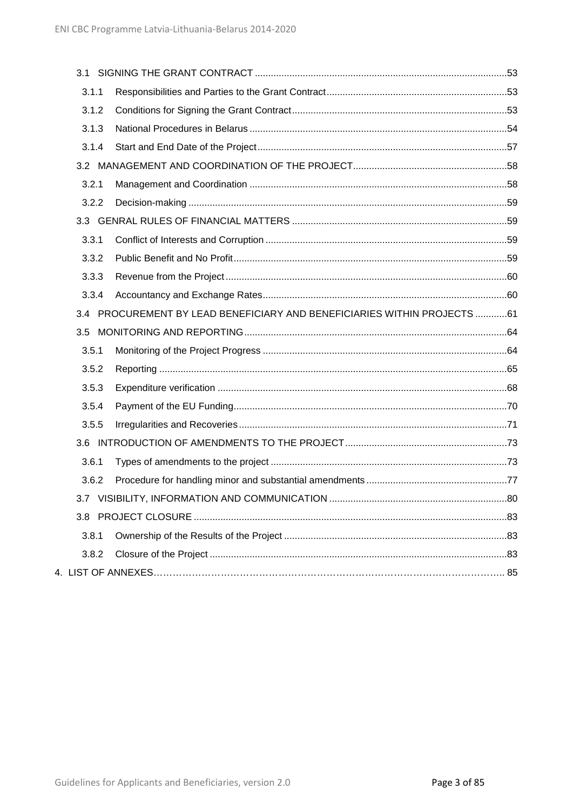| 3.1.1 |                                                                      |  |
|-------|----------------------------------------------------------------------|--|
| 3.1.2 |                                                                      |  |
| 3.1.3 |                                                                      |  |
| 3.1.4 |                                                                      |  |
|       |                                                                      |  |
| 3.2.1 |                                                                      |  |
| 3.2.2 |                                                                      |  |
|       |                                                                      |  |
| 3.3.1 |                                                                      |  |
| 3.3.2 |                                                                      |  |
| 3.3.3 |                                                                      |  |
| 3.3.4 |                                                                      |  |
| 3.4   | PROCUREMENT BY LEAD BENEFICIARY AND BENEFICIARIES WITHIN PROJECTS 61 |  |
| 3.5   |                                                                      |  |
| 3.5.1 |                                                                      |  |
| 3.5.2 |                                                                      |  |
| 3.5.3 |                                                                      |  |
| 3.5.4 |                                                                      |  |
| 3.5.5 |                                                                      |  |
| 3.6   |                                                                      |  |
| 3.6.1 |                                                                      |  |
| 3.6.2 |                                                                      |  |
|       |                                                                      |  |
|       |                                                                      |  |
| 3.8.1 |                                                                      |  |
| 3.8.2 |                                                                      |  |
|       |                                                                      |  |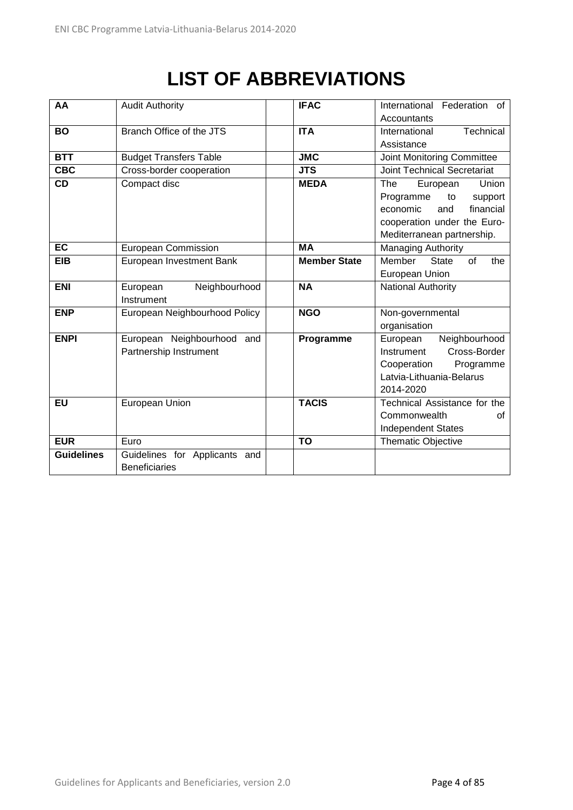# **LIST OF ABBREVIATIONS**

| AA                | <b>Audit Authority</b>                      | <b>IFAC</b>               | International Federation of         |  |  |
|-------------------|---------------------------------------------|---------------------------|-------------------------------------|--|--|
|                   |                                             |                           | Accountants                         |  |  |
| <b>BO</b>         | Branch Office of the JTS                    | <b>ITA</b>                | Technical<br>International          |  |  |
|                   |                                             |                           | Assistance                          |  |  |
| BTT               | <b>Budget Transfers Table</b>               | $\overline{\mathsf{JMC}}$ | Joint Monitoring Committee          |  |  |
| <b>CBC</b>        | Cross-border cooperation                    | <b>JTS</b>                | <b>Joint Technical Secretariat</b>  |  |  |
| <b>CD</b>         | Compact disc                                | <b>MEDA</b>               | The<br>Union<br>European            |  |  |
|                   |                                             |                           | Programme<br>to<br>support          |  |  |
|                   |                                             |                           | economic<br>financial<br>and        |  |  |
|                   |                                             |                           | cooperation under the Euro-         |  |  |
|                   |                                             |                           | Mediterranean partnership.          |  |  |
| <b>EC</b>         | <b>European Commission</b>                  | <b>MA</b>                 | <b>Managing Authority</b>           |  |  |
| <b>EIB</b>        | European Investment Bank                    | <b>Member State</b>       | Member<br>of<br><b>State</b><br>the |  |  |
|                   |                                             |                           | European Union                      |  |  |
| <b>ENI</b>        | Neighbourhood<br>European                   | <b>NA</b>                 | National Authority                  |  |  |
|                   | Instrument                                  |                           |                                     |  |  |
| <b>ENP</b>        | <b>NGO</b><br>European Neighbourhood Policy |                           | Non-governmental                    |  |  |
|                   |                                             |                           | organisation                        |  |  |
| <b>ENPI</b>       | European Neighbourhood and                  | Programme                 | Neighbourhood<br>European           |  |  |
|                   | Partnership Instrument                      |                           | Cross-Border<br>Instrument          |  |  |
|                   |                                             |                           | Cooperation<br>Programme            |  |  |
|                   |                                             |                           | Latvia-Lithuania-Belarus            |  |  |
|                   |                                             |                           | 2014-2020                           |  |  |
| EU                | European Union                              | <b>TACIS</b>              | Technical Assistance for the        |  |  |
|                   |                                             |                           | Commonwealth<br>Ωf                  |  |  |
|                   |                                             |                           | <b>Independent States</b>           |  |  |
| <b>EUR</b>        | Euro                                        | <b>TO</b>                 | Thematic Objective                  |  |  |
| <b>Guidelines</b> | Guidelines for Applicants and               |                           |                                     |  |  |
|                   | <b>Beneficiaries</b>                        |                           |                                     |  |  |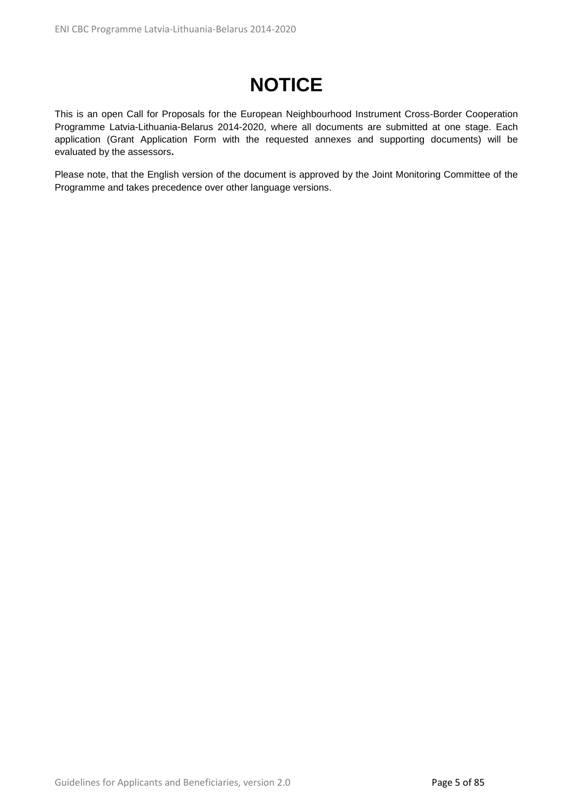# **NOTICE**

This is an open Call for Proposals for the European Neighbourhood Instrument Cross-Border Cooperation Programme Latvia-Lithuania-Belarus 2014-2020, where all documents are submitted at one stage. Each application (Grant Application Form with the requested annexes and supporting documents) will be evaluated by the assessors**.**

Please note, that the English version of the document is approved by the Joint Monitoring Committee of the Programme and takes precedence over other language versions.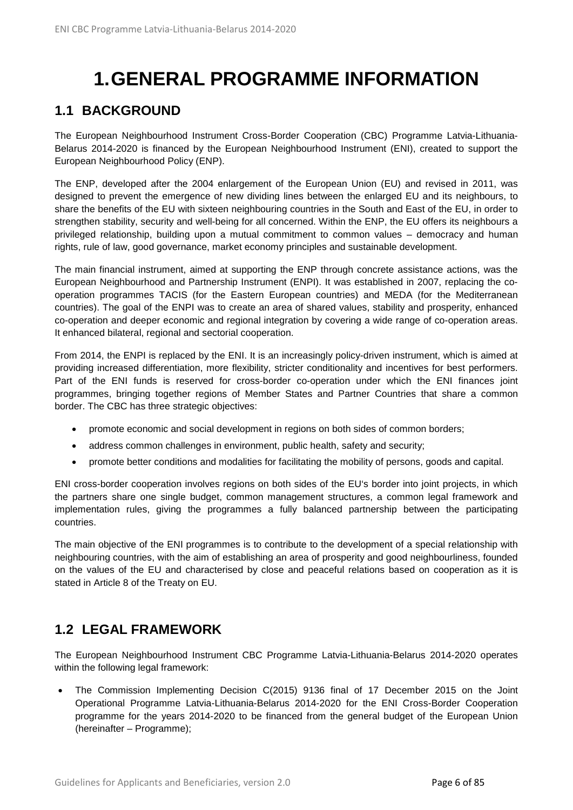# **1.GENERAL PROGRAMME INFORMATION**

# <span id="page-5-1"></span><span id="page-5-0"></span>**1.1 BACKGROUND**

The European Neighbourhood Instrument Cross-Border Cooperation (CBC) Programme Latvia-Lithuania-Belarus 2014-2020 is financed by the European Neighbourhood Instrument (ENI), created to support the European Neighbourhood Policy (ENP).

The ENP, developed after the 2004 enlargement of the European Union (EU) and revised in 2011, was designed to prevent the emergence of new dividing lines between the enlarged EU and its neighbours, to share the benefits of the EU with sixteen neighbouring countries in the South and East of the EU, in order to strengthen stability, security and well-being for all concerned. Within the ENP, the EU offers its neighbours a privileged relationship, building upon a mutual commitment to common values – democracy and human rights, rule of law, good governance, market economy principles and sustainable development.

The main financial instrument, aimed at supporting the ENP through concrete assistance actions, was the European Neighbourhood and Partnership Instrument (ENPI). It was established in 2007, replacing the cooperation programmes TACIS (for the Eastern European countries) and MEDA (for the Mediterranean countries). The goal of the ENPI was to create an area of shared values, stability and prosperity, enhanced co-operation and deeper economic and regional integration by covering a wide range of co-operation areas. It enhanced bilateral, regional and sectorial cooperation.

From 2014, the ENPI is replaced by the ENI. It is an increasingly policy-driven instrument, which is aimed at providing increased differentiation, more flexibility, stricter conditionality and incentives for best performers. Part of the ENI funds is reserved for cross-border co-operation under which the ENI finances joint programmes, bringing together regions of Member States and Partner Countries that share a common border. The CBC has three strategic objectives:

- promote economic and social development in regions on both sides of common borders;
- address common challenges in environment, public health, safety and security;
- promote better conditions and modalities for facilitating the mobility of persons, goods and capital.

ENI cross-border cooperation involves regions on both sides of the EU's border into joint projects, in which the partners share one single budget, common management structures, a common legal framework and implementation rules, giving the programmes a fully balanced partnership between the participating countries.

The main objective of the ENI programmes is to contribute to the development of a special relationship with neighbouring countries, with the aim of establishing an area of prosperity and good neighbourliness, founded on the values of the EU and characterised by close and peaceful relations based on cooperation as it is stated in Article 8 of the Treaty on EU.

## <span id="page-5-2"></span>**1.2 LEGAL FRAMEWORK**

The European Neighbourhood Instrument CBC Programme Latvia-Lithuania-Belarus 2014-2020 operates within the following legal framework:

• The Commission Implementing Decision C(2015) 9136 final of 17 December 2015 on the Joint Operational Programme Latvia-Lithuania-Belarus 2014-2020 for the ENI Cross-Border Cooperation programme for the years 2014-2020 to be financed from the general budget of the European Union (hereinafter – Programme);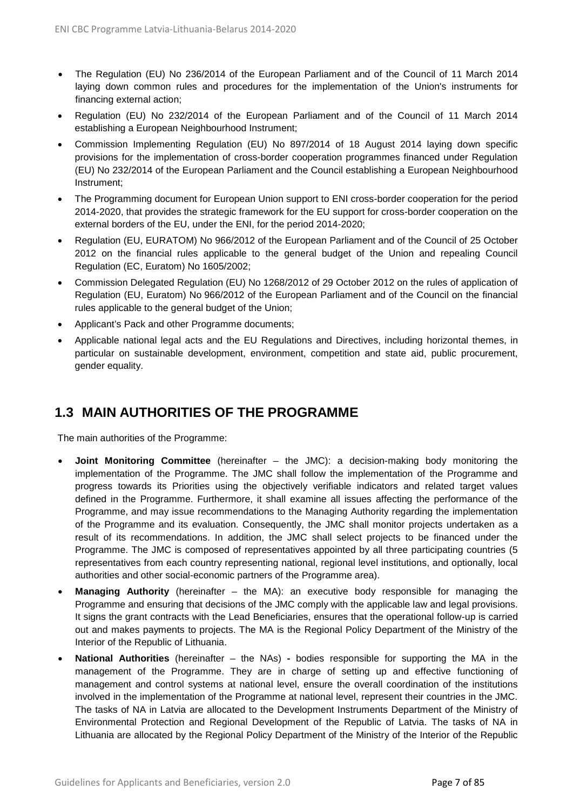- The Regulation (EU) No 236/2014 of the European Parliament and of the Council of 11 March 2014 laying down common rules and procedures for the implementation of the Union's instruments for financing external action;
- Regulation (EU) No 232/2014 of the European Parliament and of the Council of 11 March 2014 establishing a European Neighbourhood Instrument;
- Commission Implementing Regulation (EU) No 897/2014 of 18 August 2014 laying down specific provisions for the implementation of cross-border cooperation programmes financed under Regulation (EU) No 232/2014 of the European Parliament and the Council establishing a European Neighbourhood Instrument;
- The Programming document for European Union support to ENI cross-border cooperation for the period 2014-2020, that provides the strategic framework for the EU support for cross-border cooperation on the external borders of the EU, under the ENI, for the period 2014-2020;
- Regulation (EU, EURATOM) No 966/2012 of the European Parliament and of the Council of 25 October 2012 on the financial rules applicable to the general budget of the Union and repealing Council Regulation (EC, Euratom) No 1605/2002;
- Commission Delegated Regulation (EU) No 1268/2012 of 29 October 2012 on the rules of application of Regulation (EU, Euratom) No 966/2012 of the European Parliament and of the Council on the financial rules applicable to the general budget of the Union;
- Applicant's Pack and other Programme documents;
- Applicable national legal acts and the EU Regulations and Directives, including horizontal themes, in particular on sustainable development, environment, competition and state aid, public procurement, gender equality.

# <span id="page-6-0"></span>**1.3 MAIN AUTHORITIES OF THE PROGRAMME**

The main authorities of the Programme:

- **Joint Monitoring Committee** (hereinafter the JMC): a decision-making body monitoring the implementation of the Programme. The JMC shall follow the implementation of the Programme and progress towards its Priorities using the objectively verifiable indicators and related target values defined in the Programme. Furthermore, it shall examine all issues affecting the performance of the Programme, and may issue recommendations to the Managing Authority regarding the implementation of the Programme and its evaluation. Consequently, the JMC shall monitor projects undertaken as a result of its recommendations. In addition, the JMC shall select projects to be financed under the Programme. The JMC is composed of representatives appointed by all three participating countries (5 representatives from each country representing national, regional level institutions, and optionally, local authorities and other social-economic partners of the Programme area).
- **Managing Authority** (hereinafter the MA): an executive body responsible for managing the Programme and ensuring that decisions of the JMC comply with the applicable law and legal provisions. It signs the grant contracts with the Lead Beneficiaries, ensures that the operational follow-up is carried out and makes payments to projects. The MA is the Regional Policy Department of the Ministry of the Interior of the Republic of Lithuania.
- **National Authorities** (hereinafter the NAs) **-** bodies responsible for supporting the MA in the management of the Programme. They are in charge of setting up and effective functioning of management and control systems at national level, ensure the overall coordination of the institutions involved in the implementation of the Programme at national level, represent their countries in the JMC. The tasks of NA in Latvia are allocated to the Development Instruments Department of the Ministry of Environmental Protection and Regional Development of the Republic of Latvia. The tasks of NA in Lithuania are allocated by the Regional Policy Department of the Ministry of the Interior of the Republic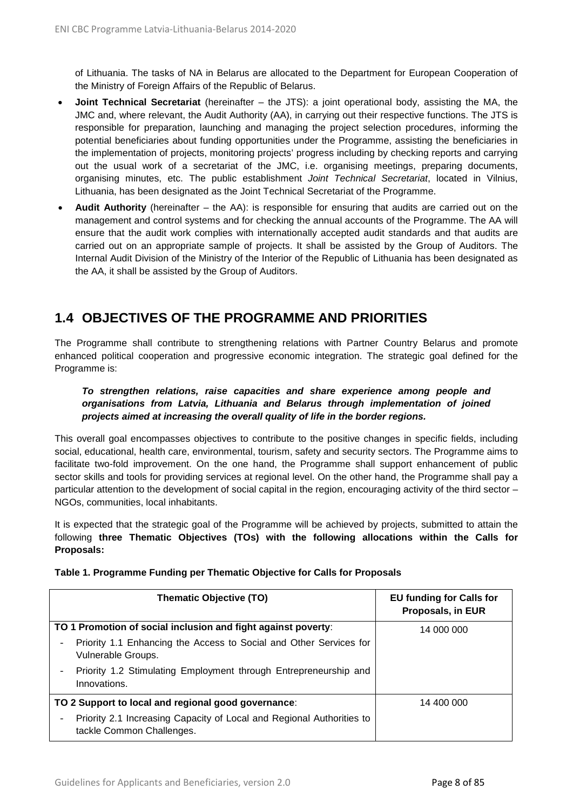of Lithuania. The tasks of NA in Belarus are allocated to the Department for European Cooperation of the Ministry of Foreign Affairs of the Republic of Belarus.

- **Joint Technical Secretariat** (hereinafter the JTS): a joint operational body, assisting the MA, the JMC and, where relevant, the Audit Authority (AA), in carrying out their respective functions. The JTS is responsible for preparation, launching and managing the project selection procedures, informing the potential beneficiaries about funding opportunities under the Programme, assisting the beneficiaries in the implementation of projects, monitoring projects' progress including by checking reports and carrying out the usual work of a secretariat of the JMC, i.e. organising meetings, preparing documents, organising minutes, etc. The public establishment *Joint Technical Secretariat*, located in Vilnius, Lithuania, has been designated as the Joint Technical Secretariat of the Programme.
- **Audit Authority** (hereinafter the AA): is responsible for ensuring that audits are carried out on the management and control systems and for checking the annual accounts of the Programme. The AA will ensure that the audit work complies with internationally accepted audit standards and that audits are carried out on an appropriate sample of projects. It shall be assisted by the Group of Auditors. The Internal Audit Division of the Ministry of the Interior of the Republic of Lithuania has been designated as the AA, it shall be assisted by the Group of Auditors.

# <span id="page-7-0"></span>**1.4 OBJECTIVES OF THE PROGRAMME AND PRIORITIES**

The Programme shall contribute to strengthening relations with Partner Country Belarus and promote enhanced political cooperation and progressive economic integration. The strategic goal defined for the Programme is:

#### *To strengthen relations, raise capacities and share experience among people and organisations from Latvia, Lithuania and Belarus through implementation of joined projects aimed at increasing the overall quality of life in the border regions.*

This overall goal encompasses objectives to contribute to the positive changes in specific fields, including social, educational, health care, environmental, tourism, safety and security sectors. The Programme aims to facilitate two-fold improvement. On the one hand, the Programme shall support enhancement of public sector skills and tools for providing services at regional level. On the other hand, the Programme shall pay a particular attention to the development of social capital in the region, encouraging activity of the third sector – NGOs, communities, local inhabitants.

It is expected that the strategic goal of the Programme will be achieved by projects, submitted to attain the following **three Thematic Objectives (TOs) with the following allocations within the Calls for Proposals:**

| <b>Thematic Objective (TO)</b>                                                                     | <b>EU funding for Calls for</b><br><b>Proposals, in EUR</b> |
|----------------------------------------------------------------------------------------------------|-------------------------------------------------------------|
| TO 1 Promotion of social inclusion and fight against poverty:                                      | 14 000 000                                                  |
| Priority 1.1 Enhancing the Access to Social and Other Services for<br>Vulnerable Groups.           |                                                             |
| Priority 1.2 Stimulating Employment through Entrepreneurship and<br>Innovations.                   |                                                             |
| TO 2 Support to local and regional good governance:                                                | 14 400 000                                                  |
| Priority 2.1 Increasing Capacity of Local and Regional Authorities to<br>tackle Common Challenges. |                                                             |

**Table 1. Programme Funding per Thematic Objective for Calls for Proposals**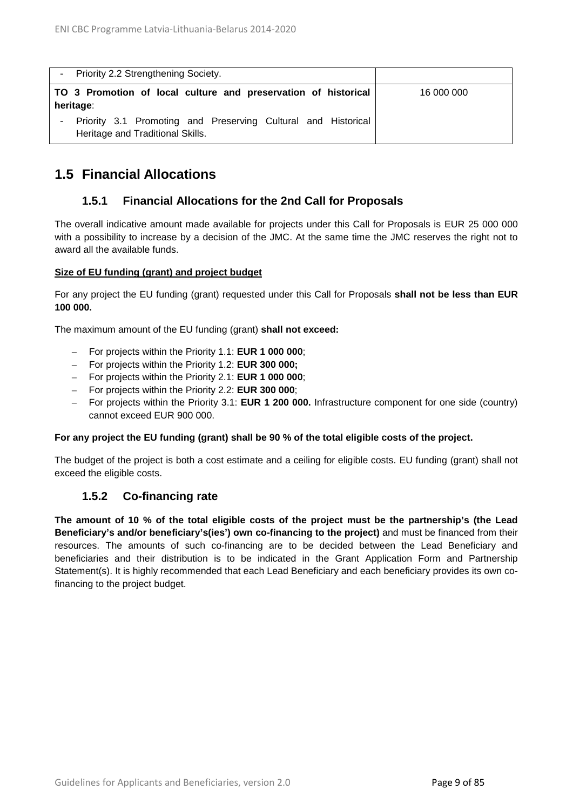|           | - Priority 2.2 Strengthening Society.                                                             |            |
|-----------|---------------------------------------------------------------------------------------------------|------------|
| heritage: | TO 3 Promotion of local culture and preservation of historical                                    | 16 000 000 |
|           | Priority 3.1 Promoting and Preserving Cultural and Historical<br>Heritage and Traditional Skills. |            |

## <span id="page-8-0"></span>**1.5 Financial Allocations**

## **1.5.1 Financial Allocations for the 2nd Call for Proposals**

<span id="page-8-1"></span>The overall indicative amount made available for projects under this Call for Proposals is EUR 25 000 000 with a possibility to increase by a decision of the JMC. At the same time the JMC reserves the right not to award all the available funds.

#### **Size of EU funding (grant) and project budget**

For any project the EU funding (grant) requested under this Call for Proposals **shall not be less than EUR 100 000.**

The maximum amount of the EU funding (grant) **shall not exceed:**

- For projects within the Priority 1.1: **EUR 1 000 000**;
- For projects within the Priority 1.2: **EUR 300 000;**
- For projects within the Priority 2.1: **EUR 1 000 000**;
- For projects within the Priority 2.2: **EUR 300 000**;
- For projects within the Priority 3.1: **EUR 1 200 000.** Infrastructure component for one side (country) cannot exceed EUR 900 000.

#### **For any project the EU funding (grant) shall be 90 % of the total eligible costs of the project.**

The budget of the project is both a cost estimate and a ceiling for eligible costs. EU funding (grant) shall not exceed the eligible costs.

### **1.5.2 Co-financing rate**

<span id="page-8-2"></span>**The amount of 10 % of the total eligible costs of the project must be the partnership's (the Lead Beneficiary's and/or beneficiary's(ies') own co-financing to the project)** and must be financed from their resources. The amounts of such co-financing are to be decided between the Lead Beneficiary and beneficiaries and their distribution is to be indicated in the Grant Application Form and Partnership Statement(s). It is highly recommended that each Lead Beneficiary and each beneficiary provides its own cofinancing to the project budget.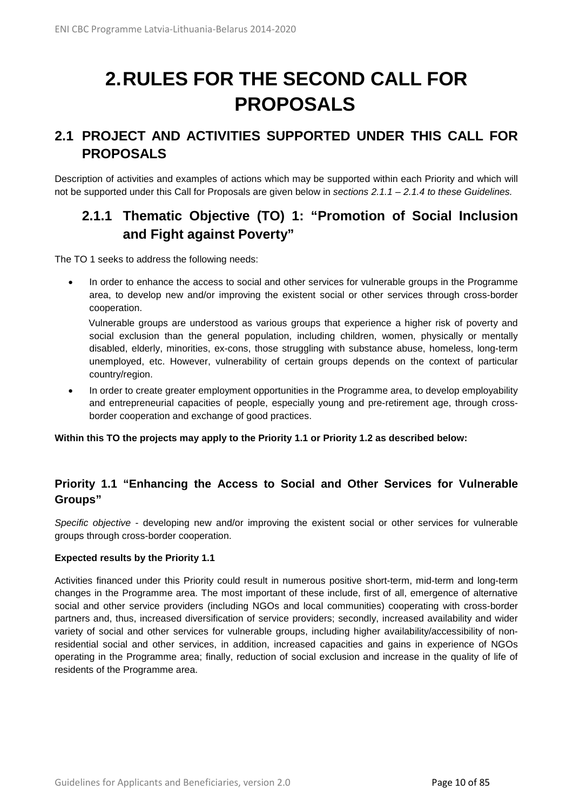# <span id="page-9-0"></span>**2.RULES FOR THE SECOND CALL FOR PROPOSALS**

# <span id="page-9-1"></span>**2.1 PROJECT AND ACTIVITIES SUPPORTED UNDER THIS CALL FOR PROPOSALS**

Description of activities and examples of actions which may be supported within each Priority and which will not be supported under this Call for Proposals are given below in *sections 2.1.1 – 2.1.4 to these Guidelines.*

# <span id="page-9-2"></span>**2.1.1 Thematic Objective (TO) 1: "Promotion of Social Inclusion and Fight against Poverty"**

The TO 1 seeks to address the following needs:

• In order to enhance the access to social and other services for vulnerable groups in the Programme area, to develop new and/or improving the existent social or other services through cross-border cooperation.

Vulnerable groups are understood as various groups that experience a higher risk of poverty and social exclusion than the general population, including children, women, physically or mentally disabled, elderly, minorities, ex-cons, those struggling with substance abuse, homeless, long-term unemployed, etc. However, vulnerability of certain groups depends on the context of particular country/region.

• In order to create greater employment opportunities in the Programme area, to develop employability and entrepreneurial capacities of people, especially young and pre-retirement age, through crossborder cooperation and exchange of good practices.

**Within this TO the projects may apply to the Priority 1.1 or Priority 1.2 as described below:**

## **Priority 1.1 "Enhancing the Access to Social and Other Services for Vulnerable Groups"**

*Specific objective* - developing new and/or improving the existent social or other services for vulnerable groups through cross-border cooperation.

#### **Expected results by the Priority 1.1**

Activities financed under this Priority could result in numerous positive short-term, mid-term and long-term changes in the Programme area. The most important of these include, first of all, emergence of alternative social and other service providers (including NGOs and local communities) cooperating with cross-border partners and, thus, increased diversification of service providers; secondly, increased availability and wider variety of social and other services for vulnerable groups, including higher availability/accessibility of nonresidential social and other services, in addition, increased capacities and gains in experience of NGOs operating in the Programme area; finally, reduction of social exclusion and increase in the quality of life of residents of the Programme area.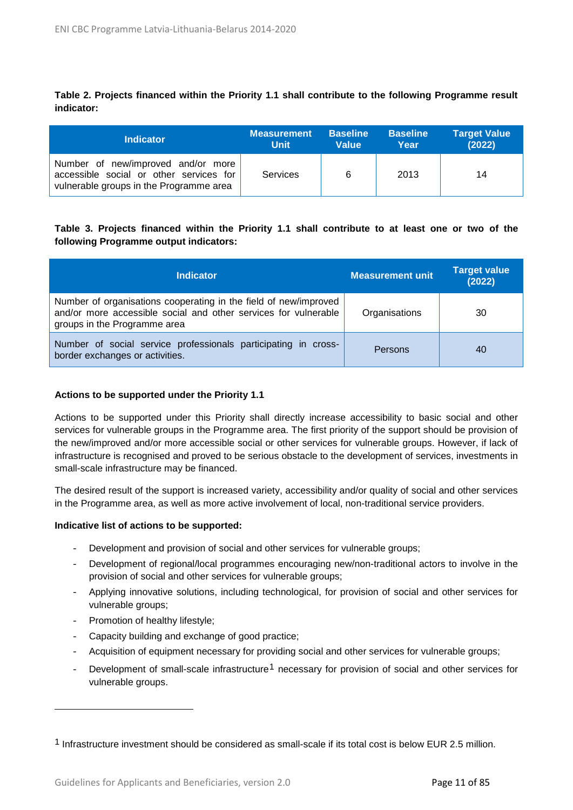**Table 2. Projects financed within the Priority 1.1 shall contribute to the following Programme result indicator:**

| <b>Indicator</b>                                                                                                         | <b>Measurement</b> | <b>Baseline</b> | <b>Baseline</b> | <b>Target Value</b> |
|--------------------------------------------------------------------------------------------------------------------------|--------------------|-----------------|-----------------|---------------------|
|                                                                                                                          | <b>Unit</b>        | <b>Value</b>    | Year            | (2022)              |
| Number of new/improved and/or more<br>accessible social or other services for<br>vulnerable groups in the Programme area | Services           | 6               | 2013            | 14                  |

#### **Table 3. Projects financed within the Priority 1.1 shall contribute to at least one or two of the following Programme output indicators:**

| <b>Indicator</b>                                                                                                                                                    | <b>Measurement unit</b> | <b>Target value</b><br>(2022) |
|---------------------------------------------------------------------------------------------------------------------------------------------------------------------|-------------------------|-------------------------------|
| Number of organisations cooperating in the field of new/improved<br>and/or more accessible social and other services for vulnerable<br>groups in the Programme area | Organisations           | 30                            |
| Number of social service professionals participating in cross-<br>border exchanges or activities.                                                                   | Persons                 | 40                            |

#### **Actions to be supported under the Priority 1.1**

Actions to be supported under this Priority shall directly increase accessibility to basic social and other services for vulnerable groups in the Programme area. The first priority of the support should be provision of the new/improved and/or more accessible social or other services for vulnerable groups. However, if lack of infrastructure is recognised and proved to be serious obstacle to the development of services, investments in small-scale infrastructure may be financed.

The desired result of the support is increased variety, accessibility and/or quality of social and other services in the Programme area, as well as more active involvement of local, non-traditional service providers.

#### **Indicative list of actions to be supported:**

- *-* Development and provision of social and other services for vulnerable groups;
- *-* Development of regional/local programmes encouraging new/non-traditional actors to involve in the provision of social and other services for vulnerable groups;
- *-* Applying innovative solutions, including technological, for provision of social and other services for vulnerable groups;
- *-* Promotion of healthy lifestyle;

 $\ddot{\phantom{a}}$ 

- *-* Capacity building and exchange of good practice;
- *-* Acquisition of equipment necessary for providing social and other services for vulnerable groups;
- Development of small-scale infrastructure<sup>[1](#page-10-0)</sup> necessary for provision of social and other services for vulnerable groups.

<span id="page-10-0"></span><sup>1</sup> Infrastructure investment should be considered as small-scale if its total cost is below EUR 2.5 million.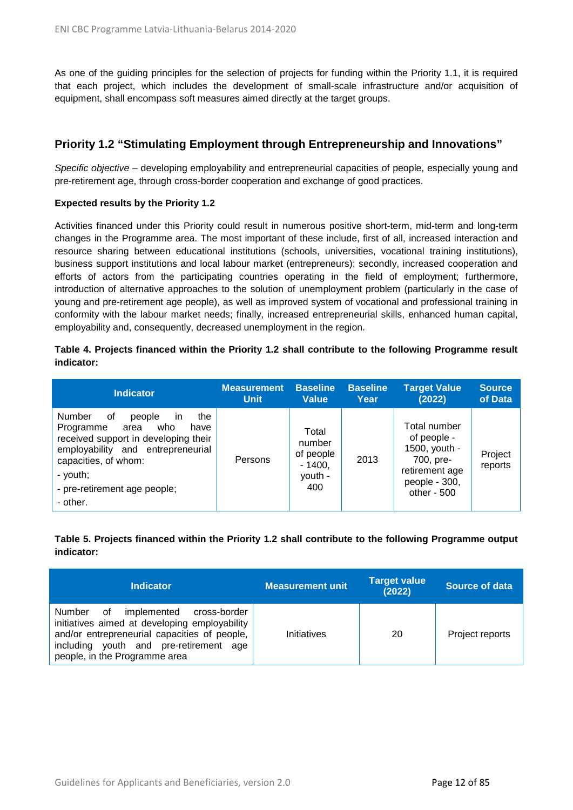As one of the guiding principles for the selection of projects for funding within the Priority 1.1, it is required that each project, which includes the development of small-scale infrastructure and/or acquisition of equipment, shall encompass soft measures aimed directly at the target groups.

## **Priority 1.2 "Stimulating Employment through Entrepreneurship and Innovations"**

*Specific objective* – developing employability and entrepreneurial capacities of people, especially young and pre-retirement age, through cross-border cooperation and exchange of good practices.

#### **Expected results by the Priority 1.2**

Activities financed under this Priority could result in numerous positive short-term, mid-term and long-term changes in the Programme area. The most important of these include, first of all, increased interaction and resource sharing between educational institutions (schools, universities, vocational training institutions), business support institutions and local labour market (entrepreneurs); secondly, increased cooperation and efforts of actors from the participating countries operating in the field of employment; furthermore, introduction of alternative approaches to the solution of unemployment problem (particularly in the case of young and pre-retirement age people), as well as improved system of vocational and professional training in conformity with the labour market needs; finally, increased entrepreneurial skills, enhanced human capital, employability and, consequently, decreased unemployment in the region.

#### **Table 4. Projects financed within the Priority 1.2 shall contribute to the following Programme result indicator:**

| <b>Indicator</b>                                                                                                                                                                                                                     | <b>Measurement</b> | <b>Baseline</b>                                            | <b>Baseline</b> | <b>Target Value</b>                                                                                         | <b>Source</b>      |
|--------------------------------------------------------------------------------------------------------------------------------------------------------------------------------------------------------------------------------------|--------------------|------------------------------------------------------------|-----------------|-------------------------------------------------------------------------------------------------------------|--------------------|
|                                                                                                                                                                                                                                      | <b>Unit</b>        | <b>Value</b>                                               | Year            | (2022)                                                                                                      | of Data            |
| Number<br>the<br>οf<br>people<br>in<br>Programme<br>who<br>area<br>have<br>received support in developing their<br>employability and entrepreneurial<br>capacities, of whom:<br>- youth;<br>- pre-retirement age people;<br>- other. | Persons            | Total<br>number<br>of people<br>$-1400.$<br>youth -<br>400 | 2013            | Total number<br>of people -<br>1500, youth -<br>700, pre-<br>retirement age<br>people - 300,<br>other - 500 | Project<br>reports |

### **Table 5. Projects financed within the Priority 1.2 shall contribute to the following Programme output indicator:**

| <b>Indicator</b>                                                                                                                                                                                                           | <b>Measurement unit</b> | <b>Target value</b><br>(2022) | Source of data  |
|----------------------------------------------------------------------------------------------------------------------------------------------------------------------------------------------------------------------------|-------------------------|-------------------------------|-----------------|
| Number<br>implemented<br>οf<br>cross-border<br>initiatives aimed at developing employability<br>and/or entrepreneurial capacities of people,<br>including youth and pre-retirement<br>age<br>people, in the Programme area | Initiatives             | 20                            | Project reports |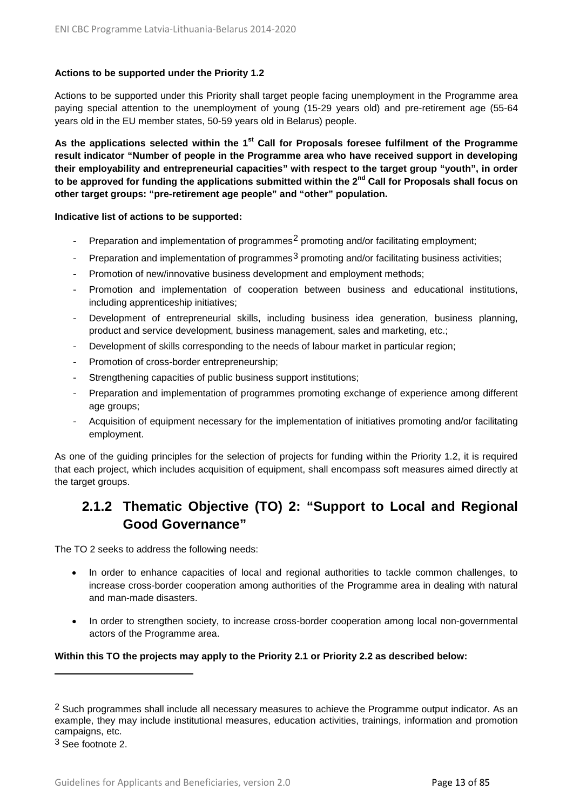#### **Actions to be supported under the Priority 1.2**

Actions to be supported under this Priority shall target people facing unemployment in the Programme area paying special attention to the unemployment of young (15-29 years old) and pre-retirement age (55-64 years old in the EU member states, 50-59 years old in Belarus) people.

**As the applications selected within the 1st Call for Proposals foresee fulfilment of the Programme result indicator "Number of people in the Programme area who have received support in developing their employability and entrepreneurial capacities" with respect to the target group "youth", in order to be approved for funding the applications submitted within the 2nd Call for Proposals shall focus on other target groups: "pre-retirement age people" and "other" population.**

#### **Indicative list of actions to be supported:**

- Preparation and implementation of programmes<sup>[2](#page-12-1)</sup> promoting and/or facilitating employment;
- Preparation and implementation of programmes<sup>[3](#page-12-2)</sup> promoting and/or facilitating business activities;
- Promotion of new/innovative business development and employment methods;
- Promotion and implementation of cooperation between business and educational institutions, including apprenticeship initiatives;
- Development of entrepreneurial skills, including business idea generation, business planning, product and service development, business management, sales and marketing, etc.;
- Development of skills corresponding to the needs of labour market in particular region;
- Promotion of cross-border entrepreneurship;
- Strengthening capacities of public business support institutions;
- Preparation and implementation of programmes promoting exchange of experience among different age groups;
- Acquisition of equipment necessary for the implementation of initiatives promoting and/or facilitating employment.

As one of the guiding principles for the selection of projects for funding within the Priority 1.2, it is required that each project, which includes acquisition of equipment, shall encompass soft measures aimed directly at the target groups.

# <span id="page-12-0"></span>**2.1.2 Thematic Objective (TO) 2: "Support to Local and Regional Good Governance"**

The TO 2 seeks to address the following needs:

- In order to enhance capacities of local and regional authorities to tackle common challenges, to increase cross-border cooperation among authorities of the Programme area in dealing with natural and man-made disasters.
- In order to strengthen society, to increase cross-border cooperation among local non-governmental actors of the Programme area.

#### **Within this TO the projects may apply to the Priority 2.1 or Priority 2.2 as described below:**

 $\overline{a}$ 

<span id="page-12-1"></span><sup>&</sup>lt;sup>2</sup> Such programmes shall include all necessary measures to achieve the Programme output indicator. As an example, they may include institutional measures, education activities, trainings, information and promotion campaigns, etc.

<span id="page-12-2"></span><sup>3</sup> See footnote 2.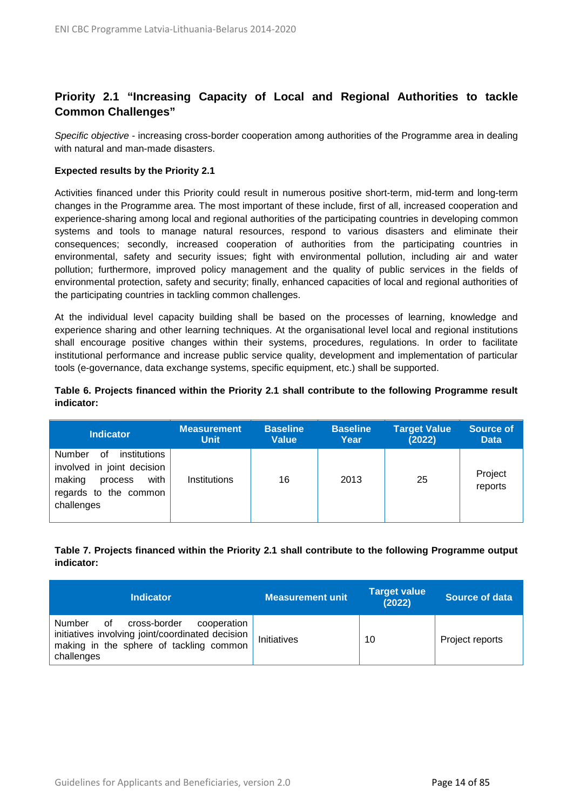## **Priority 2.1 "Increasing Capacity of Local and Regional Authorities to tackle Common Challenges"**

*Specific objective* - increasing cross-border cooperation among authorities of the Programme area in dealing with natural and man-made disasters.

#### **Expected results by the Priority 2.1**

Activities financed under this Priority could result in numerous positive short-term, mid-term and long-term changes in the Programme area. The most important of these include, first of all, increased cooperation and experience-sharing among local and regional authorities of the participating countries in developing common systems and tools to manage natural resources, respond to various disasters and eliminate their consequences; secondly, increased cooperation of authorities from the participating countries in environmental, safety and security issues; fight with environmental pollution, including air and water pollution; furthermore, improved policy management and the quality of public services in the fields of environmental protection, safety and security; finally, enhanced capacities of local and regional authorities of the participating countries in tackling common challenges.

At the individual level capacity building shall be based on the processes of learning, knowledge and experience sharing and other learning techniques. At the organisational level local and regional institutions shall encourage positive changes within their systems, procedures, regulations. In order to facilitate institutional performance and increase public service quality, development and implementation of particular tools (e-governance, data exchange systems, specific equipment, etc.) shall be supported.

#### **Table 6. Projects financed within the Priority 2.1 shall contribute to the following Programme result indicator:**

| <b>Indicator</b>                                                                                                               | <b>Measurement</b> | <b>Baseline</b> | <b>Baseline</b> | <b>Target Value</b> | <b>Source of</b>   |
|--------------------------------------------------------------------------------------------------------------------------------|--------------------|-----------------|-----------------|---------------------|--------------------|
|                                                                                                                                | <b>Unit</b>        | <b>Value</b>    | Year            | (2022)              | <b>Data</b>        |
| institutions<br>Number<br>0f<br>involved in joint decision<br>with<br>making<br>process<br>regards to the common<br>challenges | Institutions       | 16              | 2013            | 25                  | Project<br>reports |

#### **Table 7. Projects financed within the Priority 2.1 shall contribute to the following Programme output indicator:**

| <b>Indicator</b>                                                                                                                                         | <b>Measurement unit</b> | <b>Target value</b><br>(2022) | Source of data  |
|----------------------------------------------------------------------------------------------------------------------------------------------------------|-------------------------|-------------------------------|-----------------|
| Number<br>cross-border<br>οf<br>cooperation<br>initiatives involving joint/coordinated decision<br>making in the sphere of tackling common<br>challenges | Initiatives             | 10                            | Project reports |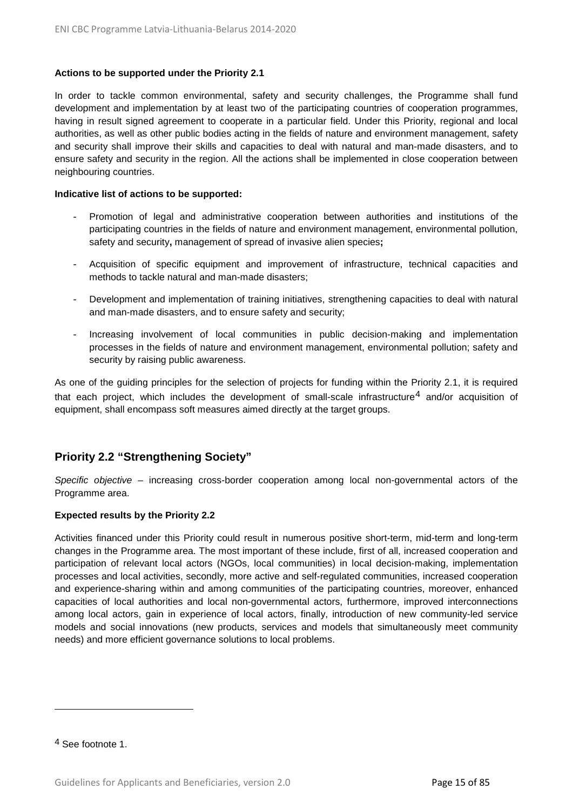#### **Actions to be supported under the Priority 2.1**

In order to tackle common environmental, safety and security challenges, the Programme shall fund development and implementation by at least two of the participating countries of cooperation programmes, having in result signed agreement to cooperate in a particular field. Under this Priority, regional and local authorities, as well as other public bodies acting in the fields of nature and environment management, safety and security shall improve their skills and capacities to deal with natural and man-made disasters, and to ensure safety and security in the region. All the actions shall be implemented in close cooperation between neighbouring countries.

#### **Indicative list of actions to be supported:**

- Promotion of legal and administrative cooperation between authorities and institutions of the participating countries in the fields of nature and environment management, environmental pollution, safety and security**,** management of spread of invasive alien species**;**
- Acquisition of specific equipment and improvement of infrastructure, technical capacities and methods to tackle natural and man-made disasters;
- Development and implementation of training initiatives, strengthening capacities to deal with natural and man-made disasters, and to ensure safety and security;
- Increasing involvement of local communities in public decision-making and implementation processes in the fields of nature and environment management, environmental pollution; safety and security by raising public awareness.

As one of the guiding principles for the selection of projects for funding within the Priority 2.1, it is required that each project, which includes the development of small-scale infrastructure $4$  and/or acquisition of equipment, shall encompass soft measures aimed directly at the target groups.

## **Priority 2.2 "Strengthening Society"**

*Specific objective* – increasing cross-border cooperation among local non-governmental actors of the Programme area.

#### **Expected results by the Priority 2.2**

Activities financed under this Priority could result in numerous positive short-term, mid-term and long-term changes in the Programme area. The most important of these include, first of all, increased cooperation and participation of relevant local actors (NGOs, local communities) in local decision-making, implementation processes and local activities, secondly, more active and self-regulated communities, increased cooperation and experience-sharing within and among communities of the participating countries, moreover, enhanced capacities of local authorities and local non-governmental actors, furthermore, improved interconnections among local actors, gain in experience of local actors, finally, introduction of new community-led service models and social innovations (new products, services and models that simultaneously meet community needs) and more efficient governance solutions to local problems.

 $\ddot{\phantom{a}}$ 

<span id="page-14-0"></span><sup>4</sup> See footnote 1.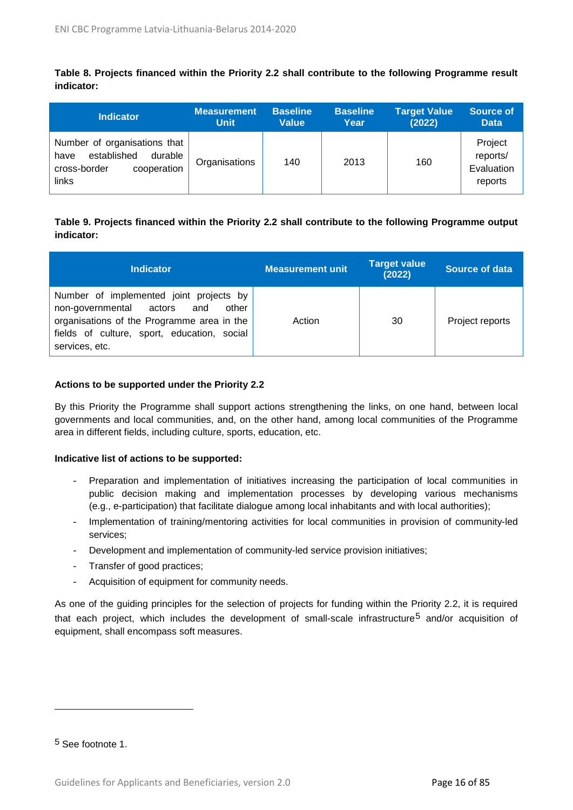**Table 8. Projects financed within the Priority 2.2 shall contribute to the following Programme result indicator:**

| <b>Indicator</b>                                                                                       | <b>Measurement</b> | <b>Baseline</b> | <b>Baseline</b> | <b>Target Value</b> | Source of                                    |
|--------------------------------------------------------------------------------------------------------|--------------------|-----------------|-----------------|---------------------|----------------------------------------------|
|                                                                                                        | <b>Unit</b>        | <b>Value</b>    | Year            | (2022)              | <b>Data</b>                                  |
| Number of organisations that<br>established<br>durable<br>have<br>cooperation<br>cross-border<br>links | Organisations      | 140             | 2013            | 160                 | Project<br>reports/<br>Evaluation<br>reports |

### **Table 9. Projects financed within the Priority 2.2 shall contribute to the following Programme output indicator:**

| <b>Indicator</b>                                                                                                                                                                                  | Measurement unit | <b>Target value</b><br>(2022) | Source of data  |
|---------------------------------------------------------------------------------------------------------------------------------------------------------------------------------------------------|------------------|-------------------------------|-----------------|
| Number of implemented joint projects by<br>non-governmental actors<br>other<br>and<br>organisations of the Programme area in the<br>fields of culture, sport, education, social<br>services, etc. | Action           | 30                            | Project reports |

#### **Actions to be supported under the Priority 2.2**

By this Priority the Programme shall support actions strengthening the links, on one hand, between local governments and local communities, and, on the other hand, among local communities of the Programme area in different fields, including culture, sports, education, etc.

#### **Indicative list of actions to be supported:**

- Preparation and implementation of initiatives increasing the participation of local communities in public decision making and implementation processes by developing various mechanisms (e.g., e-participation) that facilitate dialogue among local inhabitants and with local authorities);
- Implementation of training/mentoring activities for local communities in provision of community-led services;
- Development and implementation of community-led service provision initiatives;
- Transfer of good practices;
- Acquisition of equipment for community needs.

As one of the guiding principles for the selection of projects for funding within the Priority 2.2, it is required that each project, which includes the development of small-scale infrastructure<sup>[5](#page-15-0)</sup> and/or acquisition of equipment, shall encompass soft measures.

<span id="page-15-0"></span>5 See footnote 1.

 $\overline{a}$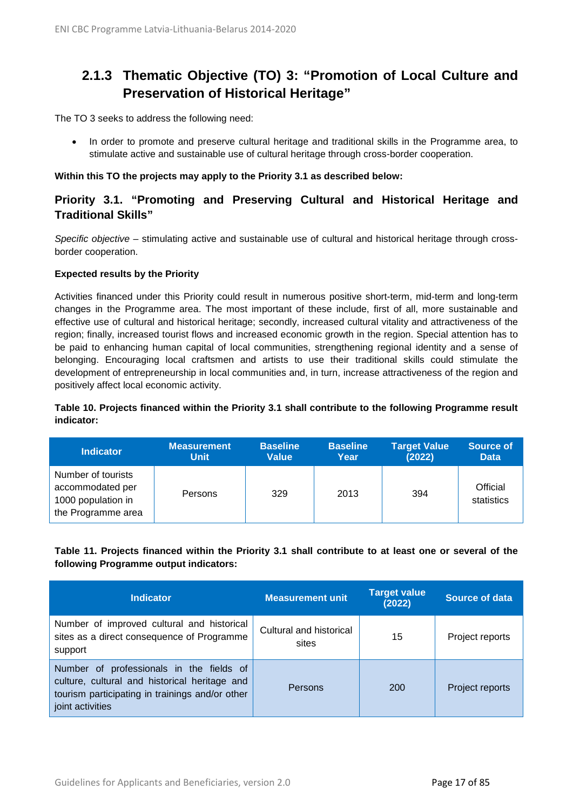# <span id="page-16-0"></span>**2.1.3 Thematic Objective (TO) 3: "Promotion of Local Culture and Preservation of Historical Heritage"**

The TO 3 seeks to address the following need:

• In order to promote and preserve cultural heritage and traditional skills in the Programme area, to stimulate active and sustainable use of cultural heritage through cross-border cooperation.

#### **Within this TO the projects may apply to the Priority 3.1 as described below:**

## **Priority 3.1. "Promoting and Preserving Cultural and Historical Heritage and Traditional Skills"**

*Specific objective* – stimulating active and sustainable use of cultural and historical heritage through crossborder cooperation.

#### **Expected results by the Priority**

Activities financed under this Priority could result in numerous positive short-term, mid-term and long-term changes in the Programme area. The most important of these include, first of all, more sustainable and effective use of cultural and historical heritage; secondly, increased cultural vitality and attractiveness of the region; finally, increased tourist flows and increased economic growth in the region. Special attention has to be paid to enhancing human capital of local communities, strengthening regional identity and a sense of belonging. Encouraging local craftsmen and artists to use their traditional skills could stimulate the development of entrepreneurship in local communities and, in turn, increase attractiveness of the region and positively affect local economic activity.

#### **Table 10. Projects financed within the Priority 3.1 shall contribute to the following Programme result indicator:**

| <b>Indicator</b>                                                                   | <b>Measurement</b> | <b>Baseline</b> | <b>Baseline</b> | <b>Target Value</b> | <b>Source of</b>       |
|------------------------------------------------------------------------------------|--------------------|-----------------|-----------------|---------------------|------------------------|
|                                                                                    | <b>Unit</b>        | <b>Value</b>    | Year            | (2022)              | <b>Data</b>            |
| Number of tourists<br>accommodated per<br>1000 population in<br>the Programme area | Persons            | 329             | 2013            | 394                 | Official<br>statistics |

#### **Table 11. Projects financed within the Priority 3.1 shall contribute to at least one or several of the following Programme output indicators:**

| <b>Indicator</b>                                                                                                                                                 | <b>Measurement unit</b>          | <b>Target value</b><br>(2022) | Source of data  |
|------------------------------------------------------------------------------------------------------------------------------------------------------------------|----------------------------------|-------------------------------|-----------------|
| Number of improved cultural and historical<br>sites as a direct consequence of Programme<br>support                                                              | Cultural and historical<br>sites | 15                            | Project reports |
| Number of professionals in the fields of<br>culture, cultural and historical heritage and<br>tourism participating in trainings and/or other<br>joint activities | Persons                          | 200                           | Project reports |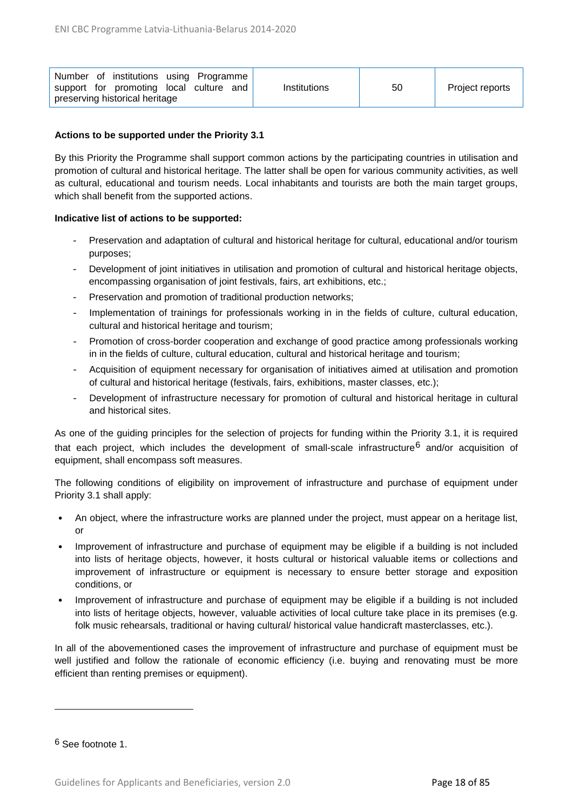| Number of institutions using Programme<br>support for promoting local culture and<br>preserving historical heritage | Institutions | 50 | Project reports |
|---------------------------------------------------------------------------------------------------------------------|--------------|----|-----------------|
|---------------------------------------------------------------------------------------------------------------------|--------------|----|-----------------|

#### **Actions to be supported under the Priority 3.1**

By this Priority the Programme shall support common actions by the participating countries in utilisation and promotion of cultural and historical heritage. The latter shall be open for various community activities, as well as cultural, educational and tourism needs. Local inhabitants and tourists are both the main target groups, which shall benefit from the supported actions.

#### **Indicative list of actions to be supported:**

- Preservation and adaptation of cultural and historical heritage for cultural, educational and/or tourism purposes;
- Development of joint initiatives in utilisation and promotion of cultural and historical heritage objects, encompassing organisation of joint festivals, fairs, art exhibitions, etc.;
- Preservation and promotion of traditional production networks;
- Implementation of trainings for professionals working in in the fields of culture, cultural education, cultural and historical heritage and tourism;
- Promotion of cross-border cooperation and exchange of good practice among professionals working in in the fields of culture, cultural education, cultural and historical heritage and tourism;
- Acquisition of equipment necessary for organisation of initiatives aimed at utilisation and promotion of cultural and historical heritage (festivals, fairs, exhibitions, master classes, etc.);
- Development of infrastructure necessary for promotion of cultural and historical heritage in cultural and historical sites.

As one of the guiding principles for the selection of projects for funding within the Priority 3.1, it is required that each project, which includes the development of small-scale infrastructure<sup>[6](#page-17-0)</sup> and/or acquisition of equipment, shall encompass soft measures.

The following conditions of eligibility on improvement of infrastructure and purchase of equipment under Priority 3.1 shall apply:

- An object, where the infrastructure works are planned under the project, must appear on a heritage list, or
- Improvement of infrastructure and purchase of equipment may be eligible if a building is not included into lists of heritage objects, however, it hosts cultural or historical valuable items or collections and improvement of infrastructure or equipment is necessary to ensure better storage and exposition conditions, or
- Improvement of infrastructure and purchase of equipment may be eligible if a building is not included into lists of heritage objects, however, valuable activities of local culture take place in its premises (e.g. folk music rehearsals, traditional or having cultural/ historical value handicraft masterclasses, etc.).

In all of the abovementioned cases the improvement of infrastructure and purchase of equipment must be well justified and follow the rationale of economic efficiency (i.e. buying and renovating must be more efficient than renting premises or equipment).

<span id="page-17-0"></span>6 See footnote 1.

 $\overline{a}$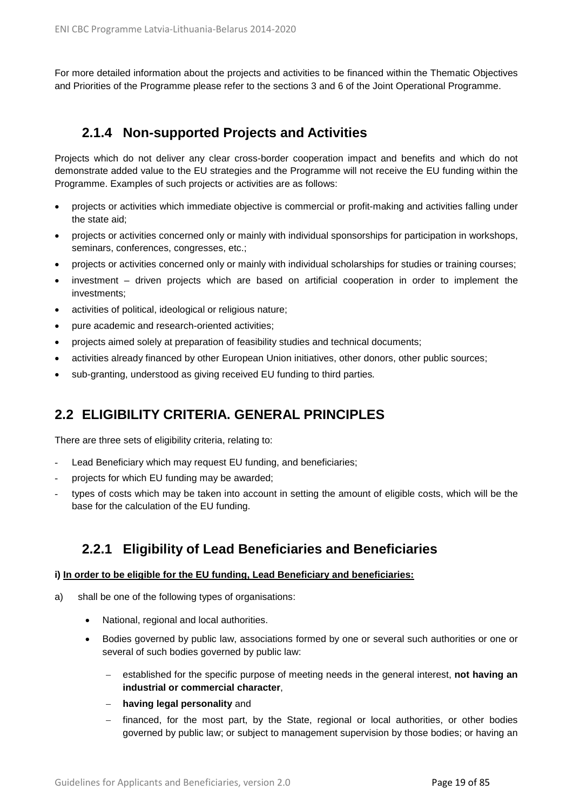For more detailed information about the projects and activities to be financed within the Thematic Objectives and Priorities of the Programme please refer to the sections 3 and 6 of the Joint Operational Programme.

## **2.1.4 Non-supported Projects and Activities**

<span id="page-18-0"></span>Projects which do not deliver any clear cross-border cooperation impact and benefits and which do not demonstrate added value to the EU strategies and the Programme will not receive the EU funding within the Programme. Examples of such projects or activities are as follows:

- projects or activities which immediate objective is commercial or profit-making and activities falling under the state aid;
- projects or activities concerned only or mainly with individual sponsorships for participation in workshops, seminars, conferences, congresses, etc.;
- projects or activities concerned only or mainly with individual scholarships for studies or training courses;
- investment driven projects which are based on artificial cooperation in order to implement the investments;
- activities of political, ideological or religious nature;
- pure academic and research-oriented activities;
- projects aimed solely at preparation of feasibility studies and technical documents;
- activities already financed by other European Union initiatives, other donors, other public sources;
- sub-granting, understood as giving received EU funding to third parties*.*

## <span id="page-18-1"></span>**2.2 ELIGIBILITY CRITERIA. GENERAL PRINCIPLES**

There are three sets of eligibility criteria, relating to:

- Lead Beneficiary which may request EU funding, and beneficiaries;
- projects for which EU funding may be awarded;
- types of costs which may be taken into account in setting the amount of eligible costs, which will be the base for the calculation of the EU funding.

## **2.2.1 Eligibility of Lead Beneficiaries and Beneficiaries**

#### <span id="page-18-2"></span>**i) In order to be eligible for the EU funding, Lead Beneficiary and beneficiaries:**

- a) shall be one of the following types of organisations:
	- National, regional and local authorities.
	- Bodies governed by public law, associations formed by one or several such authorities or one or several of such bodies governed by public law:
		- − established for the specific purpose of meeting needs in the general interest, **not having an industrial or commercial character**,
		- − **having legal personality** and
		- financed, for the most part, by the State, regional or local authorities, or other bodies governed by public law; or subject to management supervision by those bodies; or having an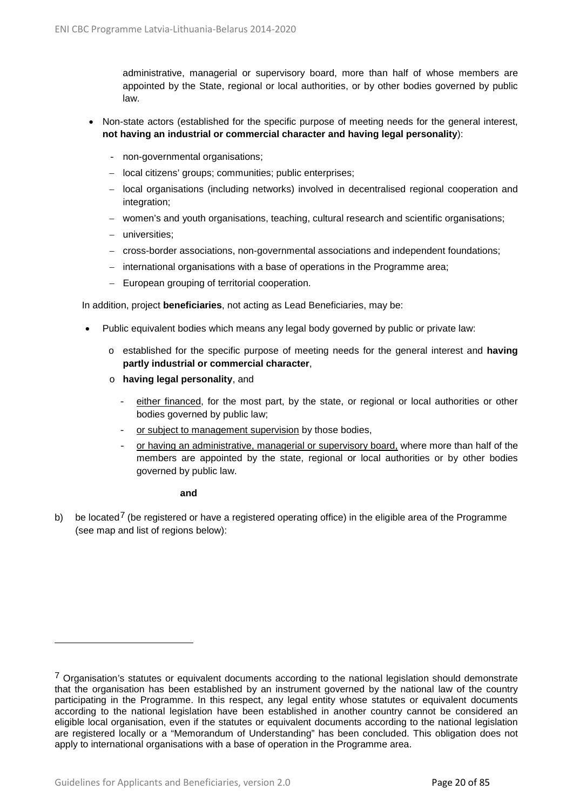administrative, managerial or supervisory board, more than half of whose members are appointed by the State, regional or local authorities, or by other bodies governed by public law.

- Non-state actors (established for the specific purpose of meeting needs for the general interest, **not having an industrial or commercial character and having legal personality**):
	- non-governmental organisations;
	- − local citizens' groups; communities; public enterprises;
	- − local organisations (including networks) involved in decentralised regional cooperation and integration;
	- − women's and youth organisations, teaching, cultural research and scientific organisations;
	- − universities;
	- − cross-border associations, non-governmental associations and independent foundations;
	- − international organisations with a base of operations in the Programme area;
	- − European grouping of territorial cooperation.

In addition, project **beneficiaries**, not acting as Lead Beneficiaries, may be:

- Public equivalent bodies which means any legal body governed by public or private law:
	- o established for the specific purpose of meeting needs for the general interest and **having partly industrial or commercial character**,
	- o **having legal personality**, and
		- either financed, for the most part, by the state, or regional or local authorities or other bodies governed by public law;
		- or subject to management supervision by those bodies,
		- or having an administrative, managerial or supervisory board, where more than half of the members are appointed by the state, regional or local authorities or by other bodies governed by public law.

#### **and**

b) be located<sup>[7](#page-19-0)</sup> (be registered or have a registered operating office) in the eligible area of the Programme (see map and list of regions below):

 $\overline{a}$ 

<span id="page-19-0"></span><sup>&</sup>lt;sup>7</sup> Organisation's statutes or equivalent documents according to the national legislation should demonstrate that the organisation has been established by an instrument governed by the national law of the country participating in the Programme. In this respect, any legal entity whose statutes or equivalent documents according to the national legislation have been established in another country cannot be considered an eligible local organisation, even if the statutes or equivalent documents according to the national legislation are registered locally or a "Memorandum of Understanding" has been concluded. This obligation does not apply to international organisations with a base of operation in the Programme area.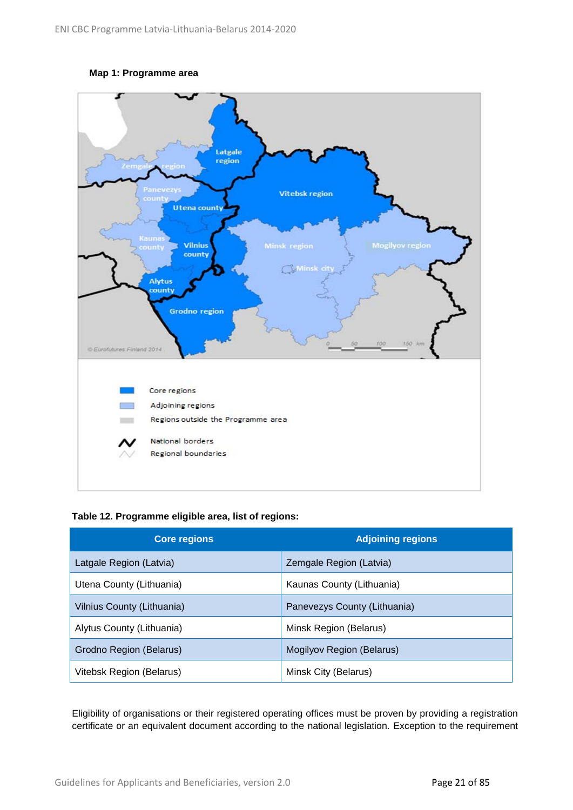#### **Map 1: Programme area**



**Table 12. Programme eligible area, list of regions:**

| <b>Core regions</b>        | <b>Adjoining regions</b>     |
|----------------------------|------------------------------|
| Latgale Region (Latvia)    | Zemgale Region (Latvia)      |
| Utena County (Lithuania)   | Kaunas County (Lithuania)    |
| Vilnius County (Lithuania) | Panevezys County (Lithuania) |
| Alytus County (Lithuania)  | Minsk Region (Belarus)       |
| Grodno Region (Belarus)    | Mogilyov Region (Belarus)    |
| Vitebsk Region (Belarus)   | Minsk City (Belarus)         |

Eligibility of organisations or their registered operating offices must be proven by providing a registration certificate or an equivalent document according to the national legislation. Exception to the requirement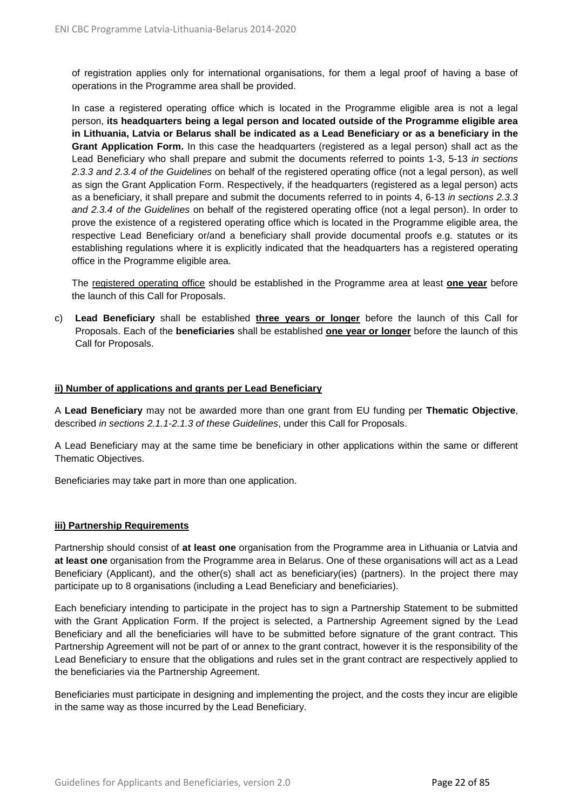of registration applies only for international organisations, for them a legal proof of having a base of operations in the Programme area shall be provided.

In case a registered operating office which is located in the Programme eligible area is not a legal person, **its headquarters being a legal person and located outside of the Programme eligible area in Lithuania, Latvia or Belarus shall be indicated as a Lead Beneficiary or as a beneficiary in the Grant Application Form.** In this case the headquarters (registered as a legal person) shall act as the Lead Beneficiary who shall prepare and submit the documents referred to points 1-3, 5-13 *in sections 2.3.3 and 2.3.4 of the Guidelines* on behalf of the registered operating office (not a legal person), as well as sign the Grant Application Form. Respectively, if the headquarters (registered as a legal person) acts as a beneficiary, it shall prepare and submit the documents referred to in points 4, 6-13 *in sections 2.3.3 and 2.3.4 of the Guidelines* on behalf of the registered operating office (not a legal person). In order to prove the existence of a registered operating office which is located in the Programme eligible area, the respective Lead Beneficiary or/and a beneficiary shall provide documental proofs e.g. statutes or its establishing regulations where it is explicitly indicated that the headquarters has a registered operating office in the Programme eligible area.

The registered operating office should be established in the Programme area at least **one year** before the launch of this Call for Proposals.

c) **Lead Beneficiary** shall be established **three years or longer** before the launch of this Call for Proposals. Each of the **beneficiaries** shall be established **one year or longer** before the launch of this Call for Proposals.

#### **ii) Number of applications and grants per Lead Beneficiary**

A **Lead Beneficiary** may not be awarded more than one grant from EU funding per **Thematic Objective**, described *in sections 2.1.1-2.1.3 of these Guidelines*, under this Call for Proposals.

A Lead Beneficiary may at the same time be beneficiary in other applications within the same or different Thematic Objectives.

Beneficiaries may take part in more than one application.

#### **iii) Partnership Requirements**

Partnership should consist of **at least one** organisation from the Programme area in Lithuania or Latvia and **at least one** organisation from the Programme area in Belarus. One of these organisations will act as a Lead Beneficiary (Applicant), and the other(s) shall act as beneficiary(ies) (partners). In the project there may participate up to 8 organisations (including a Lead Beneficiary and beneficiaries).

Each beneficiary intending to participate in the project has to sign a Partnership Statement to be submitted with the Grant Application Form. If the project is selected, a Partnership Agreement signed by the Lead Beneficiary and all the beneficiaries will have to be submitted before signature of the grant contract. This Partnership Agreement will not be part of or annex to the grant contract, however it is the responsibility of the Lead Beneficiary to ensure that the obligations and rules set in the grant contract are respectively applied to the beneficiaries via the Partnership Agreement.

Beneficiaries must participate in designing and implementing the project, and the costs they incur are eligible in the same way as those incurred by the Lead Beneficiary.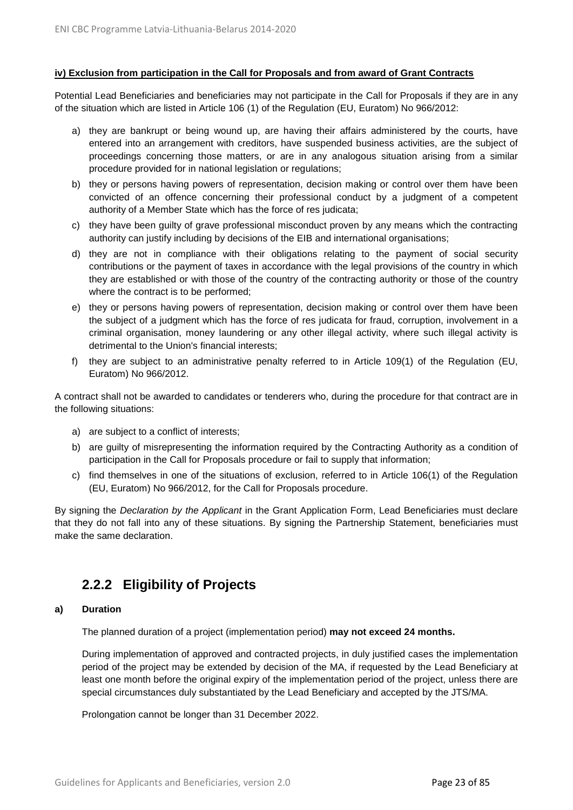#### **iv) Exclusion from participation in the Call for Proposals and from award of Grant Contracts**

Potential Lead Beneficiaries and beneficiaries may not participate in the Call for Proposals if they are in any of the situation which are listed in Article 106 (1) of the Regulation (EU, Euratom) No 966/2012:

- a) they are bankrupt or being wound up, are having their affairs administered by the courts, have entered into an arrangement with creditors, have suspended business activities, are the subject of proceedings concerning those matters, or are in any analogous situation arising from a similar procedure provided for in national legislation or regulations;
- b) they or persons having powers of representation, decision making or control over them have been convicted of an offence concerning their professional conduct by a judgment of a competent authority of a Member State which has the force of res judicata;
- c) they have been guilty of grave professional misconduct proven by any means which the contracting authority can justify including by decisions of the EIB and international organisations;
- d) they are not in compliance with their obligations relating to the payment of social security contributions or the payment of taxes in accordance with the legal provisions of the country in which they are established or with those of the country of the contracting authority or those of the country where the contract is to be performed;
- e) they or persons having powers of representation, decision making or control over them have been the subject of a judgment which has the force of res judicata for fraud, corruption, involvement in a criminal organisation, money laundering or any other illegal activity, where such illegal activity is detrimental to the Union's financial interests;
- f) they are subject to an administrative penalty referred to in Article 109(1) of the Regulation (EU, Euratom) No 966/2012.

A contract shall not be awarded to candidates or tenderers who, during the procedure for that contract are in the following situations:

- a) are subject to a conflict of interests;
- b) are guilty of misrepresenting the information required by the Contracting Authority as a condition of participation in the Call for Proposals procedure or fail to supply that information;
- c) find themselves in one of the situations of exclusion, referred to in Article 106(1) of the Regulation (EU, Euratom) No 966/2012, for the Call for Proposals procedure.

By signing the *Declaration by the Applicant* in the Grant Application Form, Lead Beneficiaries must declare that they do not fall into any of these situations. By signing the Partnership Statement, beneficiaries must make the same declaration.

## <span id="page-22-0"></span>**2.2.2 Eligibility of Projects**

#### **a) Duration**

The planned duration of a project (implementation period) **may not exceed 24 months.**

During implementation of approved and contracted projects, in duly justified cases the implementation period of the project may be extended by decision of the MA, if requested by the Lead Beneficiary at least one month before the original expiry of the implementation period of the project, unless there are special circumstances duly substantiated by the Lead Beneficiary and accepted by the JTS/MA.

Prolongation cannot be longer than 31 December 2022.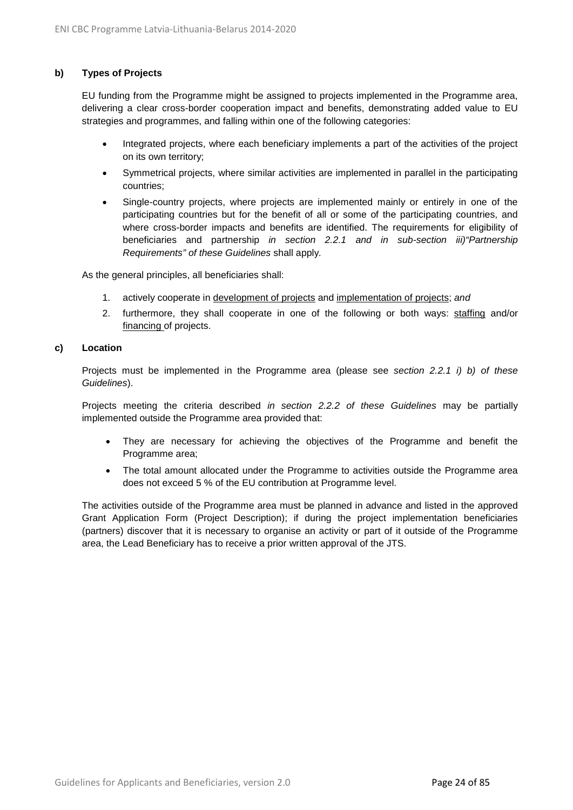#### **b) Types of Projects**

EU funding from the Programme might be assigned to projects implemented in the Programme area, delivering a clear cross-border cooperation impact and benefits, demonstrating added value to EU strategies and programmes, and falling within one of the following categories:

- Integrated projects, where each beneficiary implements a part of the activities of the project on its own territory;
- Symmetrical projects, where similar activities are implemented in parallel in the participating countries;
- Single-country projects, where projects are implemented mainly or entirely in one of the participating countries but for the benefit of all or some of the participating countries, and where cross-border impacts and benefits are identified. The requirements for eligibility of beneficiaries and partnership *in section 2.2.1 and in sub-section iii)"Partnership Requirements" of these Guidelines* shall apply*.*

As the general principles, all beneficiaries shall:

- 1. actively cooperate in development of projects and implementation of projects; *and*
- 2. furthermore, they shall cooperate in one of the following or both ways: staffing and/or financing of projects.

#### **c) Location**

Projects must be implemented in the Programme area (please see *section 2.2.1 i) b) of these Guidelines*).

Projects meeting the criteria described *in section 2.2.2 of these Guidelines* may be partially implemented outside the Programme area provided that:

- They are necessary for achieving the objectives of the Programme and benefit the Programme area;
- The total amount allocated under the Programme to activities outside the Programme area does not exceed 5 % of the EU contribution at Programme level.

The activities outside of the Programme area must be planned in advance and listed in the approved Grant Application Form (Project Description); if during the project implementation beneficiaries (partners) discover that it is necessary to organise an activity or part of it outside of the Programme area, the Lead Beneficiary has to receive a prior written approval of the JTS.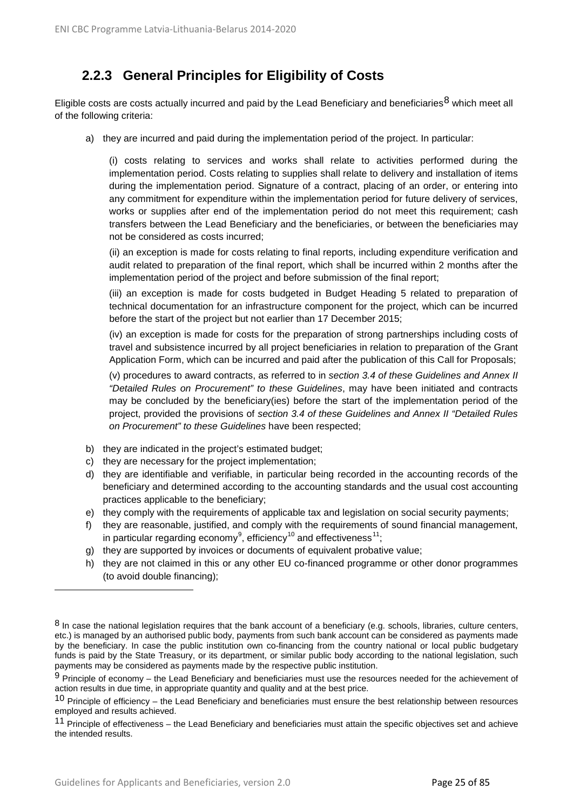# <span id="page-24-0"></span>**2.2.3 General Principles for Eligibility of Costs**

Eligible costs are costs actually incurred and paid by the Lead Beneficiary and beneficiaries<sup>[8](#page-24-1)</sup> which meet all of the following criteria:

a) they are incurred and paid during the implementation period of the project. In particular:

(i) costs relating to services and works shall relate to activities performed during the implementation period. Costs relating to supplies shall relate to delivery and installation of items during the implementation period. Signature of a contract, placing of an order, or entering into any commitment for expenditure within the implementation period for future delivery of services, works or supplies after end of the implementation period do not meet this requirement; cash transfers between the Lead Beneficiary and the beneficiaries, or between the beneficiaries may not be considered as costs incurred;

(ii) an exception is made for costs relating to final reports, including expenditure verification and audit related to preparation of the final report, which shall be incurred within 2 months after the implementation period of the project and before submission of the final report;

(iii) an exception is made for costs budgeted in Budget Heading 5 related to preparation of technical documentation for an infrastructure component for the project, which can be incurred before the start of the project but not earlier than 17 December 2015;

(iv) an exception is made for costs for the preparation of strong partnerships including costs of travel and subsistence incurred by all project beneficiaries in relation to preparation of the Grant Application Form, which can be incurred and paid after the publication of this Call for Proposals;

(v) procedures to award contracts, as referred to in *section 3.4 of these Guidelines and Annex II "Detailed Rules on Procurement" to these Guidelines*, may have been initiated and contracts may be concluded by the beneficiary(ies) before the start of the implementation period of the project, provided the provisions of *section 3.4 of these Guidelines and Annex II "Detailed Rules on Procurement" to these Guidelines* have been respected;

- b) they are indicated in the project's estimated budget;
- c) they are necessary for the project implementation;
- d) they are identifiable and verifiable, in particular being recorded in the accounting records of the beneficiary and determined according to the accounting standards and the usual cost accounting practices applicable to the beneficiary;
- e) they comply with the requirements of applicable tax and legislation on social security payments;
- f) they are reasonable, justified, and comply with the requirements of sound financial management, in particular regarding economy<sup>[9](#page-24-2)</sup>, efficiency<sup>[10](#page-24-3)</sup> and effectiveness<sup>11</sup>;
- g) they are supported by invoices or documents of equivalent probative value;
- h) they are not claimed in this or any other EU co-financed programme or other donor programmes (to avoid double financing);

 $\overline{a}$ 

<span id="page-24-1"></span> $8$  In case the national legislation requires that the bank account of a beneficiary (e.g. schools, libraries, culture centers, etc.) is managed by an authorised public body, payments from such bank account can be considered as payments made by the beneficiary. In case the public institution own co-financing from the country national or local public budgetary funds is paid by the State Treasury, or its department, or similar public body according to the national legislation, such payments may be considered as payments made by the respective public institution.

<span id="page-24-2"></span><sup>9</sup> Principle of economy – the Lead Beneficiary and beneficiaries must use the resources needed for the achievement of action results in due time, in appropriate quantity and quality and at the best price.

<span id="page-24-3"></span> $10$  Principle of efficiency – the Lead Beneficiary and beneficiaries must ensure the best relationship between resources employed and results achieved.

<span id="page-24-4"></span><sup>11</sup> Principle of effectiveness – the Lead Beneficiary and beneficiaries must attain the specific objectives set and achieve the intended results.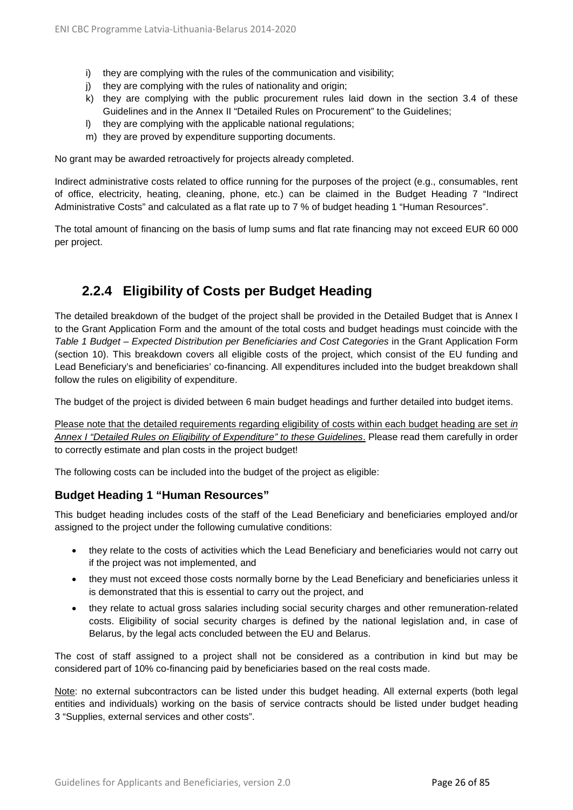- i) they are complying with the rules of the communication and visibility;
- j) they are complying with the rules of nationality and origin;
- k) they are complying with the public procurement rules laid down in the section 3.4 of these Guidelines and in the Annex II "Detailed Rules on Procurement" to the Guidelines;
- l) they are complying with the applicable national regulations;
- m) they are proved by expenditure supporting documents.

No grant may be awarded retroactively for projects already completed.

Indirect administrative costs related to office running for the purposes of the project (e.g., consumables, rent of office, electricity, heating, cleaning, phone, etc.) can be claimed in the Budget Heading 7 "Indirect Administrative Costs" and calculated as a flat rate up to 7 % of budget heading 1 "Human Resources".

The total amount of financing on the basis of lump sums and flat rate financing may not exceed EUR 60 000 per project.

# <span id="page-25-0"></span>**2.2.4 Eligibility of Costs per Budget Heading**

The detailed breakdown of the budget of the project shall be provided in the Detailed Budget that is Annex I to the Grant Application Form and the amount of the total costs and budget headings must coincide with the *Table 1 Budget – Expected Distribution per Beneficiaries and Cost Categories* in the Grant Application Form (section 10). This breakdown covers all eligible costs of the project, which consist of the EU funding and Lead Beneficiary's and beneficiaries' co-financing. All expenditures included into the budget breakdown shall follow the rules on eligibility of expenditure.

The budget of the project is divided between 6 main budget headings and further detailed into budget items.

Please note that the detailed requirements regarding eligibility of costs within each budget heading are set *in Annex I "Detailed Rules on Eligibility of Expenditure" to these Guidelines*. Please read them carefully in order to correctly estimate and plan costs in the project budget!

The following costs can be included into the budget of the project as eligible:

## **Budget Heading 1 "Human Resources"**

This budget heading includes costs of the staff of the Lead Beneficiary and beneficiaries employed and/or assigned to the project under the following cumulative conditions:

- they relate to the costs of activities which the Lead Beneficiary and beneficiaries would not carry out if the project was not implemented, and
- they must not exceed those costs normally borne by the Lead Beneficiary and beneficiaries unless it is demonstrated that this is essential to carry out the project, and
- they relate to actual gross salaries including social security charges and other remuneration-related costs. Eligibility of social security charges is defined by the national legislation and, in case of Belarus, by the legal acts concluded between the EU and Belarus.

The cost of staff assigned to a project shall not be considered as a contribution in kind but may be considered part of 10% co-financing paid by beneficiaries based on the real costs made.

Note: no external subcontractors can be listed under this budget heading. All external experts (both legal entities and individuals) working on the basis of service contracts should be listed under budget heading 3 "Supplies, external services and other costs".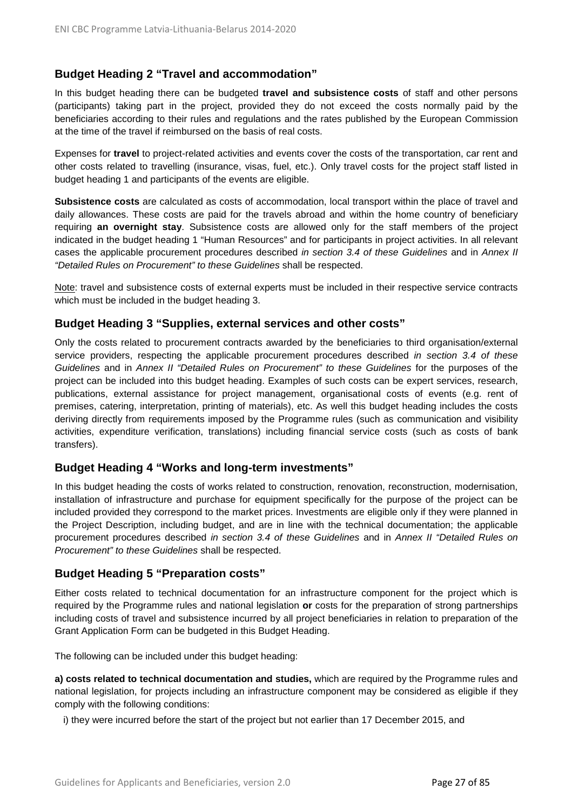## **Budget Heading 2 "Travel and accommodation"**

In this budget heading there can be budgeted **travel and subsistence costs** of staff and other persons (participants) taking part in the project, provided they do not exceed the costs normally paid by the beneficiaries according to their rules and regulations and the rates published by the European Commission at the time of the travel if reimbursed on the basis of real costs.

Expenses for **travel** to project-related activities and events cover the costs of the transportation, car rent and other costs related to travelling (insurance, visas, fuel, etc.). Only travel costs for the project staff listed in budget heading 1 and participants of the events are eligible.

**Subsistence costs** are calculated as costs of accommodation, local transport within the place of travel and daily allowances. These costs are paid for the travels abroad and within the home country of beneficiary requiring **an overnight stay**. Subsistence costs are allowed only for the staff members of the project indicated in the budget heading 1 "Human Resources" and for participants in project activities. In all relevant cases the applicable procurement procedures described *in section 3.4 of these Guidelines* and in *Annex II "Detailed Rules on Procurement" to these Guidelines* shall be respected.

Note: travel and subsistence costs of external experts must be included in their respective service contracts which must be included in the budget heading 3.

## **Budget Heading 3 "Supplies, external services and other costs"**

Only the costs related to procurement contracts awarded by the beneficiaries to third organisation/external service providers, respecting the applicable procurement procedures described *in section 3.4 of these Guidelines* and in *Annex II "Detailed Rules on Procurement" to these Guidelines* for the purposes of the project can be included into this budget heading. Examples of such costs can be expert services, research, publications, external assistance for project management, organisational costs of events (e.g. rent of premises, catering, interpretation, printing of materials), etc. As well this budget heading includes the costs deriving directly from requirements imposed by the Programme rules (such as communication and visibility activities, expenditure verification, translations) including financial service costs (such as costs of bank transfers).

### **Budget Heading 4 "Works and long-term investments"**

In this budget heading the costs of works related to construction, renovation, reconstruction, modernisation, installation of infrastructure and purchase for equipment specifically for the purpose of the project can be included provided they correspond to the market prices. Investments are eligible only if they were planned in the Project Description, including budget, and are in line with the technical documentation; the applicable procurement procedures described *in section 3.4 of these Guidelines* and in *Annex II "Detailed Rules on Procurement" to these Guidelines* shall be respected.

## **Budget Heading 5 "Preparation costs"**

Either costs related to technical documentation for an infrastructure component for the project which is required by the Programme rules and national legislation **or** costs for the preparation of strong partnerships including costs of travel and subsistence incurred by all project beneficiaries in relation to preparation of the Grant Application Form can be budgeted in this Budget Heading.

The following can be included under this budget heading:

**a) costs related to technical documentation and studies,** which are required by the Programme rules and national legislation, for projects including an infrastructure component may be considered as eligible if they comply with the following conditions:

i) they were incurred before the start of the project but not earlier than 17 December 2015, and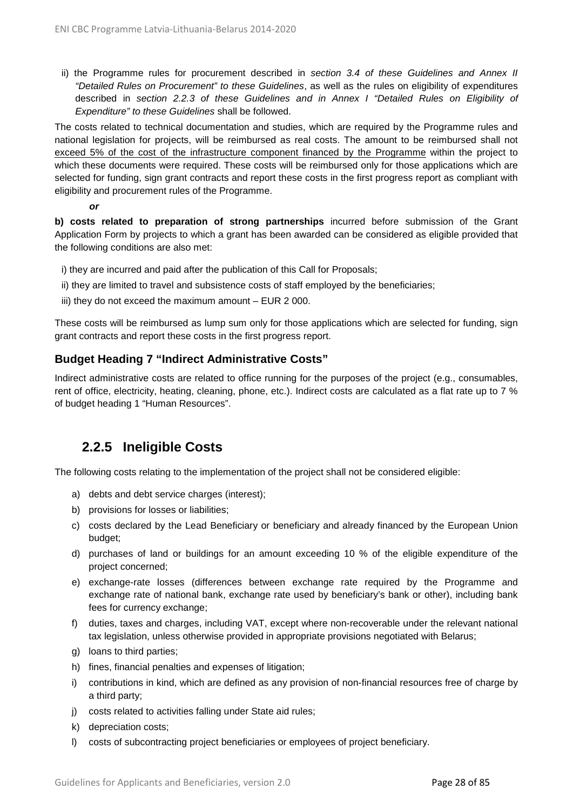ii) the Programme rules for procurement described in *section 3.4 of these Guidelines and Annex II "Detailed Rules on Procurement" to these Guidelines*, as well as the rules on eligibility of expenditures described in *section 2.2.3 of these Guidelines and in Annex I "Detailed Rules on Eligibility of Expenditure" to these Guidelines* shall be followed.

The costs related to technical documentation and studies, which are required by the Programme rules and national legislation for projects, will be reimbursed as real costs. The amount to be reimbursed shall not exceed 5% of the cost of the infrastructure component financed by the Programme within the project to which these documents were required. These costs will be reimbursed only for those applications which are selected for funding, sign grant contracts and report these costs in the first progress report as compliant with eligibility and procurement rules of the Programme.

*or*

**b) costs related to preparation of strong partnerships** incurred before submission of the Grant Application Form by projects to which a grant has been awarded can be considered as eligible provided that the following conditions are also met:

- i) they are incurred and paid after the publication of this Call for Proposals;
- ii) they are limited to travel and subsistence costs of staff employed by the beneficiaries;
- iii) they do not exceed the maximum amount EUR 2 000.

These costs will be reimbursed as lump sum only for those applications which are selected for funding, sign grant contracts and report these costs in the first progress report.

## **Budget Heading 7 "Indirect Administrative Costs"**

Indirect administrative costs are related to office running for the purposes of the project (e.g., consumables, rent of office, electricity, heating, cleaning, phone, etc.). Indirect costs are calculated as a flat rate up to 7 % of budget heading 1 "Human Resources".

## **2.2.5 Ineligible Costs**

<span id="page-27-0"></span>The following costs relating to the implementation of the project shall not be considered eligible:

- a) debts and debt service charges (interest);
- b) provisions for losses or liabilities;
- c) costs declared by the Lead Beneficiary or beneficiary and already financed by the European Union budget;
- d) purchases of land or buildings for an amount exceeding 10 % of the eligible expenditure of the project concerned;
- e) exchange-rate losses (differences between exchange rate required by the Programme and exchange rate of national bank, exchange rate used by beneficiary's bank or other), including bank fees for currency exchange;
- f) duties, taxes and charges, including VAT, except where non-recoverable under the relevant national tax legislation, unless otherwise provided in appropriate provisions negotiated with Belarus;
- g) loans to third parties;
- h) fines, financial penalties and expenses of litigation;
- i) contributions in kind, which are defined as any provision of non-financial resources free of charge by a third party;
- j) costs related to activities falling under State aid rules;
- k) depreciation costs;
- l) costs of subcontracting project beneficiaries or employees of project beneficiary.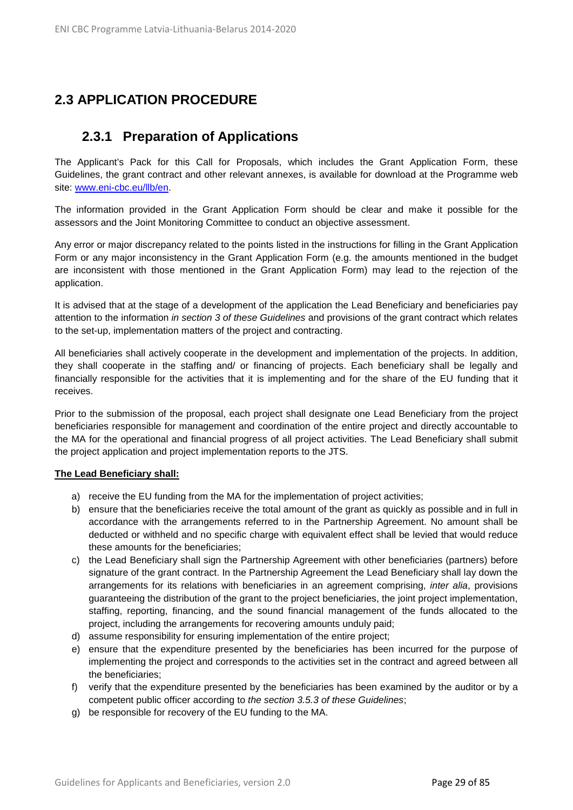# <span id="page-28-1"></span><span id="page-28-0"></span>**2.3 APPLICATION PROCEDURE**

## **2.3.1 Preparation of Applications**

The Applicant's Pack for this Call for Proposals, which includes the Grant Application Form, these Guidelines, the grant contract and other relevant annexes, is available for download at the Programme web site: www.eni-cbc.eu/llb/en.

The information provided in the Grant Application Form should be clear and make it possible for the assessors and the Joint Monitoring Committee to conduct an objective assessment.

Any error or major discrepancy related to the points listed in the instructions for filling in the Grant Application Form or any major inconsistency in the Grant Application Form (e.g. the amounts mentioned in the budget are inconsistent with those mentioned in the Grant Application Form) may lead to the rejection of the application.

It is advised that at the stage of a development of the application the Lead Beneficiary and beneficiaries pay attention to the information *in section 3 of these Guidelines* and provisions of the grant contract which relates to the set-up, implementation matters of the project and contracting.

All beneficiaries shall actively cooperate in the development and implementation of the projects. In addition, they shall cooperate in the staffing and/ or financing of projects. Each beneficiary shall be legally and financially responsible for the activities that it is implementing and for the share of the EU funding that it receives.

Prior to the submission of the proposal, each project shall designate one Lead Beneficiary from the project beneficiaries responsible for management and coordination of the entire project and directly accountable to the MA for the operational and financial progress of all project activities. The Lead Beneficiary shall submit the project application and project implementation reports to the JTS.

#### **The Lead Beneficiary shall:**

- a) receive the EU funding from the MA for the implementation of project activities;
- b) ensure that the beneficiaries receive the total amount of the grant as quickly as possible and in full in accordance with the arrangements referred to in the Partnership Agreement. No amount shall be deducted or withheld and no specific charge with equivalent effect shall be levied that would reduce these amounts for the beneficiaries;
- c) the Lead Beneficiary shall sign the Partnership Agreement with other beneficiaries (partners) before signature of the grant contract. In the Partnership Agreement the Lead Beneficiary shall lay down the arrangements for its relations with beneficiaries in an agreement comprising, *inter alia*, provisions guaranteeing the distribution of the grant to the project beneficiaries, the joint project implementation, staffing, reporting, financing, and the sound financial management of the funds allocated to the project, including the arrangements for recovering amounts unduly paid;
- d) assume responsibility for ensuring implementation of the entire project;
- e) ensure that the expenditure presented by the beneficiaries has been incurred for the purpose of implementing the project and corresponds to the activities set in the contract and agreed between all the beneficiaries;
- f) verify that the expenditure presented by the beneficiaries has been examined by the auditor or by a competent public officer according to *the section 3.5.3 of these Guidelines*;
- g) be responsible for recovery of the EU funding to the MA.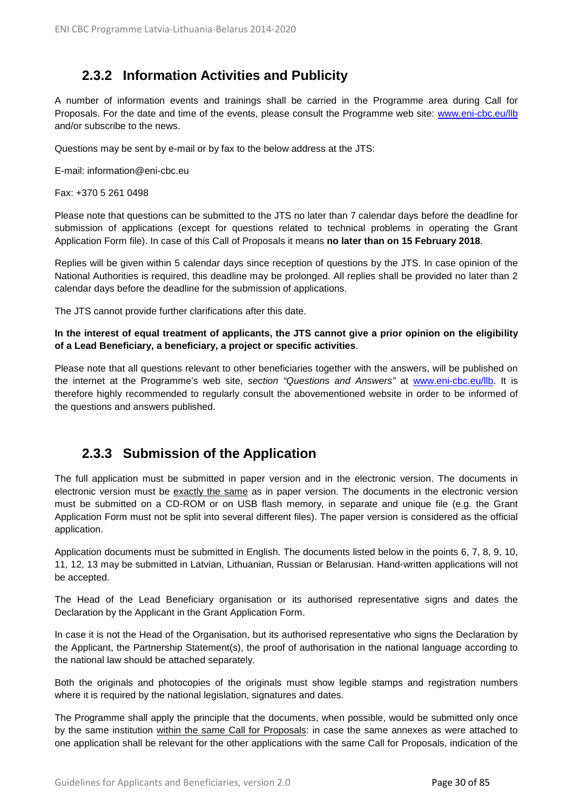# **2.3.2 Information Activities and Publicity**

<span id="page-29-0"></span>A number of information events and trainings shall be carried in the Programme area during Call for Proposals. For the date and time of the events, please consult the Programme web site: [www.eni-cbc.eu/llb](http://www.eni-cbc.eu/llb) and/or subscribe to the news.

Questions may be sent by e-mail or by fax to the below address at the JTS:

E-mail: information@eni-cbc.eu

Fax: +370 5 261 0498

Please note that questions can be submitted to the JTS no later than 7 calendar days before the deadline for submission of applications (except for questions related to technical problems in operating the Grant Application Form file). In case of this Call of Proposals it means **no later than on 15 February 2018**.

Replies will be given within 5 calendar days since reception of questions by the JTS. In case opinion of the National Authorities is required, this deadline may be prolonged. All replies shall be provided no later than 2 calendar days before the deadline for the submission of applications.

The JTS cannot provide further clarifications after this date.

#### **In the interest of equal treatment of applicants, the JTS cannot give a prior opinion on the eligibility of a Lead Beneficiary, a beneficiary, a project or specific activities**.

Please note that all questions relevant to other beneficiaries together with the answers, will be published on the internet at the Programme's web site, *section "Questions and Answers"* at [www.eni-cbc.eu/llb.](http://www.eni-cbc.eu/llb) It is therefore highly recommended to regularly consult the abovementioned website in order to be informed of the questions and answers published.

## <span id="page-29-1"></span>**2.3.3 Submission of the Application**

The full application must be submitted in paper version and in the electronic version. The documents in electronic version must be exactly the same as in paper version. The documents in the electronic version must be submitted on a CD-ROM or on USB flash memory, in separate and unique file (e.g. the Grant Application Form must not be split into several different files). The paper version is considered as the official application.

Application documents must be submitted in English. The documents listed below in the points 6, 7, 8, 9, 10, 11, 12, 13 may be submitted in Latvian, Lithuanian, Russian or Belarusian. Hand-written applications will not be accepted.

The Head of the Lead Beneficiary organisation or its authorised representative signs and dates the Declaration by the Applicant in the Grant Application Form.

In case it is not the Head of the Organisation, but its authorised representative who signs the Declaration by the Applicant, the Partnership Statement(s), the proof of authorisation in the national language according to the national law should be attached separately.

Both the originals and photocopies of the originals must show legible stamps and registration numbers where it is required by the national legislation, signatures and dates.

The Programme shall apply the principle that the documents, when possible, would be submitted only once by the same institution within the same Call for Proposals: in case the same annexes as were attached to one application shall be relevant for the other applications with the same Call for Proposals, indication of the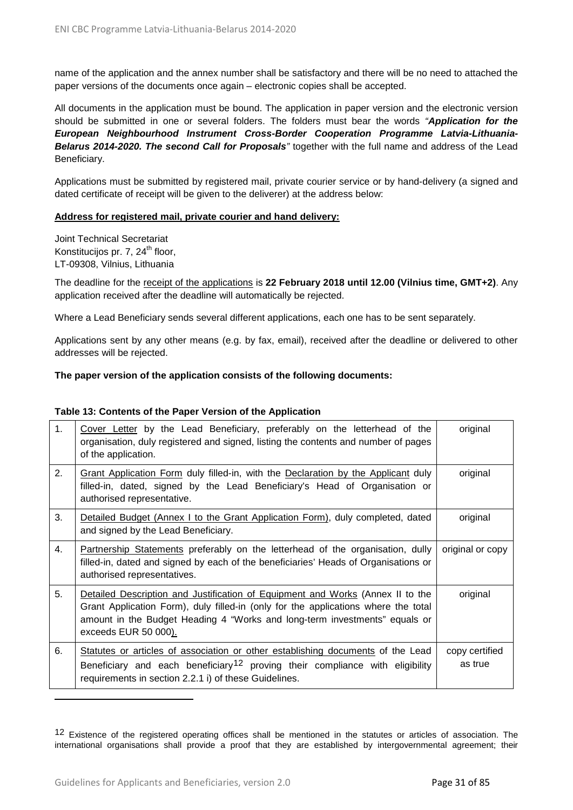name of the application and the annex number shall be satisfactory and there will be no need to attached the paper versions of the documents once again – electronic copies shall be accepted.

All documents in the application must be bound. The application in paper version and the electronic version should be submitted in one or several folders. The folders must bear the words *"Application for the European Neighbourhood Instrument Cross-Border Cooperation Programme Latvia-Lithuania-Belarus 2014-2020. The second Call for Proposals"* together with the full name and address of the Lead Beneficiary.

Applications must be submitted by registered mail, private courier service or by hand-delivery (a signed and dated certificate of receipt will be given to the deliverer) at the address below:

#### **Address for registered mail, private courier and hand delivery:**

Joint Technical Secretariat Konstitucijos pr. 7, 24<sup>th</sup> floor, LT-09308, Vilnius, Lithuania

The deadline for the receipt of the applications is **22 February 2018 until 12.00 (Vilnius time, GMT+2)**. Any application received after the deadline will automatically be rejected.

Where a Lead Beneficiary sends several different applications, each one has to be sent separately.

Applications sent by any other means (e.g. by fax, email), received after the deadline or delivered to other addresses will be rejected.

#### **The paper version of the application consists of the following documents:**

#### **Table 13: Contents of the Paper Version of the Application**

| 1. | Cover Letter by the Lead Beneficiary, preferably on the letterhead of the<br>organisation, duly registered and signed, listing the contents and number of pages<br>of the application.                                                                                     | original                  |
|----|----------------------------------------------------------------------------------------------------------------------------------------------------------------------------------------------------------------------------------------------------------------------------|---------------------------|
| 2. | Grant Application Form duly filled-in, with the Declaration by the Applicant duly<br>filled-in, dated, signed by the Lead Beneficiary's Head of Organisation or<br>authorised representative.                                                                              | original                  |
| 3. | Detailed Budget (Annex I to the Grant Application Form), duly completed, dated<br>and signed by the Lead Beneficiary.                                                                                                                                                      | original                  |
| 4. | Partnership Statements preferably on the letterhead of the organisation, dully<br>filled-in, dated and signed by each of the beneficiaries' Heads of Organisations or<br>authorised representatives.                                                                       | original or copy          |
| 5. | Detailed Description and Justification of Equipment and Works (Annex II to the<br>Grant Application Form), duly filled-in (only for the applications where the total<br>amount in the Budget Heading 4 "Works and long-term investments" equals or<br>exceeds EUR 50 000). | original                  |
| 6. | Statutes or articles of association or other establishing documents of the Lead<br>Beneficiary and each beneficiary <sup>12</sup> proving their compliance with eligibility<br>requirements in section 2.2.1 i) of these Guidelines.                                       | copy certified<br>as true |

<span id="page-30-0"></span><sup>&</sup>lt;sup>12</sup> Existence of the registered operating offices shall be mentioned in the statutes or articles of association. The international organisations shall provide a proof that they are established by intergovernmental agreement; their

 $\overline{a}$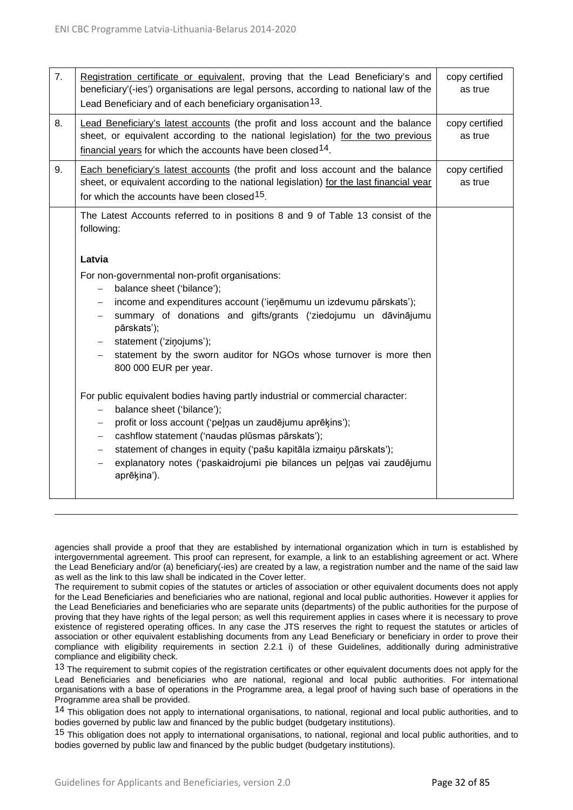| 7. | Registration certificate or equivalent, proving that the Lead Beneficiary's and<br>beneficiary'(-ies') organisations are legal persons, according to national law of the<br>Lead Beneficiary and of each beneficiary organisation <sup>13</sup> .                                                                                                                                                                                                                       | copy certified<br>as true |
|----|-------------------------------------------------------------------------------------------------------------------------------------------------------------------------------------------------------------------------------------------------------------------------------------------------------------------------------------------------------------------------------------------------------------------------------------------------------------------------|---------------------------|
| 8. | Lead Beneficiary's latest accounts (the profit and loss account and the balance<br>sheet, or equivalent according to the national legislation) for the two previous<br>financial years for which the accounts have been closed <sup>14</sup> .                                                                                                                                                                                                                          | copy certified<br>as true |
| 9. | Each beneficiary's latest accounts (the profit and loss account and the balance<br>sheet, or equivalent according to the national legislation) for the last financial year<br>for which the accounts have been closed <sup>15</sup> .                                                                                                                                                                                                                                   | copy certified<br>as true |
|    | The Latest Accounts referred to in positions 8 and 9 of Table 13 consist of the<br>following:                                                                                                                                                                                                                                                                                                                                                                           |                           |
|    | Latvia                                                                                                                                                                                                                                                                                                                                                                                                                                                                  |                           |
|    | For non-governmental non-profit organisations:<br>balance sheet ('bilance');<br>$\overline{\phantom{0}}$<br>income and expenditures account ('ienemumu un izdevumu pārskats');<br>$\qquad \qquad -$<br>summary of donations and gifts/grants ('ziedojumu un dāvinājumu<br>pārskats');<br>statement ('zinojums');<br>$\overline{\phantom{0}}$<br>statement by the sworn auditor for NGOs whose turnover is more then<br>$-$<br>800 000 EUR per year.                     |                           |
|    | For public equivalent bodies having partly industrial or commercial character:<br>balance sheet ('bilance');<br>profit or loss account ('peļņas un zaudējumu aprēķins');<br>$\overline{\phantom{0}}$<br>cashflow statement ('naudas plūsmas pārskats');<br>$\qquad \qquad -$<br>statement of changes in equity ('pašu kapitāla izmaiņu pārskats');<br>$\overline{\phantom{0}}$<br>explanatory notes ('paskaidrojumi pie bilances un peļņas vai zaudējumu<br>aprēķina'). |                           |

agencies shall provide a proof that they are established by international organization which in turn is established by intergovernmental agreement. This proof can represent, for example, a link to an establishing agreement or act. Where the Lead Beneficiary and/or (a) beneficiary(-ies) are created by a law, a registration number and the name of the said law as well as the link to this law shall be indicated in the Cover letter.

The requirement to submit copies of the statutes or articles of association or other equivalent documents does not apply for the Lead Beneficiaries and beneficiaries who are national, regional and local public authorities. However it applies for the Lead Beneficiaries and beneficiaries who are separate units (departments) of the public authorities for the purpose of proving that they have rights of the legal person; as well this requirement applies in cases where it is necessary to prove existence of registered operating offices. In any case the JTS reserves the right to request the statutes or articles of association or other equivalent establishing documents from any Lead Beneficiary or beneficiary in order to prove their compliance with eligibility requirements in section 2.2.1 i) of these Guidelines, additionally during administrative compliance and eligibility check.

<span id="page-31-0"></span><sup>13</sup> The requirement to submit copies of the registration certificates or other equivalent documents does not apply for the Lead Beneficiaries and beneficiaries who are national, regional and local public authorities. For international organisations with a base of operations in the Programme area, a legal proof of having such base of operations in the Programme area shall be provided.

<span id="page-31-1"></span>14 This obligation does not apply to international organisations, to national, regional and local public authorities, and to bodies governed by public law and financed by the public budget (budgetary institutions).

<span id="page-31-2"></span><sup>15</sup> This obligation does not apply to international organisations, to national, regional and local public authorities, and to bodies governed by public law and financed by the public budget (budgetary institutions).

1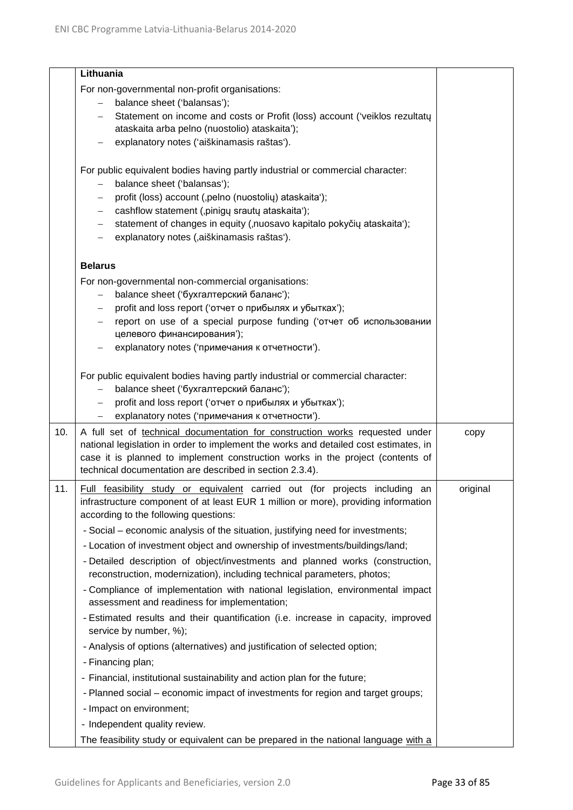|     | Lithuania                                                                                                                                                |          |
|-----|----------------------------------------------------------------------------------------------------------------------------------------------------------|----------|
|     | For non-governmental non-profit organisations:                                                                                                           |          |
|     | balance sheet ('balansas');<br>$-$                                                                                                                       |          |
|     | Statement on income and costs or Profit (loss) account ('veiklos rezultatų<br>$\overline{\phantom{0}}$                                                   |          |
|     | ataskaita arba pelno (nuostolio) ataskaita');                                                                                                            |          |
|     | explanatory notes ('aiškinamasis raštas').                                                                                                               |          |
|     |                                                                                                                                                          |          |
|     | For public equivalent bodies having partly industrial or commercial character:                                                                           |          |
|     | balance sheet ('balansas');                                                                                                                              |          |
|     | profit (loss) account (,pelno (nuostolių) ataskaita');<br>$\overline{\phantom{m}}$<br>cashflow statement (,pinigy srauty ataskaita');                    |          |
|     | statement of changes in equity (,nuosavo kapitalo pokyčių ataskaita');<br>$\qquad \qquad -$                                                              |          |
|     | explanatory notes (,aiškinamasis raštas').<br>$\overline{\phantom{m}}$                                                                                   |          |
|     |                                                                                                                                                          |          |
|     | <b>Belarus</b>                                                                                                                                           |          |
|     | For non-governmental non-commercial organisations:                                                                                                       |          |
|     | balance sheet ('бухгалтерский баланс');<br>$\qquad \qquad -$                                                                                             |          |
|     | profit and loss report ('отчет о прибылях и убытках');                                                                                                   |          |
|     | report on use of a special purpose funding ('отчет об использовании                                                                                      |          |
|     | целевого финансирования');                                                                                                                               |          |
|     | explanatory notes ('примечания к отчетности').                                                                                                           |          |
|     | For public equivalent bodies having partly industrial or commercial character:                                                                           |          |
|     | balance sheet ('бухгалтерский баланс');                                                                                                                  |          |
|     | profit and loss report ('отчет о прибылях и убытках');                                                                                                   |          |
|     | explanatory notes ('примечания к отчетности').<br>$\qquad \qquad -$                                                                                      |          |
| 10. | A full set of technical documentation for construction works requested under                                                                             | copy     |
|     | national legislation in order to implement the works and detailed cost estimates, in                                                                     |          |
|     | case it is planned to implement construction works in the project (contents of                                                                           |          |
|     | technical documentation are described in section 2.3.4).                                                                                                 |          |
| 11. | Full feasibility study or equivalent carried out (for projects including<br>an                                                                           | original |
|     | infrastructure component of at least EUR 1 million or more), providing information<br>according to the following questions:                              |          |
|     |                                                                                                                                                          |          |
|     | - Social – economic analysis of the situation, justifying need for investments;                                                                          |          |
|     | - Location of investment object and ownership of investments/buildings/land;                                                                             |          |
|     | - Detailed description of object/investments and planned works (construction,<br>reconstruction, modernization), including technical parameters, photos; |          |
|     | - Compliance of implementation with national legislation, environmental impact<br>assessment and readiness for implementation;                           |          |
|     | - Estimated results and their quantification (i.e. increase in capacity, improved<br>service by number, %);                                              |          |
|     | - Analysis of options (alternatives) and justification of selected option;                                                                               |          |
|     | - Financing plan;                                                                                                                                        |          |
|     | - Financial, institutional sustainability and action plan for the future;                                                                                |          |
|     | - Planned social – economic impact of investments for region and target groups;                                                                          |          |
|     | - Impact on environment;                                                                                                                                 |          |
|     | - Independent quality review.                                                                                                                            |          |
|     | The feasibility study or equivalent can be prepared in the national language with a                                                                      |          |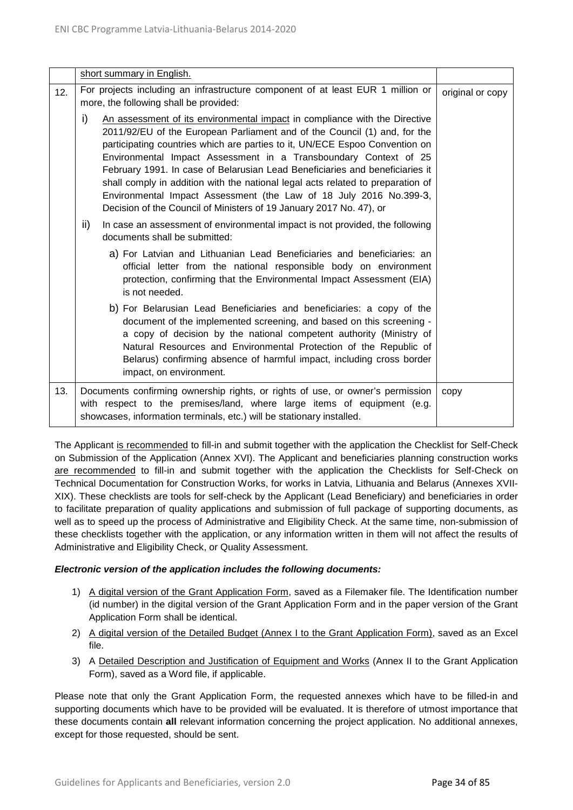|     | short summary in English.                                                                                                                                                                                                                                                                                                                                                                                                                                                                                                                                                                                                        |                  |
|-----|----------------------------------------------------------------------------------------------------------------------------------------------------------------------------------------------------------------------------------------------------------------------------------------------------------------------------------------------------------------------------------------------------------------------------------------------------------------------------------------------------------------------------------------------------------------------------------------------------------------------------------|------------------|
| 12. | For projects including an infrastructure component of at least EUR 1 million or<br>more, the following shall be provided:                                                                                                                                                                                                                                                                                                                                                                                                                                                                                                        | original or copy |
|     | i)<br>An assessment of its environmental impact in compliance with the Directive<br>2011/92/EU of the European Parliament and of the Council (1) and, for the<br>participating countries which are parties to it, UN/ECE Espoo Convention on<br>Environmental Impact Assessment in a Transboundary Context of 25<br>February 1991. In case of Belarusian Lead Beneficiaries and beneficiaries it<br>shall comply in addition with the national legal acts related to preparation of<br>Environmental Impact Assessment (the Law of 18 July 2016 No.399-3,<br>Decision of the Council of Ministers of 19 January 2017 No. 47), or |                  |
|     | ii)<br>In case an assessment of environmental impact is not provided, the following<br>documents shall be submitted:                                                                                                                                                                                                                                                                                                                                                                                                                                                                                                             |                  |
|     | a) For Latvian and Lithuanian Lead Beneficiaries and beneficiaries: an<br>official letter from the national responsible body on environment<br>protection, confirming that the Environmental Impact Assessment (EIA)<br>is not needed.                                                                                                                                                                                                                                                                                                                                                                                           |                  |
|     | b) For Belarusian Lead Beneficiaries and beneficiaries: a copy of the<br>document of the implemented screening, and based on this screening -<br>a copy of decision by the national competent authority (Ministry of<br>Natural Resources and Environmental Protection of the Republic of<br>Belarus) confirming absence of harmful impact, including cross border<br>impact, on environment.                                                                                                                                                                                                                                    |                  |
| 13. | Documents confirming ownership rights, or rights of use, or owner's permission<br>with respect to the premises/land, where large items of equipment (e.g.<br>showcases, information terminals, etc.) will be stationary installed.                                                                                                                                                                                                                                                                                                                                                                                               | copy             |

The Applicant is recommended to fill-in and submit together with the application the Checklist for Self-Check on Submission of the Application (Annex XVI). The Applicant and beneficiaries planning construction works are recommended to fill-in and submit together with the application the Checklists for Self-Check on Technical Documentation for Construction Works, for works in Latvia, Lithuania and Belarus (Annexes XVII-XIX). These checklists are tools for self-check by the Applicant (Lead Beneficiary) and beneficiaries in order to facilitate preparation of quality applications and submission of full package of supporting documents, as well as to speed up the process of Administrative and Eligibility Check. At the same time, non-submission of these checklists together with the application, or any information written in them will not affect the results of Administrative and Eligibility Check, or Quality Assessment.

#### *Electronic version of the application includes the following documents:*

- 1) A digital version of the Grant Application Form, saved as a Filemaker file. The Identification number (id number) in the digital version of the Grant Application Form and in the paper version of the Grant Application Form shall be identical.
- 2) A digital version of the Detailed Budget (Annex I to the Grant Application Form), saved as an Excel file.
- 3) A Detailed Description and Justification of Equipment and Works (Annex II to the Grant Application Form), saved as a Word file, if applicable.

Please note that only the Grant Application Form, the requested annexes which have to be filled-in and supporting documents which have to be provided will be evaluated. It is therefore of utmost importance that these documents contain **all** relevant information concerning the project application. No additional annexes, except for those requested, should be sent.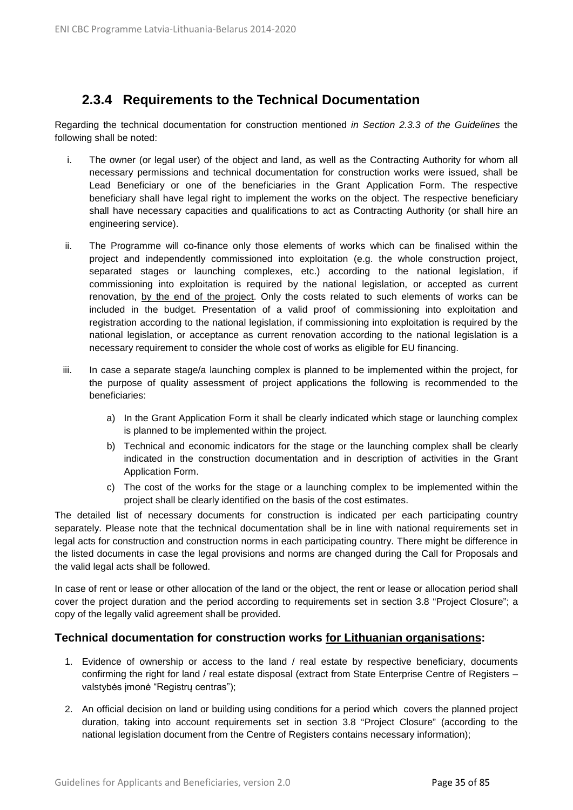# <span id="page-34-0"></span>**2.3.4 Requirements to the Technical Documentation**

Regarding the technical documentation for construction mentioned *in Section 2.3.3 of the Guidelines* the following shall be noted:

- i. The owner (or legal user) of the object and land, as well as the Contracting Authority for whom all necessary permissions and technical documentation for construction works were issued, shall be Lead Beneficiary or one of the beneficiaries in the Grant Application Form. The respective beneficiary shall have legal right to implement the works on the object. The respective beneficiary shall have necessary capacities and qualifications to act as Contracting Authority (or shall hire an engineering service).
- ii. The Programme will co-finance only those elements of works which can be finalised within the project and independently commissioned into exploitation (e.g. the whole construction project, separated stages or launching complexes, etc.) according to the national legislation, if commissioning into exploitation is required by the national legislation, or accepted as current renovation, by the end of the project. Only the costs related to such elements of works can be included in the budget. Presentation of a valid proof of commissioning into exploitation and registration according to the national legislation, if commissioning into exploitation is required by the national legislation, or acceptance as current renovation according to the national legislation is a necessary requirement to consider the whole cost of works as eligible for EU financing.
- iii. In case a separate stage/a launching complex is planned to be implemented within the project, for the purpose of quality assessment of project applications the following is recommended to the beneficiaries:
	- a) In the Grant Application Form it shall be clearly indicated which stage or launching complex is planned to be implemented within the project.
	- b) Technical and economic indicators for the stage or the launching complex shall be clearly indicated in the construction documentation and in description of activities in the Grant Application Form.
	- c) The cost of the works for the stage or a launching complex to be implemented within the project shall be clearly identified on the basis of the cost estimates.

The detailed list of necessary documents for construction is indicated per each participating country separately. Please note that the technical documentation shall be in line with national requirements set in legal acts for construction and construction norms in each participating country. There might be difference in the listed documents in case the legal provisions and norms are changed during the Call for Proposals and the valid legal acts shall be followed.

In case of rent or lease or other allocation of the land or the object, the rent or lease or allocation period shall cover the project duration and the period according to requirements set in section 3.8 "Project Closure"; a copy of the legally valid agreement shall be provided.

## **Technical documentation for construction works for Lithuanian organisations:**

- 1. Evidence of ownership or access to the land / real estate by respective beneficiary, documents confirming the right for land / real estate disposal (extract from State Enterprise Centre of Registers – valstybės įmonė "Registrų centras");
- 2. An official decision on land or building using conditions for a period which covers the planned project duration, taking into account requirements set in section 3.8 "Project Closure" (according to the national legislation document from the Centre of Registers contains necessary information);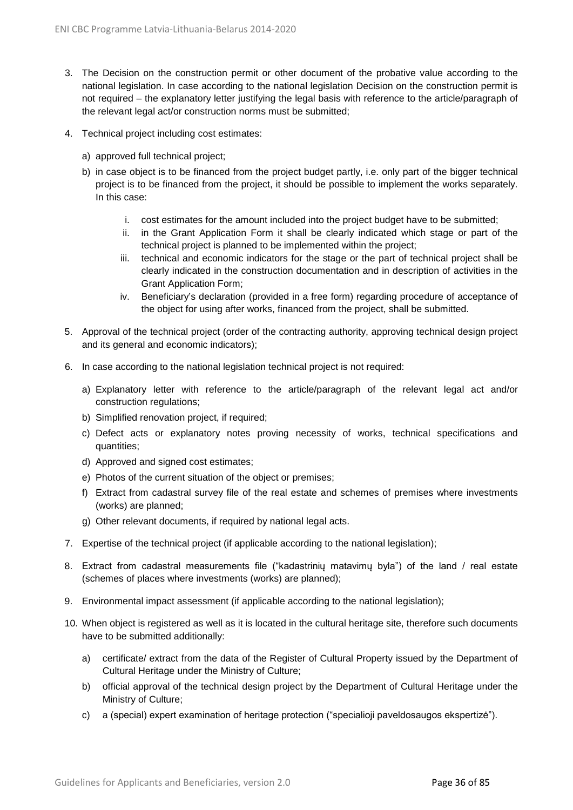- 3. The Decision on the construction permit or other document of the probative value according to the national legislation. In case according to the national legislation Decision on the construction permit is not required – the explanatory letter justifying the legal basis with reference to the article/paragraph of the relevant legal act/or construction norms must be submitted;
- 4. Technical project including cost estimates:
	- a) approved full technical project;
	- b) in case object is to be financed from the project budget partly, i.e. only part of the bigger technical project is to be financed from the project, it should be possible to implement the works separately. In this case:
		- i. cost estimates for the amount included into the project budget have to be submitted;
		- ii. in the Grant Application Form it shall be clearly indicated which stage or part of the technical project is planned to be implemented within the project;
		- iii. technical and economic indicators for the stage or the part of technical project shall be clearly indicated in the construction documentation and in description of activities in the Grant Application Form;
		- iv. Beneficiary's declaration (provided in a free form) regarding procedure of acceptance of the object for using after works, financed from the project, shall be submitted.
- 5. Approval of the technical project (order of the contracting authority, approving technical design project and its general and economic indicators);
- 6. In case according to the national legislation technical project is not required:
	- a) Explanatory letter with reference to the article/paragraph of the relevant legal act and/or construction regulations;
	- b) Simplified renovation project, if required;
	- c) Defect acts or explanatory notes proving necessity of works, technical specifications and quantities;
	- d) Approved and signed cost estimates;
	- e) Photos of the current situation of the object or premises;
	- f) Extract from cadastral survey file of the real estate and schemes of premises where investments (works) are planned;
	- g) Other relevant documents, if required by national legal acts.
- 7. Expertise of the technical project (if applicable according to the national legislation);
- 8. Extract from cadastral measurements file ("kadastrinių matavimų byla") of the land / real estate (schemes of places where investments (works) are planned);
- 9. Environmental impact assessment (if applicable according to the national legislation);
- 10. When object is registered as well as it is located in the cultural heritage site, therefore such documents have to be submitted additionally:
	- a) certificate/ extract from the data of the Register of Cultural Property issued by the Department of Cultural Heritage under the Ministry of Culture;
	- b) official approval of the technical design project by the Department of Cultural Heritage under the Ministry of Culture;
	- c) a (special) expert examination of heritage protection ("specialioji paveldosaugos ekspertizė").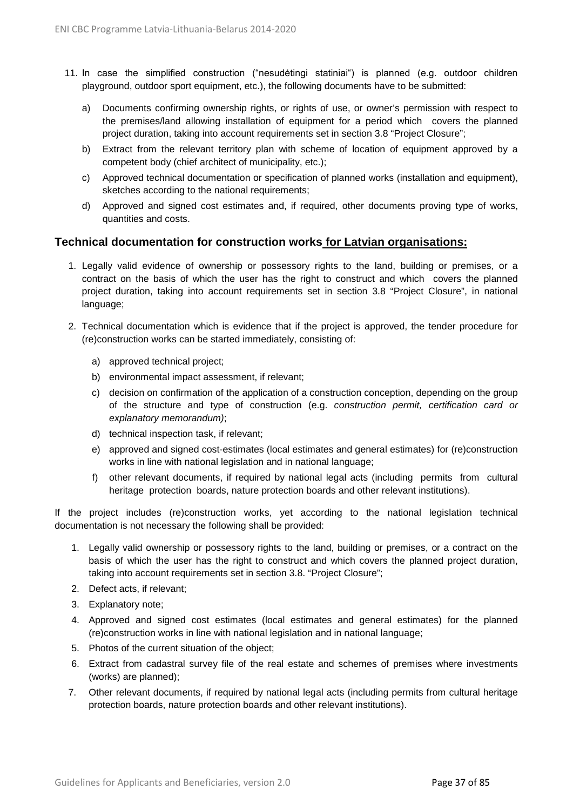- 11. In case the simplified construction ("nesudėtingi statiniai") is planned (e.g. outdoor children playground, outdoor sport equipment, etc.), the following documents have to be submitted:
	- a) Documents confirming ownership rights, or rights of use, or owner's permission with respect to the premises/land allowing installation of equipment for a period which covers the planned project duration, taking into account requirements set in section 3.8 "Project Closure";
	- b) Extract from the relevant territory plan with scheme of location of equipment approved by a competent body (chief architect of municipality, etc.);
	- c) Approved technical documentation or specification of planned works (installation and equipment), sketches according to the national requirements;
	- d) Approved and signed cost estimates and, if required, other documents proving type of works, quantities and costs.

#### **Technical documentation for construction works for Latvian organisations:**

- 1. Legally valid evidence of ownership or possessory rights to the land, building or premises, or a contract on the basis of which the user has the right to construct and which covers the planned project duration, taking into account requirements set in section 3.8 "Project Closure", in national language;
- 2. Technical documentation which is evidence that if the project is approved, the tender procedure for (re)construction works can be started immediately, consisting of:
	- a) approved technical project;
	- b) environmental impact assessment, if relevant;
	- c) decision on confirmation of the application of a construction conception, depending on the group of the structure and type of construction (e.g. *construction permit, certification card or explanatory memorandum)*;
	- d) technical inspection task, if relevant;
	- e) approved and signed cost-estimates (local estimates and general estimates) for (re)construction works in line with national legislation and in national language;
	- f) other relevant documents, if required by national legal acts (including permits from cultural heritage protection boards, nature protection boards and other relevant institutions).

If the project includes (re)construction works, yet according to the national legislation technical documentation is not necessary the following shall be provided:

- 1. Legally valid ownership or possessory rights to the land, building or premises, or a contract on the basis of which the user has the right to construct and which covers the planned project duration, taking into account requirements set in section 3.8. "Project Closure";
- 2. Defect acts, if relevant;
- 3. Explanatory note;
- 4. Approved and signed cost estimates (local estimates and general estimates) for the planned (re)construction works in line with national legislation and in national language;
- 5. Photos of the current situation of the object;
- 6. Extract from cadastral survey file of the real estate and schemes of premises where investments (works) are planned);
- 7. Other relevant documents, if required by national legal acts (including permits from cultural heritage protection boards, nature protection boards and other relevant institutions).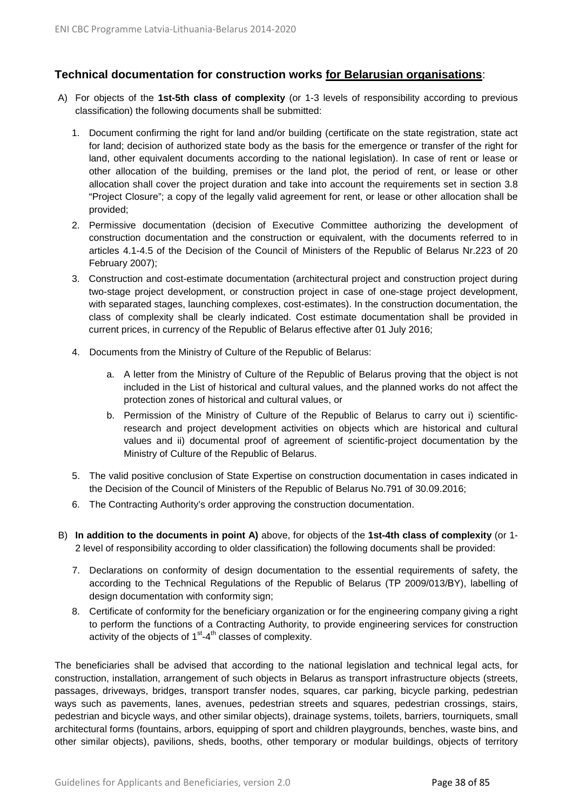### **Technical documentation for construction works for Belarusian organisations**:

- A) For objects of the **1st-5th class of complexity** (or 1-3 levels of responsibility according to previous classification) the following documents shall be submitted:
	- 1. Document confirming the right for land and/or building (certificate on the state registration, state act for land; decision of authorized state body as the basis for the emergence or transfer of the right for land, other equivalent documents according to the national legislation). In case of rent or lease or other allocation of the building, premises or the land plot, the period of rent, or lease or other allocation shall cover the project duration and take into account the requirements set in section 3.8 "Project Closure"; a copy of the legally valid agreement for rent, or lease or other allocation shall be provided;
	- 2. Permissive documentation (decision of Executive Committee authorizing the development of construction documentation and the construction or equivalent, with the documents referred to in articles 4.1-4.5 of the Decision of the Council of Ministers of the Republic of Belarus Nr.223 of 20 February 2007);
	- 3. Construction and cost-estimate documentation (architectural project and construction project during two-stage project development, or construction project in case of one-stage project development, with separated stages, launching complexes, cost-estimates). In the construction documentation, the class of complexity shall be clearly indicated. Cost estimate documentation shall be provided in current prices, in currency of the Republic of Belarus effective after 01 July 2016;
	- 4. Documents from the Ministry of Culture of the Republic of Belarus:
		- a. A letter from the Ministry of Culture of the Republic of Belarus proving that the object is not included in the List of historical and cultural values, and the planned works do not affect the protection zones of historical and cultural values, or
		- b. Permission of the Ministry of Culture of the Republic of Belarus to carry out i) scientificresearch and project development activities on objects which are historical and cultural values and ii) documental proof of agreement of scientific-project documentation by the Ministry of Culture of the Republic of Belarus.
	- 5. The valid positive conclusion of State Expertise on construction documentation in cases indicated in the Decision of the Council of Ministers of the Republic of Belarus No.791 of 30.09.2016;
	- 6. The Contracting Authority's order approving the construction documentation.
- B) **In addition to the documents in point A)** above, for objects of the **1st-4th class of complexity** (or 1- 2 level of responsibility according to older classification) the following documents shall be provided:
	- 7. Declarations on conformity of design documentation to the essential requirements of safety, the according to the Technical Regulations of the Republic of Belarus (ТР 2009/013/ВY), labelling of design documentation with conformity sign;
	- 8. Certificate of conformity for the beneficiary organization or for the engineering company giving a right to perform the functions of a Contracting Authority, to provide engineering services for construction activity of the objects of  $1<sup>st</sup> - 4<sup>th</sup>$  classes of complexity.

The beneficiaries shall be advised that according to the national legislation and technical legal acts, for construction, installation, arrangement of such objects in Belarus as transport infrastructure objects (streets, passages, driveways, bridges, transport transfer nodes, squares, car parking, bicycle parking, pedestrian ways such as pavements, lanes, avenues, pedestrian streets and squares, pedestrian crossings, stairs, pedestrian and bicycle ways, and other similar objects), drainage systems, toilets, barriers, tourniquets, small architectural forms (fountains, arbors, equipping of sport and children playgrounds, benches, waste bins, and other similar objects), pavilions, sheds, booths, other temporary or modular buildings, objects of territory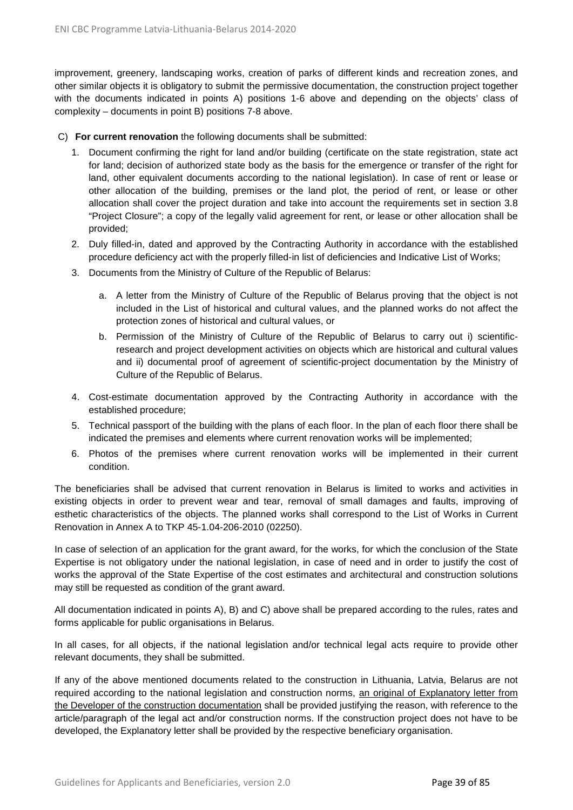improvement, greenery, landscaping works, creation of parks of different kinds and recreation zones, and other similar objects it is obligatory to submit the permissive documentation, the construction project together with the documents indicated in points A) positions 1-6 above and depending on the objects' class of complexity – documents in point B) positions 7-8 above.

#### C) **For current renovation** the following documents shall be submitted:

- 1. Document confirming the right for land and/or building (certificate on the state registration, state act for land; decision of authorized state body as the basis for the emergence or transfer of the right for land, other equivalent documents according to the national legislation). In case of rent or lease or other allocation of the building, premises or the land plot, the period of rent, or lease or other allocation shall cover the project duration and take into account the requirements set in section 3.8 "Project Closure"; a copy of the legally valid agreement for rent, or lease or other allocation shall be provided;
- 2. Duly filled-in, dated and approved by the Contracting Authority in accordance with the established procedure deficiency act with the properly filled-in list of deficiencies and Indicative List of Works;
- 3. Documents from the Ministry of Culture of the Republic of Belarus:
	- a. A letter from the Ministry of Culture of the Republic of Belarus proving that the object is not included in the List of historical and cultural values, and the planned works do not affect the protection zones of historical and cultural values, or
	- b. Permission of the Ministry of Culture of the Republic of Belarus to carry out i) scientificresearch and project development activities on objects which are historical and cultural values and ii) documental proof of agreement of scientific-project documentation by the Ministry of Culture of the Republic of Belarus.
- 4. Cost-estimate documentation approved by the Contracting Authority in accordance with the established procedure;
- 5. Technical passport of the building with the plans of each floor. In the plan of each floor there shall be indicated the premises and elements where current renovation works will be implemented;
- 6. Photos of the premises where current renovation works will be implemented in their current condition.

The beneficiaries shall be advised that current renovation in Belarus is limited to works and activities in existing objects in order to prevent wear and tear, removal of small damages and faults, improving of esthetic characteristics of the objects. The planned works shall correspond to the List of Works in Current Renovation in Annex A to TKP 45-1.04-206-2010 (02250).

In case of selection of an application for the grant award, for the works, for which the conclusion of the State Expertise is not obligatory under the national legislation, in case of need and in order to justify the cost of works the approval of the State Expertise of the cost estimates and architectural and construction solutions may still be requested as condition of the grant award.

All documentation indicated in points A), B) and C) above shall be prepared according to the rules, rates and forms applicable for public organisations in Belarus.

In all cases, for all objects, if the national legislation and/or technical legal acts require to provide other relevant documents, they shall be submitted.

If any of the above mentioned documents related to the construction in Lithuania, Latvia, Belarus are not required according to the national legislation and construction norms, an original of Explanatory letter from the Developer of the construction documentation shall be provided justifying the reason, with reference to the article/paragraph of the legal act and/or construction norms. If the construction project does not have to be developed, the Explanatory letter shall be provided by the respective beneficiary organisation.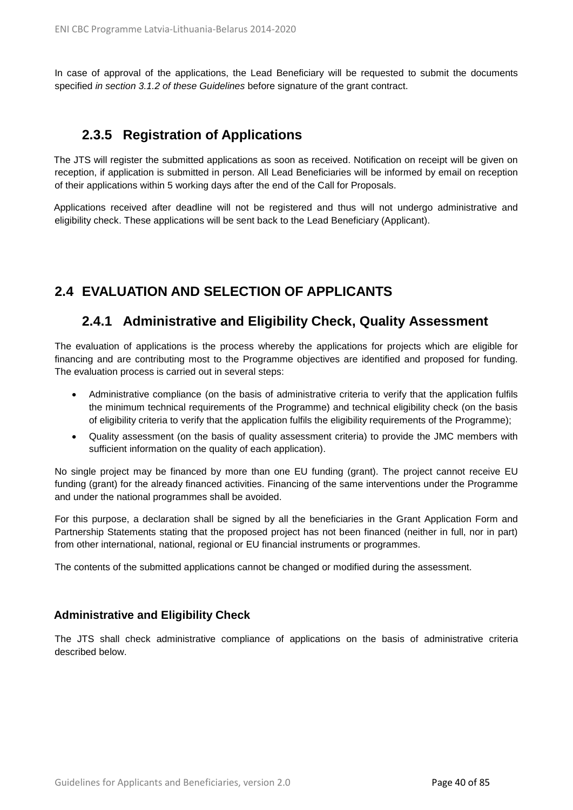In case of approval of the applications, the Lead Beneficiary will be requested to submit the documents specified *in section 3.1.2 of these Guidelines* before signature of the grant contract.

### **2.3.5 Registration of Applications**

The JTS will register the submitted applications as soon as received. Notification on receipt will be given on reception, if application is submitted in person. All Lead Beneficiaries will be informed by email on reception of their applications within 5 working days after the end of the Call for Proposals.

Applications received after deadline will not be registered and thus will not undergo administrative and eligibility check. These applications will be sent back to the Lead Beneficiary (Applicant).

# **2.4 EVALUATION AND SELECTION OF APPLICANTS**

### **2.4.1 Administrative and Eligibility Check, Quality Assessment**

The evaluation of applications is the process whereby the applications for projects which are eligible for financing and are contributing most to the Programme objectives are identified and proposed for funding. The evaluation process is carried out in several steps:

- Administrative compliance (on the basis of administrative criteria to verify that the application fulfils the minimum technical requirements of the Programme) and technical eligibility check (on the basis of eligibility criteria to verify that the application fulfils the eligibility requirements of the Programme);
- Quality assessment (on the basis of quality assessment criteria) to provide the JMC members with sufficient information on the quality of each application).

No single project may be financed by more than one EU funding (grant). The project cannot receive EU funding (grant) for the already financed activities. Financing of the same interventions under the Programme and under the national programmes shall be avoided.

For this purpose, a declaration shall be signed by all the beneficiaries in the Grant Application Form and Partnership Statements stating that the proposed project has not been financed (neither in full, nor in part) from other international, national, regional or EU financial instruments or programmes.

The contents of the submitted applications cannot be changed or modified during the assessment.

### **Administrative and Eligibility Check**

The JTS shall check administrative compliance of applications on the basis of administrative criteria described below.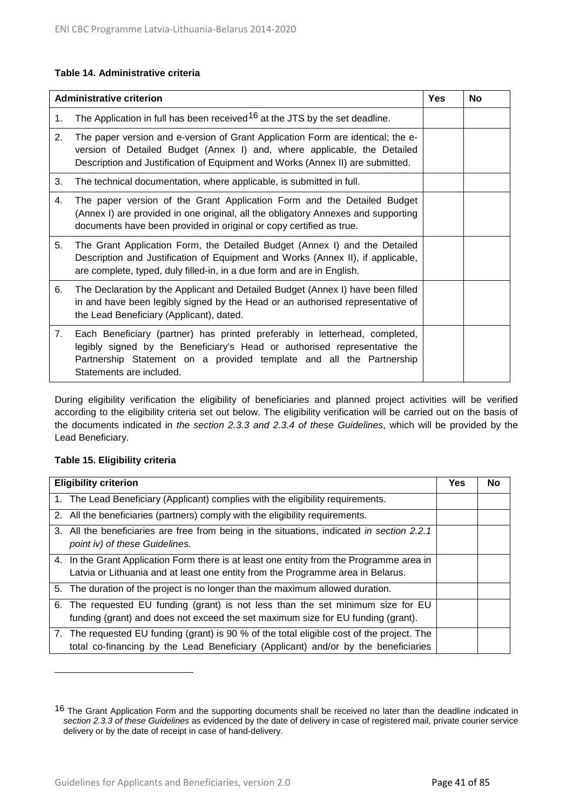#### **Table 14. Administrative criteria**

|    | <b>Administrative criterion</b>                                                                                                                                                                                                                              | <b>Yes</b> | <b>No</b> |
|----|--------------------------------------------------------------------------------------------------------------------------------------------------------------------------------------------------------------------------------------------------------------|------------|-----------|
| 1. | The Application in full has been received <sup>16</sup> at the JTS by the set deadline.                                                                                                                                                                      |            |           |
| 2. | The paper version and e-version of Grant Application Form are identical; the e-<br>version of Detailed Budget (Annex I) and, where applicable, the Detailed<br>Description and Justification of Equipment and Works (Annex II) are submitted.                |            |           |
| 3. | The technical documentation, where applicable, is submitted in full.                                                                                                                                                                                         |            |           |
| 4. | The paper version of the Grant Application Form and the Detailed Budget<br>(Annex I) are provided in one original, all the obligatory Annexes and supporting<br>documents have been provided in original or copy certified as true.                          |            |           |
| 5. | The Grant Application Form, the Detailed Budget (Annex I) and the Detailed<br>Description and Justification of Equipment and Works (Annex II), if applicable,<br>are complete, typed, duly filled-in, in a due form and are in English.                      |            |           |
| 6. | The Declaration by the Applicant and Detailed Budget (Annex I) have been filled<br>in and have been legibly signed by the Head or an authorised representative of<br>the Lead Beneficiary (Applicant), dated.                                                |            |           |
| 7. | Each Beneficiary (partner) has printed preferably in letterhead, completed,<br>legibly signed by the Beneficiary's Head or authorised representative the<br>Partnership Statement on a provided template and all the Partnership<br>Statements are included. |            |           |

During eligibility verification the eligibility of beneficiaries and planned project activities will be verified according to the eligibility criteria set out below. The eligibility verification will be carried out on the basis of the documents indicated in *the section 2.3.3 and 2.3.4 of these Guidelines*, which will be provided by the Lead Beneficiary.

#### **Table 15. Eligibility criteria**

 $\overline{a}$ 

| <b>Eligibility criterion</b>                                                                                                 | Yes | No |
|------------------------------------------------------------------------------------------------------------------------------|-----|----|
| 1. The Lead Beneficiary (Applicant) complies with the eligibility requirements.                                              |     |    |
| 2. All the beneficiaries (partners) comply with the eligibility requirements.                                                |     |    |
| 3. All the beneficiaries are free from being in the situations, indicated in section 2.2.1<br>point iv) of these Guidelines. |     |    |
| 4. In the Grant Application Form there is at least one entity from the Programme area in                                     |     |    |
| Latvia or Lithuania and at least one entity from the Programme area in Belarus.                                              |     |    |
| 5. The duration of the project is no longer than the maximum allowed duration.                                               |     |    |
| 6. The requested EU funding (grant) is not less than the set minimum size for EU                                             |     |    |
| funding (grant) and does not exceed the set maximum size for EU funding (grant).                                             |     |    |
| 7. The requested EU funding (grant) is 90 % of the total eligible cost of the project. The                                   |     |    |
| total co-financing by the Lead Beneficiary (Applicant) and/or by the beneficiaries                                           |     |    |

<span id="page-40-0"></span><sup>16</sup> The Grant Application Form and the supporting documents shall be received no later than the deadline indicated in *section 2.3.3 of these Guidelines* as evidenced by the date of delivery in case of registered mail, private courier service delivery or by the date of receipt in case of hand-delivery.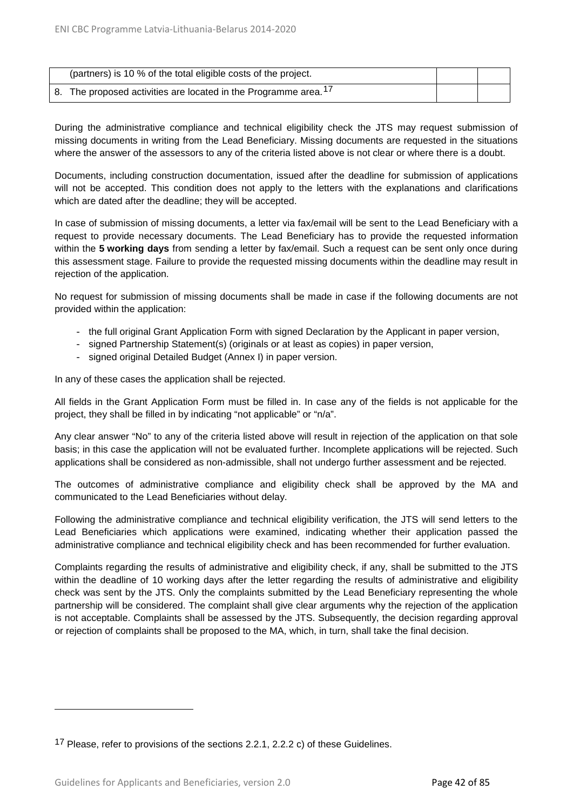| (partners) is 10 % of the total eligible costs of the project.              |  |
|-----------------------------------------------------------------------------|--|
| 8. The proposed activities are located in the Programme area. <sup>17</sup> |  |

During the administrative compliance and technical eligibility check the JTS may request submission of missing documents in writing from the Lead Beneficiary. Missing documents are requested in the situations where the answer of the assessors to any of the criteria listed above is not clear or where there is a doubt.

Documents, including construction documentation, issued after the deadline for submission of applications will not be accepted. This condition does not apply to the letters with the explanations and clarifications which are dated after the deadline; they will be accepted.

In case of submission of missing documents, a letter via fax/email will be sent to the Lead Beneficiary with a request to provide necessary documents. The Lead Beneficiary has to provide the requested information within the **5 working days** from sending a letter by fax/email. Such a request can be sent only once during this assessment stage. Failure to provide the requested missing documents within the deadline may result in rejection of the application.

No request for submission of missing documents shall be made in case if the following documents are not provided within the application:

- the full original Grant Application Form with signed Declaration by the Applicant in paper version,
- signed Partnership Statement(s) (originals or at least as copies) in paper version,
- signed original Detailed Budget (Annex I) in paper version.

In any of these cases the application shall be rejected.

All fields in the Grant Application Form must be filled in. In case any of the fields is not applicable for the project, they shall be filled in by indicating "not applicable" or "n/a".

Any clear answer "No" to any of the criteria listed above will result in rejection of the application on that sole basis; in this case the application will not be evaluated further. Incomplete applications will be rejected. Such applications shall be considered as non-admissible, shall not undergo further assessment and be rejected.

The outcomes of administrative compliance and eligibility check shall be approved by the MA and communicated to the Lead Beneficiaries without delay.

Following the administrative compliance and technical eligibility verification, the JTS will send letters to the Lead Beneficiaries which applications were examined, indicating whether their application passed the administrative compliance and technical eligibility check and has been recommended for further evaluation.

Complaints regarding the results of administrative and eligibility check, if any, shall be submitted to the JTS within the deadline of 10 working days after the letter regarding the results of administrative and eligibility check was sent by the JTS. Only the complaints submitted by the Lead Beneficiary representing the whole partnership will be considered. The complaint shall give clear arguments why the rejection of the application is not acceptable. Complaints shall be assessed by the JTS. Subsequently, the decision regarding approval or rejection of complaints shall be proposed to the MA, which, in turn, shall take the final decision.

 $\ddot{\phantom{a}}$ 

<span id="page-41-0"></span><sup>17</sup> Please, refer to provisions of the sections 2.2.1, 2.2.2 c) of these Guidelines.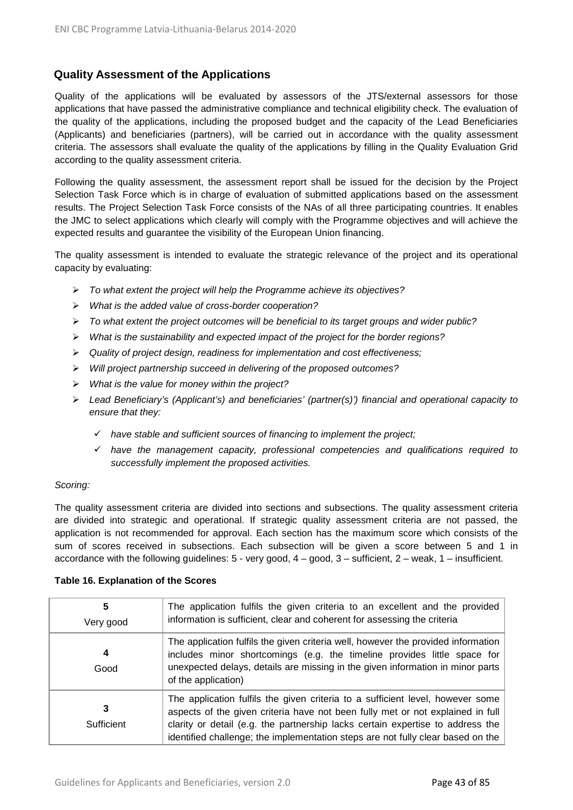### **Quality Assessment of the Applications**

Quality of the applications will be evaluated by assessors of the JTS/external assessors for those applications that have passed the administrative compliance and technical eligibility check. The evaluation of the quality of the applications, including the proposed budget and the capacity of the Lead Beneficiaries (Applicants) and beneficiaries (partners), will be carried out in accordance with the quality assessment criteria. The assessors shall evaluate the quality of the applications by filling in the Quality Evaluation Grid according to the quality assessment criteria.

Following the quality assessment, the assessment report shall be issued for the decision by the Project Selection Task Force which is in charge of evaluation of submitted applications based on the assessment results. The Project Selection Task Force consists of the NAs of all three participating countries. It enables the JMC to select applications which clearly will comply with the Programme objectives and will achieve the expected results and guarantee the visibility of the European Union financing.

The quality assessment is intended to evaluate the strategic relevance of the project and its operational capacity by evaluating:

- *To what extent the project will help the Programme achieve its objectives?*
- *What is the added value of cross-border cooperation?*
- *To what extent the project outcomes will be beneficial to its target groups and wider public?*
- *What is the sustainability and expected impact of the project for the border regions?*
- *Quality of project design, readiness for implementation and cost effectiveness;*
- *Will project partnership succeed in delivering of the proposed outcomes?*
- *What is the value for money within the project?*
- *Lead Beneficiary's (Applicant's) and beneficiaries' (partner(s)') financial and operational capacity to ensure that they:*
	- *have stable and sufficient sources of financing to implement the project;*
	- *have the management capacity, professional competencies and qualifications required to successfully implement the proposed activities.*

#### *Scoring:*

The quality assessment criteria are divided into sections and subsections. The quality assessment criteria are divided into strategic and operational. If strategic quality assessment criteria are not passed, the application is not recommended for approval. Each section has the maximum score which consists of the sum of scores received in subsections. Each subsection will be given a score between 5 and 1 in accordance with the following guidelines: 5 - very good, 4 – good, 3 – sufficient, 2 – weak, 1 – insufficient.

|  | Table 16. Explanation of the Scores |
|--|-------------------------------------|
|--|-------------------------------------|

| 5<br>Very good | The application fulfils the given criteria to an excellent and the provided<br>information is sufficient, clear and coherent for assessing the criteria                                                                                                                                                                               |
|----------------|---------------------------------------------------------------------------------------------------------------------------------------------------------------------------------------------------------------------------------------------------------------------------------------------------------------------------------------|
| 4<br>Good      | The application fulfils the given criteria well, however the provided information<br>includes minor shortcomings (e.g. the timeline provides little space for<br>unexpected delays, details are missing in the given information in minor parts<br>of the application)                                                                |
| Sufficient     | The application fulfils the given criteria to a sufficient level, however some<br>aspects of the given criteria have not been fully met or not explained in full<br>clarity or detail (e.g. the partnership lacks certain expertise to address the<br>identified challenge; the implementation steps are not fully clear based on the |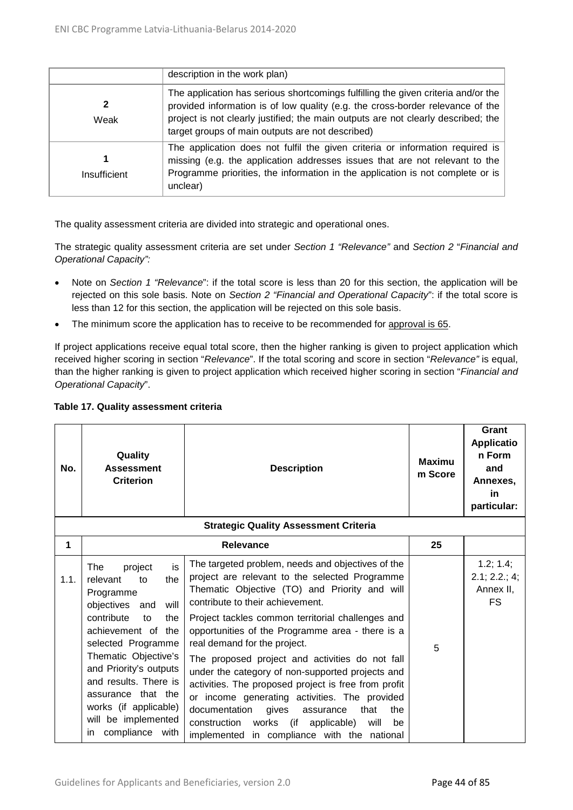|              | description in the work plan)                                                                                                                                                                                                                                                                                |
|--------------|--------------------------------------------------------------------------------------------------------------------------------------------------------------------------------------------------------------------------------------------------------------------------------------------------------------|
| Weak         | The application has serious shortcomings fulfilling the given criteria and/or the<br>provided information is of low quality (e.g. the cross-border relevance of the<br>project is not clearly justified; the main outputs are not clearly described; the<br>target groups of main outputs are not described) |
| Insufficient | The application does not fulfil the given criteria or information required is<br>missing (e.g. the application addresses issues that are not relevant to the<br>Programme priorities, the information in the application is not complete or is<br>unclear)                                                   |

The quality assessment criteria are divided into strategic and operational ones.

The strategic quality assessment criteria are set under *Section 1 "Relevance"* and *Section 2* "*Financial and Operational Capacity":*

- Note on *Section 1 "Relevance*": if the total score is less than 20 for this section, the application will be rejected on this sole basis. Note on *Section 2 "Financial and Operational Capacity*": if the total score is less than 12 for this section, the application will be rejected on this sole basis.
- The minimum score the application has to receive to be recommended for approval is 65.

If project applications receive equal total score, then the higher ranking is given to project application which received higher scoring in section "*Relevance*". If the total scoring and score in section "*Relevance"* is equal, than the higher ranking is given to project application which received higher scoring in section "*Financial and Operational Capacity*".

| No.  | Quality<br><b>Assessment</b><br><b>Criterion</b>                                                                                                                                                                                                                                                                                      | <b>Description</b><br><b>Strategic Quality Assessment Criteria</b>                                                                                                                                                                                                                                                                                                                                                                                                                                                                                                                                                                                                                                            | <b>Maximu</b><br>m Score | Grant<br><b>Applicatio</b><br>n Form<br>and<br>Annexes,<br>in<br>particular: |
|------|---------------------------------------------------------------------------------------------------------------------------------------------------------------------------------------------------------------------------------------------------------------------------------------------------------------------------------------|---------------------------------------------------------------------------------------------------------------------------------------------------------------------------------------------------------------------------------------------------------------------------------------------------------------------------------------------------------------------------------------------------------------------------------------------------------------------------------------------------------------------------------------------------------------------------------------------------------------------------------------------------------------------------------------------------------------|--------------------------|------------------------------------------------------------------------------|
| 1    |                                                                                                                                                                                                                                                                                                                                       | <b>Relevance</b>                                                                                                                                                                                                                                                                                                                                                                                                                                                                                                                                                                                                                                                                                              | 25                       |                                                                              |
| 1.1. | is<br>The<br>project<br>relevant<br>to<br>the<br>Programme<br>objectives and<br>will<br>contribute<br>the<br>to<br>achievement of the<br>selected Programme<br>Thematic Objective's<br>and Priority's outputs<br>and results. There is<br>assurance that the<br>works (if applicable)<br>will be implemented<br>compliance with<br>in | The targeted problem, needs and objectives of the<br>project are relevant to the selected Programme<br>Thematic Objective (TO) and Priority and will<br>contribute to their achievement.<br>Project tackles common territorial challenges and<br>opportunities of the Programme area - there is a<br>real demand for the project.<br>The proposed project and activities do not fall<br>under the category of non-supported projects and<br>activities. The proposed project is free from profit<br>or income generating activities. The provided<br>documentation<br>the<br>gives<br>that<br>assurance<br>construction works (if<br>applicable)<br>will<br>be<br>implemented in compliance with the national | 5                        | 1.2; 1.4;<br>2.1; 2.2; 4;<br>Annex II,<br><b>FS</b>                          |

#### **Table 17. Quality assessment criteria**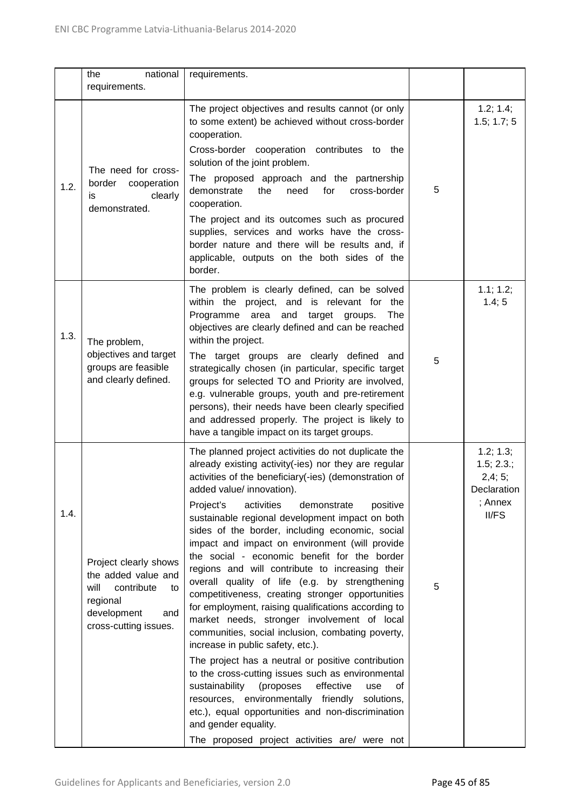|      | national<br>the<br>requirements.                                                                                                    | requirements.                                                                                                                                                                                                                                                                                                                                                                                                                                                                                                                                                                                                                                                                                                                                                                                                                                                                                                                                                                                                                                                                                                                                                                |   |                                                                      |
|------|-------------------------------------------------------------------------------------------------------------------------------------|------------------------------------------------------------------------------------------------------------------------------------------------------------------------------------------------------------------------------------------------------------------------------------------------------------------------------------------------------------------------------------------------------------------------------------------------------------------------------------------------------------------------------------------------------------------------------------------------------------------------------------------------------------------------------------------------------------------------------------------------------------------------------------------------------------------------------------------------------------------------------------------------------------------------------------------------------------------------------------------------------------------------------------------------------------------------------------------------------------------------------------------------------------------------------|---|----------------------------------------------------------------------|
| 1.2. | The need for cross-<br>border<br>cooperation<br>clearly<br>is<br>demonstrated.                                                      | The project objectives and results cannot (or only<br>to some extent) be achieved without cross-border<br>cooperation.<br>Cross-border cooperation contributes to the<br>solution of the joint problem.<br>The proposed approach and the partnership<br>demonstrate<br>the<br>need<br>for<br>cross-border<br>cooperation.<br>The project and its outcomes such as procured<br>supplies, services and works have the cross-<br>border nature and there will be results and, if<br>applicable, outputs on the both sides of the<br>border.                                                                                                                                                                                                                                                                                                                                                                                                                                                                                                                                                                                                                                     | 5 | 1.2; 1.4;<br>1.5; 1.7; 5                                             |
| 1.3. | The problem,<br>objectives and target<br>groups are feasible<br>and clearly defined.                                                | The problem is clearly defined, can be solved<br>within the project, and is relevant for the<br>Programme area and target groups.<br>The<br>objectives are clearly defined and can be reached<br>within the project.<br>The target groups are clearly defined and<br>strategically chosen (in particular, specific target<br>groups for selected TO and Priority are involved,<br>e.g. vulnerable groups, youth and pre-retirement<br>persons), their needs have been clearly specified<br>and addressed properly. The project is likely to<br>have a tangible impact on its target groups.                                                                                                                                                                                                                                                                                                                                                                                                                                                                                                                                                                                  | 5 | 1.1; 1.2;<br>1.4; 5                                                  |
| 1.4. | Project clearly shows<br>the added value and<br>will<br>contribute<br>to<br>regional<br>development<br>and<br>cross-cutting issues. | The planned project activities do not duplicate the<br>already existing activity(-ies) nor they are regular<br>activities of the beneficiary(-ies) (demonstration of<br>added value/ innovation).<br>activities<br>Project's<br>demonstrate<br>positive<br>sustainable regional development impact on both<br>sides of the border, including economic, social<br>impact and impact on environment (will provide<br>the social - economic benefit for the border<br>regions and will contribute to increasing their<br>overall quality of life (e.g. by strengthening<br>competitiveness, creating stronger opportunities<br>for employment, raising qualifications according to<br>market needs, stronger involvement of local<br>communities, social inclusion, combating poverty,<br>increase in public safety, etc.).<br>The project has a neutral or positive contribution<br>to the cross-cutting issues such as environmental<br>sustainability<br>(proposes<br>effective<br>use<br>0f<br>resources, environmentally friendly solutions,<br>etc.), equal opportunities and non-discrimination<br>and gender equality.<br>The proposed project activities are/ were not | 5 | 1.2; 1.3;<br>1.5; 2.3.;<br>2,4;5;<br>Declaration<br>; Annex<br>II/FS |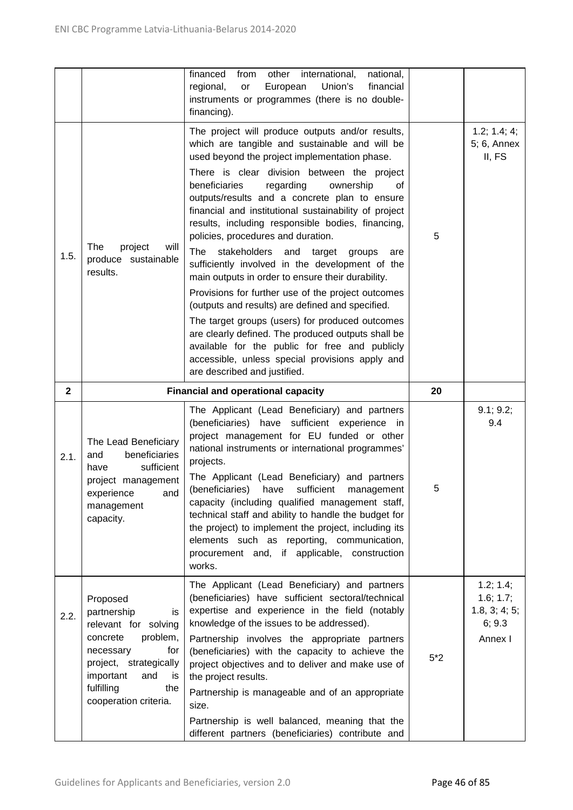|              |                                                                                                                                                                                                     | financed<br>national,<br>from<br>other<br>international,<br>regional,<br>European<br>Union's<br>financial<br>or<br>instruments or programmes (there is no double-<br>financing).                                                                                                                                                                                                                                                                                                                                                                                                                                                                                                                                                                                                                                                                                                                                                                                                  |       |                                                              |
|--------------|-----------------------------------------------------------------------------------------------------------------------------------------------------------------------------------------------------|-----------------------------------------------------------------------------------------------------------------------------------------------------------------------------------------------------------------------------------------------------------------------------------------------------------------------------------------------------------------------------------------------------------------------------------------------------------------------------------------------------------------------------------------------------------------------------------------------------------------------------------------------------------------------------------------------------------------------------------------------------------------------------------------------------------------------------------------------------------------------------------------------------------------------------------------------------------------------------------|-------|--------------------------------------------------------------|
| 1.5.         | The<br>project<br>will<br>produce sustainable<br>results.                                                                                                                                           | The project will produce outputs and/or results,<br>which are tangible and sustainable and will be<br>used beyond the project implementation phase.<br>There is clear division between the project<br>beneficiaries<br>regarding<br>ownership<br>0f<br>outputs/results and a concrete plan to ensure<br>financial and institutional sustainability of project<br>results, including responsible bodies, financing,<br>policies, procedures and duration.<br>The<br>stakeholders<br>and<br>target<br>groups<br>are<br>sufficiently involved in the development of the<br>main outputs in order to ensure their durability.<br>Provisions for further use of the project outcomes<br>(outputs and results) are defined and specified.<br>The target groups (users) for produced outcomes<br>are clearly defined. The produced outputs shall be<br>available for the public for free and publicly<br>accessible, unless special provisions apply and<br>are described and justified. | 5     | 1.2; 1.4; 4;<br>5; 6, Annex<br>II, FS                        |
| $\mathbf{2}$ |                                                                                                                                                                                                     | <b>Financial and operational capacity</b>                                                                                                                                                                                                                                                                                                                                                                                                                                                                                                                                                                                                                                                                                                                                                                                                                                                                                                                                         | 20    |                                                              |
| 2.1.         | The Lead Beneficiary<br>beneficiaries<br>and<br>sufficient<br>have<br>project management<br>experience<br>and<br>management<br>capacity.                                                            | The Applicant (Lead Beneficiary) and partners<br>(beneficiaries) have sufficient experience in<br>project management for EU funded or other<br>national instruments or international programmes'<br>projects.<br>The Applicant (Lead Beneficiary) and partners<br>sufficient<br>(beneficiaries)<br>have<br>management<br>capacity (including qualified management staff,<br>technical staff and ability to handle the budget for<br>the project) to implement the project, including its<br>elements such as reporting, communication,<br>procurement and, if applicable, construction<br>works.                                                                                                                                                                                                                                                                                                                                                                                  | 5     | 9.1; 9.2;<br>9.4                                             |
| 2.2.         | Proposed<br>partnership<br>is<br>relevant for solving<br>problem,<br>concrete<br>necessary<br>for<br>project, strategically<br>important<br>and<br>is<br>fulfilling<br>the<br>cooperation criteria. | The Applicant (Lead Beneficiary) and partners<br>(beneficiaries) have sufficient sectoral/technical<br>expertise and experience in the field (notably<br>knowledge of the issues to be addressed).<br>Partnership involves the appropriate partners<br>(beneficiaries) with the capacity to achieve the<br>project objectives and to deliver and make use of<br>the project results.<br>Partnership is manageable and of an appropriate<br>size.<br>Partnership is well balanced, meaning that the<br>different partners (beneficiaries) contribute and                                                                                                                                                                                                                                                                                                                                                                                                                           | $5*2$ | 1.2; 1.4;<br>1.6; 1.7;<br>1.8, 3; 4; 5;<br>6; 9.3<br>Annex I |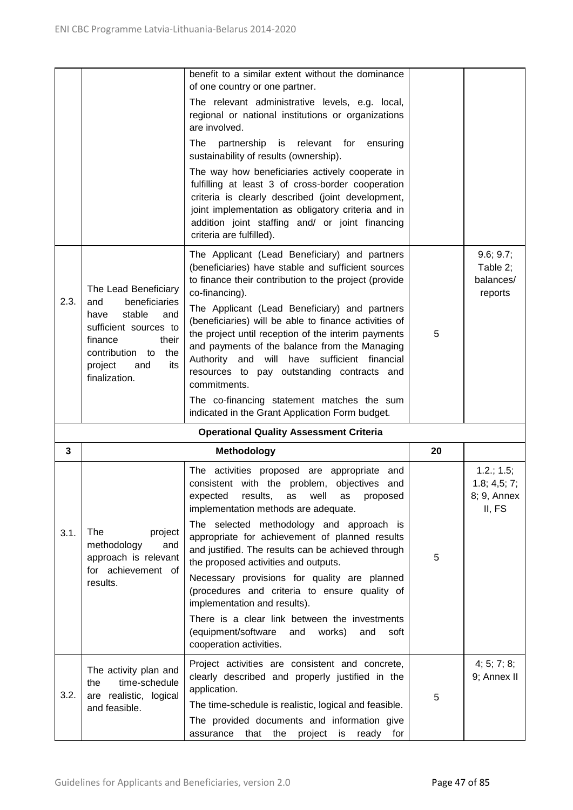|      |                                                                                                                                                                   | benefit to a similar extent without the dominance<br>of one country or one partner.                                                                                                                                                                                                                                                     |    |                                               |
|------|-------------------------------------------------------------------------------------------------------------------------------------------------------------------|-----------------------------------------------------------------------------------------------------------------------------------------------------------------------------------------------------------------------------------------------------------------------------------------------------------------------------------------|----|-----------------------------------------------|
|      |                                                                                                                                                                   | The relevant administrative levels, e.g. local,<br>regional or national institutions or organizations<br>are involved.                                                                                                                                                                                                                  |    |                                               |
|      |                                                                                                                                                                   | The<br>partnership is<br>relevant for<br>ensuring<br>sustainability of results (ownership).                                                                                                                                                                                                                                             |    |                                               |
|      |                                                                                                                                                                   | The way how beneficiaries actively cooperate in<br>fulfilling at least 3 of cross-border cooperation<br>criteria is clearly described (joint development,<br>joint implementation as obligatory criteria and in<br>addition joint staffing and/ or joint financing<br>criteria are fulfilled).                                          |    |                                               |
|      | The Lead Beneficiary                                                                                                                                              | The Applicant (Lead Beneficiary) and partners<br>(beneficiaries) have stable and sufficient sources<br>to finance their contribution to the project (provide<br>co-financing).                                                                                                                                                          |    | 9.6; 9.7;<br>Table 2;<br>balances/<br>reports |
| 2.3. | beneficiaries<br>and<br>stable<br>and<br>have<br>sufficient sources to<br>finance<br>their<br>contribution<br>the<br>to<br>project<br>its<br>and<br>finalization. | The Applicant (Lead Beneficiary) and partners<br>(beneficiaries) will be able to finance activities of<br>the project until reception of the interim payments<br>and payments of the balance from the Managing<br>Authority and will have sufficient financial<br>resources to pay outstanding contracts and<br>commitments.            | 5  |                                               |
|      |                                                                                                                                                                   | The co-financing statement matches the sum<br>indicated in the Grant Application Form budget.                                                                                                                                                                                                                                           |    |                                               |
|      |                                                                                                                                                                   | <b>Operational Quality Assessment Criteria</b>                                                                                                                                                                                                                                                                                          |    |                                               |
| 3    |                                                                                                                                                                   | Methodology                                                                                                                                                                                                                                                                                                                             | 20 |                                               |
|      |                                                                                                                                                                   | The activities proposed are appropriate<br>and                                                                                                                                                                                                                                                                                          |    | 1.2.; 1.5;                                    |
| 3.1. | The<br>project<br>methodology<br>and<br>approach is relevant<br>for achievement of                                                                                | consistent with the problem, objectives and<br>expected<br>results,<br>well<br>as<br>as<br>proposed<br>implementation methods are adequate.<br>The selected methodology and approach is<br>appropriate for achievement of planned results<br>and justified. The results can be achieved through<br>the proposed activities and outputs. | 5  | 1.8; 4.5; 7;<br>8; 9, Annex<br>II, FS         |
|      | results.                                                                                                                                                          | Necessary provisions for quality are planned<br>(procedures and criteria to ensure quality of<br>implementation and results).<br>There is a clear link between the investments<br>(equipment/software<br>and<br>works)<br>and<br>soft                                                                                                   |    |                                               |
| 3.2. | The activity plan and<br>time-schedule<br>the<br>are realistic, logical                                                                                           | cooperation activities.<br>Project activities are consistent and concrete,<br>clearly described and properly justified in the<br>application.                                                                                                                                                                                           | 5  | 4; 5; 7; 8;<br>9; Annex II                    |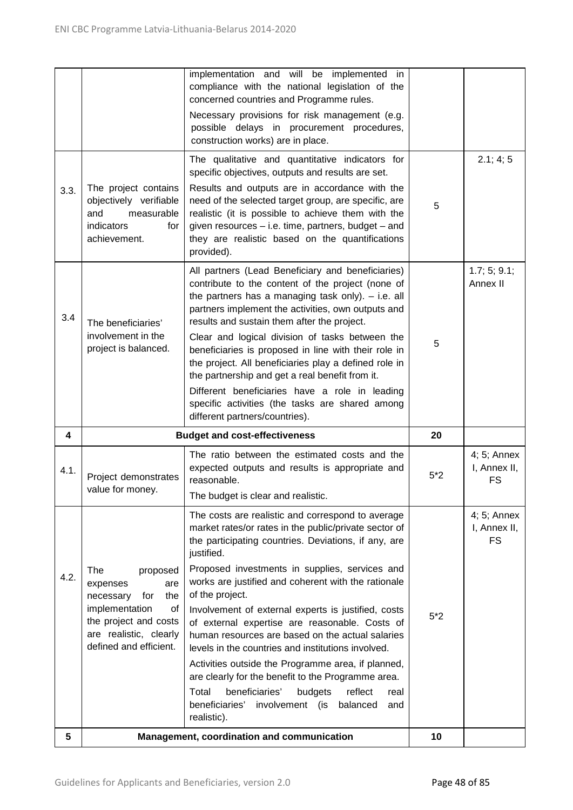| 5    |                                                                                                          | Management, coordination and communication                                                                                                                                                                                                                                           | 10    |                                            |
|------|----------------------------------------------------------------------------------------------------------|--------------------------------------------------------------------------------------------------------------------------------------------------------------------------------------------------------------------------------------------------------------------------------------|-------|--------------------------------------------|
|      |                                                                                                          | beneficiaries'<br>budgets<br>reflect<br>Total<br>real<br>beneficiaries'<br>involvement (is<br>balanced<br>and<br>realistic).                                                                                                                                                         |       |                                            |
|      |                                                                                                          | Activities outside the Programme area, if planned,<br>are clearly for the benefit to the Programme area.                                                                                                                                                                             |       |                                            |
|      | the project and costs<br>are realistic, clearly<br>defined and efficient.                                | Involvement of external experts is justified, costs<br>of external expertise are reasonable. Costs of<br>human resources are based on the actual salaries<br>levels in the countries and institutions involved.                                                                      | $5*2$ |                                            |
| 4.2. | The<br>proposed<br>are<br>expenses<br>for<br>the<br>necessary<br>implementation<br>οf                    | Proposed investments in supplies, services and<br>works are justified and coherent with the rationale<br>of the project.                                                                                                                                                             |       |                                            |
|      |                                                                                                          | The costs are realistic and correspond to average<br>market rates/or rates in the public/private sector of<br>the participating countries. Deviations, if any, are<br>justified.                                                                                                     |       | $4; 5;$ Annex<br>I, Annex II,<br><b>FS</b> |
| 4.1. | Project demonstrates<br>value for money.                                                                 | expected outputs and results is appropriate and<br>reasonable.<br>The budget is clear and realistic.                                                                                                                                                                                 | $5*2$ | I, Annex II,<br><b>FS</b>                  |
|      |                                                                                                          | The ratio between the estimated costs and the                                                                                                                                                                                                                                        |       | 4; 5; Annex                                |
| 4    |                                                                                                          | different partners/countries).<br><b>Budget and cost-effectiveness</b>                                                                                                                                                                                                               | 20    |                                            |
|      |                                                                                                          | Different beneficiaries have a role in leading<br>specific activities (the tasks are shared among                                                                                                                                                                                    |       |                                            |
|      | involvement in the<br>project is balanced.                                                               | Clear and logical division of tasks between the<br>beneficiaries is proposed in line with their role in<br>the project. All beneficiaries play a defined role in<br>the partnership and get a real benefit from it.                                                                  | 5     |                                            |
| 3.4  | The beneficiaries'                                                                                       | All partners (Lead Beneficiary and beneficiaries)<br>contribute to the content of the project (none of<br>the partners has a managing task only). $-$ i.e. all<br>partners implement the activities, own outputs and<br>results and sustain them after the project.                  |       | 1.7; 5; 9.1;<br>Annex II                   |
| 3.3. | The project contains<br>objectively verifiable<br>and<br>measurable<br>indicators<br>for<br>achievement. | Results and outputs are in accordance with the<br>need of the selected target group, are specific, are<br>realistic (it is possible to achieve them with the<br>given resources - i.e. time, partners, budget - and<br>they are realistic based on the quantifications<br>provided). | 5     |                                            |
|      |                                                                                                          | The qualitative and quantitative indicators for<br>specific objectives, outputs and results are set.                                                                                                                                                                                 |       | 2.1; 4; 5                                  |
|      |                                                                                                          | Necessary provisions for risk management (e.g.<br>possible delays in procurement procedures,<br>construction works) are in place.                                                                                                                                                    |       |                                            |
|      |                                                                                                          | implementation and will be implemented in<br>compliance with the national legislation of the<br>concerned countries and Programme rules.                                                                                                                                             |       |                                            |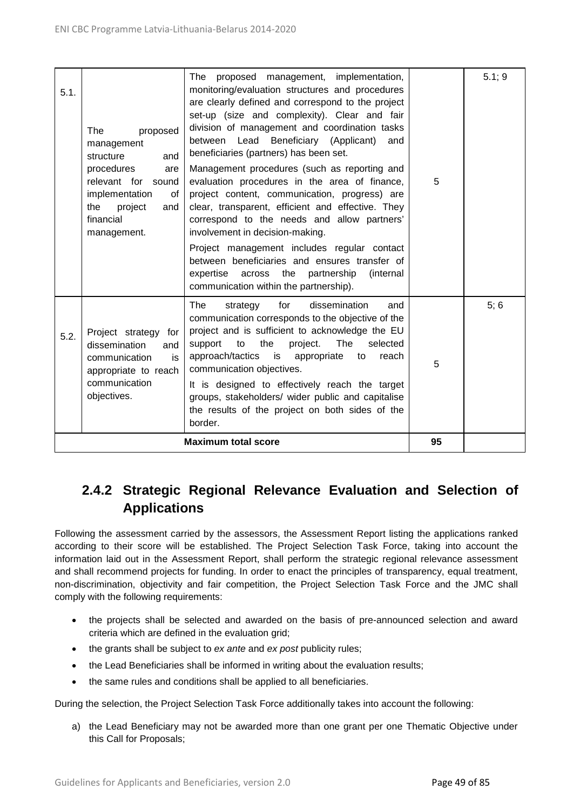| 5.1. | <b>The</b><br>proposed<br>management<br>structure<br>and<br>procedures<br>are<br>relevant for sound<br>implementation<br>0f<br>the<br>project<br>and<br>financial<br>management. | The proposed management, implementation,<br>monitoring/evaluation structures and procedures<br>are clearly defined and correspond to the project<br>set-up (size and complexity). Clear and fair<br>division of management and coordination tasks<br>between Lead<br>Beneficiary (Applicant)<br>and<br>beneficiaries (partners) has been set.<br>Management procedures (such as reporting and<br>evaluation procedures in the area of finance,<br>project content, communication, progress) are<br>clear, transparent, efficient and effective. They<br>correspond to the needs and allow partners'<br>involvement in decision-making.<br>Project management includes regular contact<br>between beneficiaries and ensures transfer of<br>across the partnership<br>expertise<br>(internal)<br>communication within the partnership). | 5  | 5.1; 9 |
|------|----------------------------------------------------------------------------------------------------------------------------------------------------------------------------------|---------------------------------------------------------------------------------------------------------------------------------------------------------------------------------------------------------------------------------------------------------------------------------------------------------------------------------------------------------------------------------------------------------------------------------------------------------------------------------------------------------------------------------------------------------------------------------------------------------------------------------------------------------------------------------------------------------------------------------------------------------------------------------------------------------------------------------------|----|--------|
| 5.2. | Project strategy for<br>dissemination<br>and<br>communication<br>is<br>appropriate to reach<br>communication<br>objectives.                                                      | dissemination<br>The<br>strategy<br>for<br>and<br>communication corresponds to the objective of the<br>project and is sufficient to acknowledge the EU<br>the<br>project.<br>The<br>to<br>selected<br>support<br>approach/tactics is appropriate<br>to<br>reach<br>communication objectives.<br>It is designed to effectively reach the target<br>groups, stakeholders/ wider public and capitalise<br>the results of the project on both sides of the<br>border.                                                                                                                                                                                                                                                                                                                                                                     | 5  | 5; 6   |
|      |                                                                                                                                                                                  | <b>Maximum total score</b>                                                                                                                                                                                                                                                                                                                                                                                                                                                                                                                                                                                                                                                                                                                                                                                                            | 95 |        |

# **2.4.2 Strategic Regional Relevance Evaluation and Selection of Applications**

Following the assessment carried by the assessors, the Assessment Report listing the applications ranked according to their score will be established. The Project Selection Task Force, taking into account the information laid out in the Assessment Report, shall perform the strategic regional relevance assessment and shall recommend projects for funding. In order to enact the principles of transparency, equal treatment, non-discrimination, objectivity and fair competition, the Project Selection Task Force and the JMC shall comply with the following requirements:

- the projects shall be selected and awarded on the basis of pre-announced selection and award criteria which are defined in the evaluation grid;
- the grants shall be subject to *ex ante* and *ex post* publicity rules;
- the Lead Beneficiaries shall be informed in writing about the evaluation results;
- the same rules and conditions shall be applied to all beneficiaries.

During the selection, the Project Selection Task Force additionally takes into account the following:

a) the Lead Beneficiary may not be awarded more than one grant per one Thematic Objective under this Call for Proposals;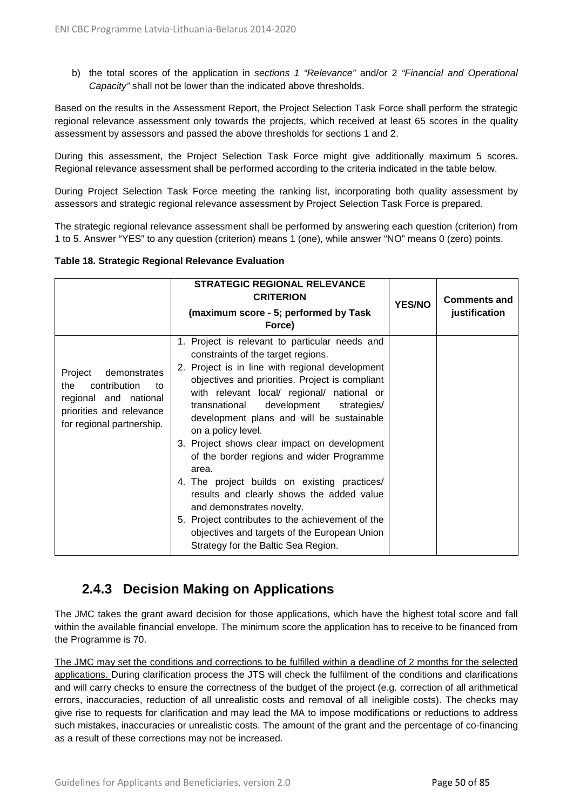b) the total scores of the application in *sections 1 "Relevance"* and/or 2 *"Financial and Operational Capacity"* shall not be lower than the indicated above thresholds.

Based on the results in the Assessment Report, the Project Selection Task Force shall perform the strategic regional relevance assessment only towards the projects, which received at least 65 scores in the quality assessment by assessors and passed the above thresholds for sections 1 and 2.

During this assessment, the Project Selection Task Force might give additionally maximum 5 scores. Regional relevance assessment shall be performed according to the criteria indicated in the table below.

During Project Selection Task Force meeting the ranking list, incorporating both quality assessment by assessors and strategic regional relevance assessment by Project Selection Task Force is prepared.

The strategic regional relevance assessment shall be performed by answering each question (criterion) from 1 to 5. Answer "YES" to any question (criterion) means 1 (one), while answer "NO" means 0 (zero) points.

| Table 18. Strategic Regional Relevance Evaluation |  |  |  |
|---------------------------------------------------|--|--|--|
|---------------------------------------------------|--|--|--|

|                                                                                                                                        | <b>STRATEGIC REGIONAL RELEVANCE</b><br><b>CRITERION</b><br>(maximum score - 5; performed by Task<br>Force)                                                                                                                                                                                                                                                                                                                                                                                                                                                                                                                                                                                                                         | <b>YES/NO</b> | <b>Comments and</b><br>justification |
|----------------------------------------------------------------------------------------------------------------------------------------|------------------------------------------------------------------------------------------------------------------------------------------------------------------------------------------------------------------------------------------------------------------------------------------------------------------------------------------------------------------------------------------------------------------------------------------------------------------------------------------------------------------------------------------------------------------------------------------------------------------------------------------------------------------------------------------------------------------------------------|---------------|--------------------------------------|
| demonstrates<br>Project<br>contribution<br>the<br>to<br>regional and national<br>priorities and relevance<br>for regional partnership. | 1. Project is relevant to particular needs and<br>constraints of the target regions.<br>2. Project is in line with regional development<br>objectives and priorities. Project is compliant<br>with relevant local/ regional/ national or<br>transnational<br>development strategies/<br>development plans and will be sustainable<br>on a policy level.<br>3. Project shows clear impact on development<br>of the border regions and wider Programme<br>area.<br>4. The project builds on existing practices/<br>results and clearly shows the added value<br>and demonstrates novelty.<br>5. Project contributes to the achievement of the<br>objectives and targets of the European Union<br>Strategy for the Baltic Sea Region. |               |                                      |

### **2.4.3 Decision Making on Applications**

The JMC takes the grant award decision for those applications, which have the highest total score and fall within the available financial envelope. The minimum score the application has to receive to be financed from the Programme is 70.

The JMC may set the conditions and corrections to be fulfilled within a deadline of 2 months for the selected applications. During clarification process the JTS will check the fulfilment of the conditions and clarifications and will carry checks to ensure the correctness of the budget of the project (e.g. correction of all arithmetical errors, inaccuracies, reduction of all unrealistic costs and removal of all ineligible costs). The checks may give rise to requests for clarification and may lead the MA to impose modifications or reductions to address such mistakes, inaccuracies or unrealistic costs. The amount of the grant and the percentage of co-financing as a result of these corrections may not be increased.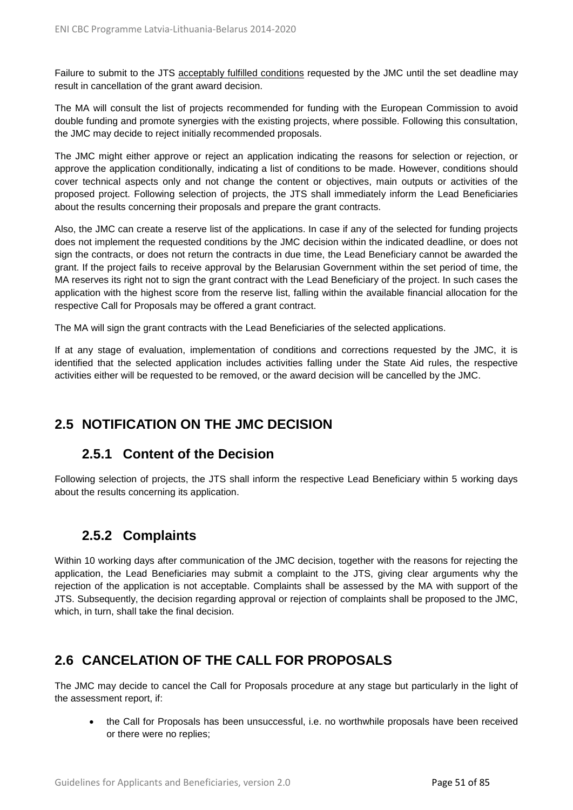Failure to submit to the JTS acceptably fulfilled conditions requested by the JMC until the set deadline may result in cancellation of the grant award decision.

The MA will consult the list of projects recommended for funding with the European Commission to avoid double funding and promote synergies with the existing projects, where possible. Following this consultation, the JMC may decide to reject initially recommended proposals.

The JMC might either approve or reject an application indicating the reasons for selection or rejection, or approve the application conditionally, indicating a list of conditions to be made. However, conditions should cover technical aspects only and not change the content or objectives, main outputs or activities of the proposed project. Following selection of projects, the JTS shall immediately inform the Lead Beneficiaries about the results concerning their proposals and prepare the grant contracts.

Also, the JMC can create a reserve list of the applications. In case if any of the selected for funding projects does not implement the requested conditions by the JMC decision within the indicated deadline, or does not sign the contracts, or does not return the contracts in due time, the Lead Beneficiary cannot be awarded the grant. If the project fails to receive approval by the Belarusian Government within the set period of time, the MA reserves its right not to sign the grant contract with the Lead Beneficiary of the project. In such cases the application with the highest score from the reserve list, falling within the available financial allocation for the respective Call for Proposals may be offered a grant contract.

The MA will sign the grant contracts with the Lead Beneficiaries of the selected applications.

If at any stage of evaluation, implementation of conditions and corrections requested by the JMC, it is identified that the selected application includes activities falling under the State Aid rules, the respective activities either will be requested to be removed, or the award decision will be cancelled by the JMC.

# **2.5 NOTIFICATION ON THE JMC DECISION**

### **2.5.1 Content of the Decision**

Following selection of projects, the JTS shall inform the respective Lead Beneficiary within 5 working days about the results concerning its application.

### **2.5.2 Complaints**

Within 10 working days after communication of the JMC decision, together with the reasons for rejecting the application, the Lead Beneficiaries may submit a complaint to the JTS, giving clear arguments why the rejection of the application is not acceptable. Complaints shall be assessed by the MA with support of the JTS. Subsequently, the decision regarding approval or rejection of complaints shall be proposed to the JMC, which, in turn, shall take the final decision.

# **2.6 CANCELATION OF THE CALL FOR PROPOSALS**

The JMC may decide to cancel the Call for Proposals procedure at any stage but particularly in the light of the assessment report, if:

• the Call for Proposals has been unsuccessful, i.e. no worthwhile proposals have been received or there were no replies;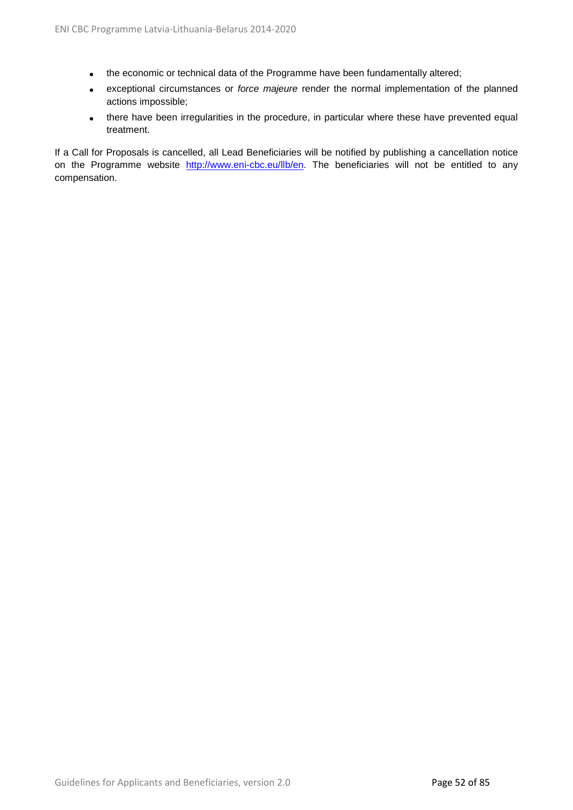- the economic or technical data of the Programme have been fundamentally altered;
- exceptional circumstances or *force majeure* render the normal implementation of the planned actions impossible;
- there have been irregularities in the procedure, in particular where these have prevented equal treatment.

If a Call for Proposals is cancelled, all Lead Beneficiaries will be notified by publishing a cancellation notice on the Programme website [http://www.eni-cbc.eu/llb/en.](http://www.eni-cbc.eu/llb/en) The beneficiaries will not be entitled to any compensation.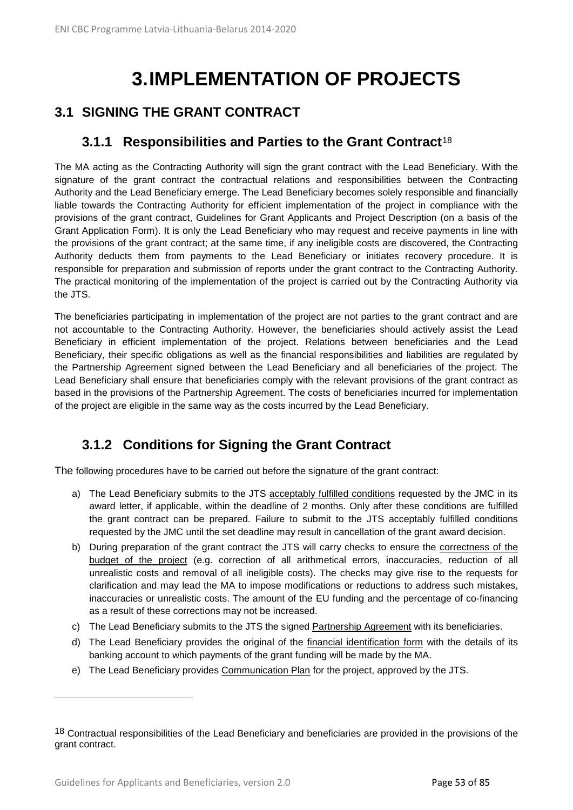# **3.IMPLEMENTATION OF PROJECTS**

# **3.1 SIGNING THE GRANT CONTRACT**

### **3.1.1 Responsibilities and Parties to the Grant Contract**[18](#page-52-0)

The MA acting as the Contracting Authority will sign the grant contract with the Lead Beneficiary. With the signature of the grant contract the contractual relations and responsibilities between the Contracting Authority and the Lead Beneficiary emerge. The Lead Beneficiary becomes solely responsible and financially liable towards the Contracting Authority for efficient implementation of the project in compliance with the provisions of the grant contract, Guidelines for Grant Applicants and Project Description (on a basis of the Grant Application Form). It is only the Lead Beneficiary who may request and receive payments in line with the provisions of the grant contract; at the same time, if any ineligible costs are discovered, the Contracting Authority deducts them from payments to the Lead Beneficiary or initiates recovery procedure. It is responsible for preparation and submission of reports under the grant contract to the Contracting Authority. The practical monitoring of the implementation of the project is carried out by the Contracting Authority via the JTS.

The beneficiaries participating in implementation of the project are not parties to the grant contract and are not accountable to the Contracting Authority. However, the beneficiaries should actively assist the Lead Beneficiary in efficient implementation of the project. Relations between beneficiaries and the Lead Beneficiary, their specific obligations as well as the financial responsibilities and liabilities are regulated by the Partnership Agreement signed between the Lead Beneficiary and all beneficiaries of the project. The Lead Beneficiary shall ensure that beneficiaries comply with the relevant provisions of the grant contract as based in the provisions of the Partnership Agreement. The costs of beneficiaries incurred for implementation of the project are eligible in the same way as the costs incurred by the Lead Beneficiary.

# **3.1.2 Conditions for Signing the Grant Contract**

The following procedures have to be carried out before the signature of the grant contract:

- a) The Lead Beneficiary submits to the JTS acceptably fulfilled conditions requested by the JMC in its award letter, if applicable, within the deadline of 2 months. Only after these conditions are fulfilled the grant contract can be prepared. Failure to submit to the JTS acceptably fulfilled conditions requested by the JMC until the set deadline may result in cancellation of the grant award decision.
- b) During preparation of the grant contract the JTS will carry checks to ensure the correctness of the budget of the project (e.g. correction of all arithmetical errors, inaccuracies, reduction of all unrealistic costs and removal of all ineligible costs). The checks may give rise to the requests for clarification and may lead the MA to impose modifications or reductions to address such mistakes, inaccuracies or unrealistic costs. The amount of the EU funding and the percentage of co-financing as a result of these corrections may not be increased.
- c) The Lead Beneficiary submits to the JTS the signed Partnership Agreement with its beneficiaries.
- d) The Lead Beneficiary provides the original of the financial identification form with the details of its banking account to which payments of the grant funding will be made by the MA.
- e) The Lead Beneficiary provides Communication Plan for the project, approved by the JTS.

 $\overline{a}$ 

<span id="page-52-0"></span><sup>&</sup>lt;sup>18</sup> Contractual responsibilities of the Lead Beneficiary and beneficiaries are provided in the provisions of the grant contract.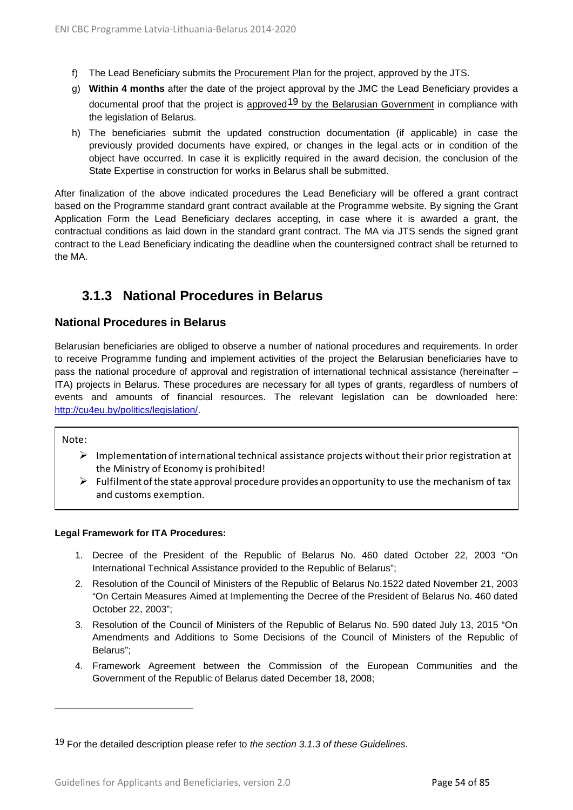- f) The Lead Beneficiary submits the Procurement Plan for the project, approved by the JTS.
- g) **Within 4 months** after the date of the project approval by the JMC the Lead Beneficiary provides a documental proof that the project is approved<sup>[19](#page-53-0)</sup> by the Belarusian Government in compliance with the legislation of Belarus.
- h) The beneficiaries submit the updated construction documentation (if applicable) in case the previously provided documents have expired, or changes in the legal acts or in condition of the object have occurred. In case it is explicitly required in the award decision, the conclusion of the State Expertise in construction for works in Belarus shall be submitted.

After finalization of the above indicated procedures the Lead Beneficiary will be offered a grant contract based on the Programme standard grant contract available at the Programme website. By signing the Grant Application Form the Lead Beneficiary declares accepting, in case where it is awarded a grant, the contractual conditions as laid down in the standard grant contract. The MA via JTS sends the signed grant contract to the Lead Beneficiary indicating the deadline when the countersigned contract shall be returned to the MA.

# **3.1.3 National Procedures in Belarus**

### **National Procedures in Belarus**

Belarusian beneficiaries are obliged to observe a number of national procedures and requirements. In order to receive Programme funding and implement activities of the project the Belarusian beneficiaries have to pass the national procedure of approval and registration of international technical assistance (hereinafter – ITA) projects in Belarus. These procedures are necessary for all types of grants, regardless of numbers of events and amounts of financial resources. The relevant legislation can be downloaded here: [http://cu4eu.by/politics/legislation/.](http://cu4eu.by/politics/legislation/)

Note:

 $\ddot{\phantom{a}}$ 

- $\triangleright$  Implementation of international technical assistance projects without their prior registration at the Ministry of Economy is prohibited!
- $\triangleright$  Fulfilment of the state approval procedure provides an opportunity to use the mechanism of tax and customs exemption.

#### **Legal Framework for ITA Procedures:**

- 1. Decree of the President of the Republic of Belarus No. 460 dated October 22, 2003 "On International Technical Assistance provided to the Republic of Belarus";
- 2. Resolution of the Council of Ministers of the Republic of Belarus No.1522 dated November 21, 2003 "On Certain Measures Aimed at Implementing the Decree of the President of Belarus No. 460 dated October 22, 2003";
- 3. Resolution of the Council of Ministers of the Republic of Belarus No. 590 dated July 13, 2015 "On Amendments and Additions to Some Decisions of the Council of Ministers of the Republic of Belarus";
- 4. Framework Agreement between the Commission of the European Communities and the Government of the Republic of Belarus dated December 18, 2008;

<span id="page-53-0"></span><sup>19</sup> For the detailed description please refer to *the section 3.1.3 of these Guidelines*.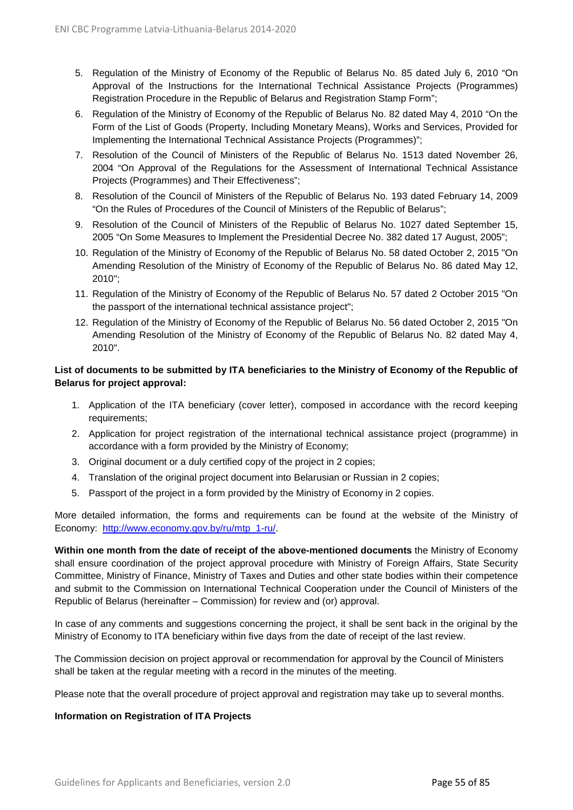- 5. Regulation of the Ministry of Economy of the Republic of Belarus No. 85 dated July 6, 2010 "On Approval of the Instructions for the International Technical Assistance Projects (Programmes) Registration Procedure in the Republic of Belarus and Registration Stamp Form";
- 6. Regulation of the Ministry of Economy of the Republic of Belarus No. 82 dated May 4, 2010 "On the Form of the List of Goods (Property, Including Monetary Means), Works and Services, Provided for Implementing the International Technical Assistance Projects (Programmes)";
- 7. Resolution of the Council of Ministers of the Republic of Belarus No. 1513 dated November 26, 2004 "On Approval of the Regulations for the Assessment of International Technical Assistance Projects (Programmes) and Their Effectiveness";
- 8. Resolution of the Council of Ministers of the Republic of Belarus No. 193 dated February 14, 2009 "On the Rules of Procedures of the Council of Ministers of the Republic of Belarus";
- 9. Resolution of the Council of Ministers of the Republic of Belarus No. 1027 dated September 15, 2005 "On Some Measures to Implement the Presidential Decree No. 382 dated 17 August, 2005";
- 10. Regulation of the Ministry of Economy of the Republic of Belarus No. 58 dated October 2, 2015 "On Amending Resolution of the Ministry of Economy of the Republic of Belarus No. 86 dated May 12, 2010";
- 11. Regulation of the Ministry of Economy of the Republic of Belarus No. 57 dated 2 October 2015 "On the passport of the international technical assistance project";
- 12. Regulation of the Ministry of Economy of the Republic of Belarus No. 56 dated October 2, 2015 "On Amending Resolution of the Ministry of Economy of the Republic of Belarus No. 82 dated May 4, 2010".

#### **List of documents to be submitted by ITA beneficiaries to the Ministry of Economy of the Republic of Belarus for project approval:**

- 1. Application of the ITA beneficiary (cover letter), composed in accordance with the record keeping requirements;
- 2. Application for project registration of the international technical assistance project (programme) in accordance with a form provided by the Ministry of Economy;
- 3. Original document or a duly certified copy of the project in 2 copies;
- 4. Translation of the original project document into Belarusian or Russian in 2 copies;
- 5. Passport of the project in a form provided by the Ministry of Economy in 2 copies.

More detailed information, the forms and requirements can be found at the website of the Ministry of Economy: [http://www.economy.gov.by/ru/mtp\\_1-ru/.](http://www.economy.gov.by/ru/mtp_1-ru/)

**Within one month from the date of receipt of the above-mentioned documents** the Ministry of Economy shall ensure coordination of the project approval procedure with Ministry of Foreign Affairs, State Security Committee, Ministry of Finance, Ministry of Taxes and Duties and other state bodies within their competence and submit to the Commission on International Technical Cooperation under the Council of Ministers of the Republic of Belarus (hereinafter – Commission) for review and (or) approval.

In case of any comments and suggestions concerning the project, it shall be sent back in the original by the Ministry of Economy to ITA beneficiary within five days from the date of receipt of the last review.

The Commission decision on project approval or recommendation for approval by the Council of Ministers shall be taken at the regular meeting with a record in the minutes of the meeting.

Please note that the overall procedure of project approval and registration may take up to several months.

#### **Information on Registration of ITA Projects**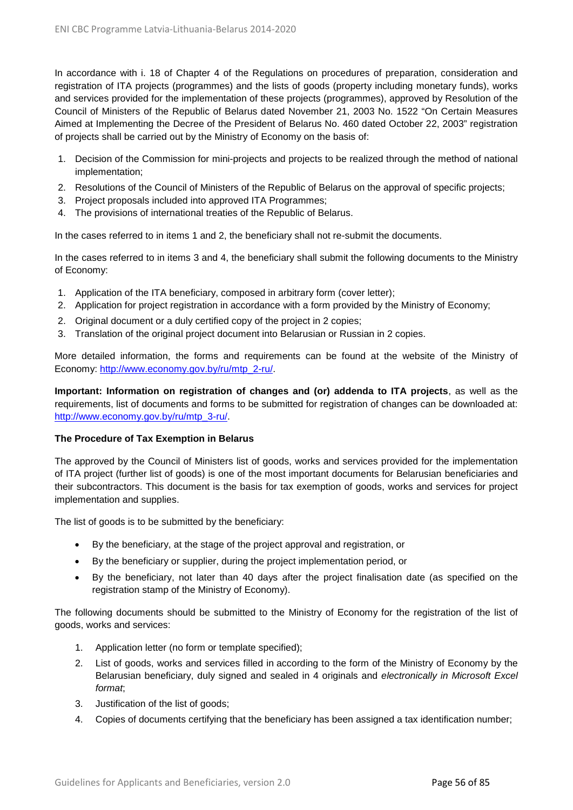In accordance with i. 18 of Chapter 4 of the Regulations on procedures of preparation, consideration and registration of ITA projects (programmes) and the lists of goods (property including monetary funds), works and services provided for the implementation of these projects (programmes), approved by Resolution of the Council of Ministers of the Republic of Belarus dated November 21, 2003 No. 1522 "On Certain Measures Aimed at Implementing the Decree of the President of Belarus No. 460 dated October 22, 2003" registration of projects shall be carried out by the Ministry of Economy on the basis of:

- 1. Decision of the Commission for mini-projects and projects to be realized through the method of national implementation;
- 2. Resolutions of the Council of Ministers of the Republic of Belarus on the approval of specific projects;
- 3. Project proposals included into approved ITA Programmes;
- 4. The provisions of international treaties of the Republic of Belarus.

In the cases referred to in items 1 and 2, the beneficiary shall not re-submit the documents.

In the cases referred to in items 3 and 4, the beneficiary shall submit the following documents to the Ministry of Economy:

- 1. Application of the ITA beneficiary, composed in arbitrary form (cover letter);
- 2. Application for project registration in accordance with a form provided by the Ministry of Economy;
- 2. Original document or a duly certified copy of the project in 2 copies;
- 3. Translation of the original project document into Belarusian or Russian in 2 copies.

More detailed information, the forms and requirements can be found at the website of the Ministry of Economy: [http://www.economy.gov.by/ru/mtp\\_2-ru/.](http://www.economy.gov.by/ru/mtp_2-ru/)

**Important: Information on registration of changes and (or) addenda to ITA projects**, as well as the requirements, list of documents and forms to be submitted for registration of changes can be downloaded at: [http://www.economy.gov.by/ru/mtp\\_3-ru/.](http://www.economy.gov.by/ru/mtp_3-ru/)

#### **The Procedure of Tax Exemption in Belarus**

The approved by the Council of Ministers list of goods, works and services provided for the implementation of ITA project (further list of goods) is one of the most important documents for Belarusian beneficiaries and their subcontractors. This document is the basis for tax exemption of goods, works and services for project implementation and supplies.

The list of goods is to be submitted by the beneficiary:

- By the beneficiary, at the stage of the project approval and registration, or
- By the beneficiary or supplier, during the project implementation period, or
- By the beneficiary, not later than 40 days after the project finalisation date (as specified on the registration stamp of the Ministry of Economy).

The following documents should be submitted to the Ministry of Economy for the registration of the list of goods, works and services:

- 1. Application letter (no form or template specified);
- 2. List of goods, works and services filled in according to the form of the Ministry of Economy by the Belarusian beneficiary, duly signed and sealed in 4 originals and *electronically in Microsoft Excel format*;
- 3. Justification of the list of goods;
- 4. Copies of documents certifying that the beneficiary has been assigned a tax identification number;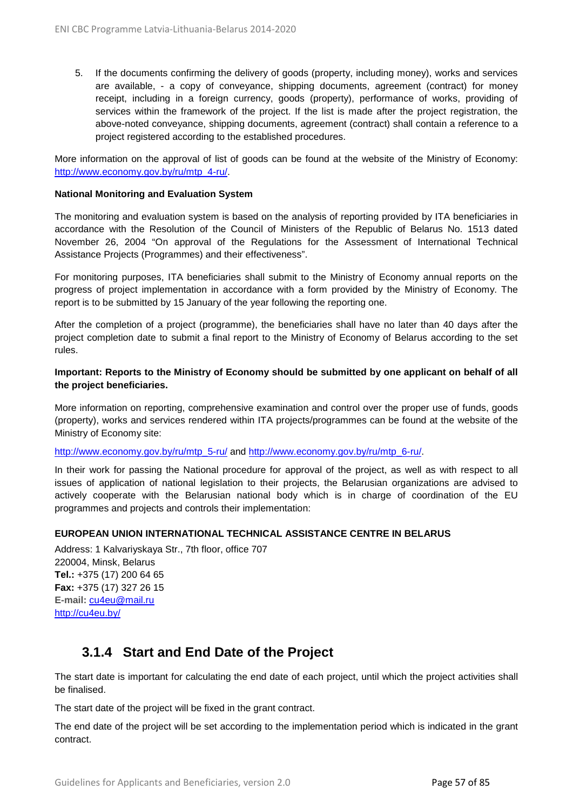5. If the documents confirming the delivery of goods (property, including money), works and services are available, - a copy of conveyance, shipping documents, agreement (contract) for money receipt, including in a foreign currency, goods (property), performance of works, providing of services within the framework of the project. If the list is made after the project registration, the above-noted conveyance, shipping documents, agreement (contract) shall contain a reference to a project registered according to the established procedures.

More information on the approval of list of goods can be found at the website of the Ministry of Economy: [http://www.economy.gov.by/ru/mtp\\_4-ru/.](http://www.economy.gov.by/ru/mtp_4-ru/)

#### **National Monitoring and Evaluation System**

The monitoring and evaluation system is based on the analysis of reporting provided by ITA beneficiaries in accordance with the Resolution of the Council of Ministers of the Republic of Belarus No. 1513 dated November 26, 2004 "On approval of the Regulations for the Assessment of International Technical Assistance Projects (Programmes) and their effectiveness".

For monitoring purposes, ITA beneficiaries shall submit to the Ministry of Economy annual reports on the progress of project implementation in accordance with a form provided by the Ministry of Economy. The report is to be submitted by 15 January of the year following the reporting one.

After the completion of a project (programme), the beneficiaries shall have no later than 40 days after the project completion date to submit a final report to the Ministry of Economy of Belarus according to the set rules.

#### **Important: Reports to the Ministry of Economy should be submitted by one applicant on behalf of all the project beneficiaries.**

More information on reporting, comprehensive examination and control over the proper use of funds, goods (property), works and services rendered within ITA projects/programmes can be found at the website of the Ministry of Economy site:

[http://www.economy.gov.by/ru/mtp\\_5-ru/](http://www.economy.gov.by/ru/mtp_5-ru/) and [http://www.economy.gov.by/ru/mtp\\_6-ru/.](http://www.economy.gov.by/ru/mtp_6-ru/)

In their work for passing the National procedure for approval of the project, as well as with respect to all issues of application of national legislation to their projects, the Belarusian organizations are advised to actively cooperate with the Belarusian national body which is in charge of coordination of the EU programmes and projects and controls their implementation:

#### **EUROPEAN UNION INTERNATIONAL TECHNICAL ASSISTANCE CENTRE IN BELARUS**

Address: 1 Kalvariyskaya Str., 7th floor, office 707 220004, Minsk, Belarus **Tel.:** +375 (17) 200 64 65 **Fax:** +375 (17) 327 26 15 **E-mail:** [cu4eu@mail.ru](mailto:cu4eu@mail.ru) [http://cu4eu.by/](http://www.cu4eu.net/)

### **3.1.4 Start and End Date of the Project**

The start date is important for calculating the end date of each project, until which the project activities shall be finalised.

The start date of the project will be fixed in the grant contract.

The end date of the project will be set according to the implementation period which is indicated in the grant contract.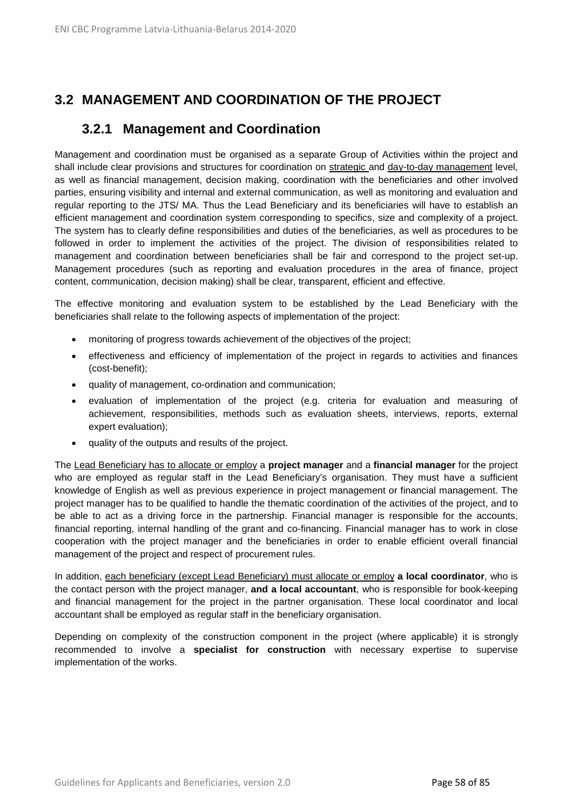# **3.2 MANAGEMENT AND COORDINATION OF THE PROJECT**

### **3.2.1 Management and Coordination**

Management and coordination must be organised as a separate Group of Activities within the project and shall include clear provisions and structures for coordination on strategic and day-to-day management level, as well as financial management, decision making, coordination with the beneficiaries and other involved parties, ensuring visibility and internal and external communication, as well as monitoring and evaluation and regular reporting to the JTS/ MA. Thus the Lead Beneficiary and its beneficiaries will have to establish an efficient management and coordination system corresponding to specifics, size and complexity of a project. The system has to clearly define responsibilities and duties of the beneficiaries, as well as procedures to be followed in order to implement the activities of the project. The division of responsibilities related to management and coordination between beneficiaries shall be fair and correspond to the project set-up. Management procedures (such as reporting and evaluation procedures in the area of finance, project content, communication, decision making) shall be clear, transparent, efficient and effective.

The effective monitoring and evaluation system to be established by the Lead Beneficiary with the beneficiaries shall relate to the following aspects of implementation of the project:

- monitoring of progress towards achievement of the objectives of the project;
- effectiveness and efficiency of implementation of the project in regards to activities and finances (cost-benefit);
- quality of management, co-ordination and communication;
- evaluation of implementation of the project (e.g. criteria for evaluation and measuring of achievement, responsibilities, methods such as evaluation sheets, interviews, reports, external expert evaluation);
- quality of the outputs and results of the project.

The Lead Beneficiary has to allocate or employ a **project manager** and a **financial manager** for the project who are employed as regular staff in the Lead Beneficiary's organisation. They must have a sufficient knowledge of English as well as previous experience in project management or financial management. The project manager has to be qualified to handle the thematic coordination of the activities of the project, and to be able to act as a driving force in the partnership. Financial manager is responsible for the accounts, financial reporting, internal handling of the grant and co-financing. Financial manager has to work in close cooperation with the project manager and the beneficiaries in order to enable efficient overall financial management of the project and respect of procurement rules.

In addition, each beneficiary (except Lead Beneficiary) must allocate or employ **a local coordinator**, who is the contact person with the project manager, **and a local accountant**, who is responsible for book-keeping and financial management for the project in the partner organisation. These local coordinator and local accountant shall be employed as regular staff in the beneficiary organisation.

Depending on complexity of the construction component in the project (where applicable) it is strongly recommended to involve a **specialist for construction** with necessary expertise to supervise implementation of the works.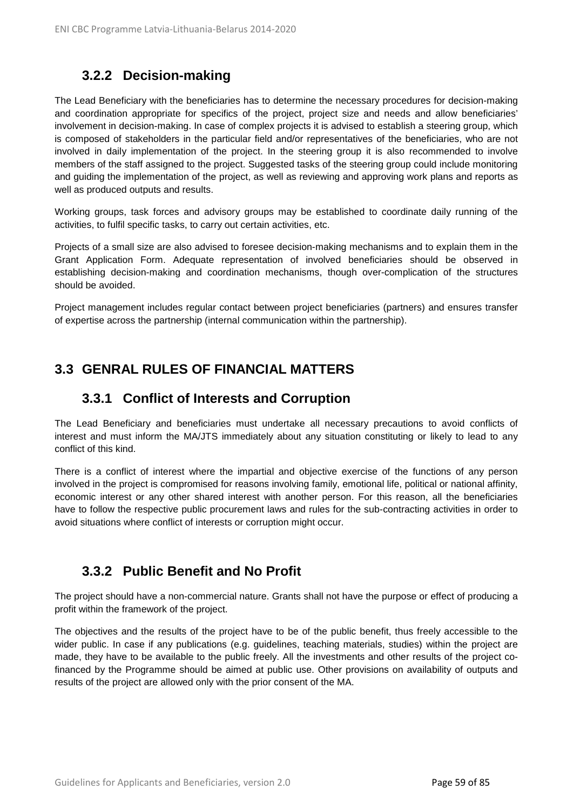# **3.2.2 Decision-making**

The Lead Beneficiary with the beneficiaries has to determine the necessary procedures for decision-making and coordination appropriate for specifics of the project, project size and needs and allow beneficiaries' involvement in decision-making. In case of complex projects it is advised to establish a steering group, which is composed of stakeholders in the particular field and/or representatives of the beneficiaries, who are not involved in daily implementation of the project. In the steering group it is also recommended to involve members of the staff assigned to the project. Suggested tasks of the steering group could include monitoring and guiding the implementation of the project, as well as reviewing and approving work plans and reports as well as produced outputs and results.

Working groups, task forces and advisory groups may be established to coordinate daily running of the activities, to fulfil specific tasks, to carry out certain activities, etc.

Projects of a small size are also advised to foresee decision-making mechanisms and to explain them in the Grant Application Form. Adequate representation of involved beneficiaries should be observed in establishing decision-making and coordination mechanisms, though over-complication of the structures should be avoided.

Project management includes regular contact between project beneficiaries (partners) and ensures transfer of expertise across the partnership (internal communication within the partnership).

# **3.3 GENRAL RULES OF FINANCIAL MATTERS**

### **3.3.1 Conflict of Interests and Corruption**

The Lead Beneficiary and beneficiaries must undertake all necessary precautions to avoid conflicts of interest and must inform the MA/JTS immediately about any situation constituting or likely to lead to any conflict of this kind.

There is a conflict of interest where the impartial and objective exercise of the functions of any person involved in the project is compromised for reasons involving family, emotional life, political or national affinity, economic interest or any other shared interest with another person. For this reason, all the beneficiaries have to follow the respective public procurement laws and rules for the sub-contracting activities in order to avoid situations where conflict of interests or corruption might occur.

### **3.3.2 Public Benefit and No Profit**

The project should have a non-commercial nature. Grants shall not have the purpose or effect of producing a profit within the framework of the project.

The objectives and the results of the project have to be of the public benefit, thus freely accessible to the wider public. In case if any publications (e.g. guidelines, teaching materials, studies) within the project are made, they have to be available to the public freely. All the investments and other results of the project cofinanced by the Programme should be aimed at public use. Other provisions on availability of outputs and results of the project are allowed only with the prior consent of the MA.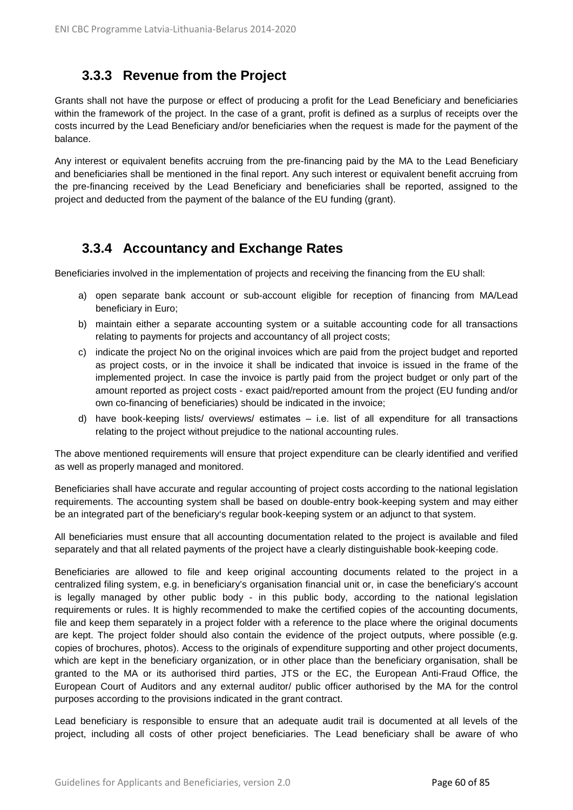# **3.3.3 Revenue from the Project**

Grants shall not have the purpose or effect of producing a profit for the Lead Beneficiary and beneficiaries within the framework of the project. In the case of a grant, profit is defined as a surplus of receipts over the costs incurred by the Lead Beneficiary and/or beneficiaries when the request is made for the payment of the balance.

Any interest or equivalent benefits accruing from the pre-financing paid by the MA to the Lead Beneficiary and beneficiaries shall be mentioned in the final report. Any such interest or equivalent benefit accruing from the pre-financing received by the Lead Beneficiary and beneficiaries shall be reported, assigned to the project and deducted from the payment of the balance of the EU funding (grant).

### **3.3.4 Accountancy and Exchange Rates**

Beneficiaries involved in the implementation of projects and receiving the financing from the EU shall:

- a) open separate bank account or sub-account eligible for reception of financing from MA/Lead beneficiary in Euro;
- b) maintain either a separate accounting system or a suitable accounting code for all transactions relating to payments for projects and accountancy of all project costs;
- c) indicate the project No on the original invoices which are paid from the project budget and reported as project costs, or in the invoice it shall be indicated that invoice is issued in the frame of the implemented project. In case the invoice is partly paid from the project budget or only part of the amount reported as project costs - exact paid/reported amount from the project (EU funding and/or own co-financing of beneficiaries) should be indicated in the invoice;
- d) have book-keeping lists/ overviews/ estimates i.e. list of all expenditure for all transactions relating to the project without prejudice to the national accounting rules.

The above mentioned requirements will ensure that project expenditure can be clearly identified and verified as well as properly managed and monitored.

Beneficiaries shall have accurate and regular accounting of project costs according to the national legislation requirements. The accounting system shall be based on double-entry book-keeping system and may either be an integrated part of the beneficiary's regular book-keeping system or an adjunct to that system.

All beneficiaries must ensure that all accounting documentation related to the project is available and filed separately and that all related payments of the project have a clearly distinguishable book-keeping code.

Beneficiaries are allowed to file and keep original accounting documents related to the project in a centralized filing system, e.g. in beneficiary's organisation financial unit or, in case the beneficiary's account is legally managed by other public body - in this public body, according to the national legislation requirements or rules. It is highly recommended to make the certified copies of the accounting documents, file and keep them separately in a project folder with a reference to the place where the original documents are kept. The project folder should also contain the evidence of the project outputs, where possible (e.g. copies of brochures, photos). Access to the originals of expenditure supporting and other project documents, which are kept in the beneficiary organization, or in other place than the beneficiary organisation, shall be granted to the MA or its authorised third parties, JTS or the EC, the European Anti-Fraud Office, the European Court of Auditors and any external auditor/ public officer authorised by the MA for the control purposes according to the provisions indicated in the grant contract.

Lead beneficiary is responsible to ensure that an adequate audit trail is documented at all levels of the project, including all costs of other project beneficiaries. The Lead beneficiary shall be aware of who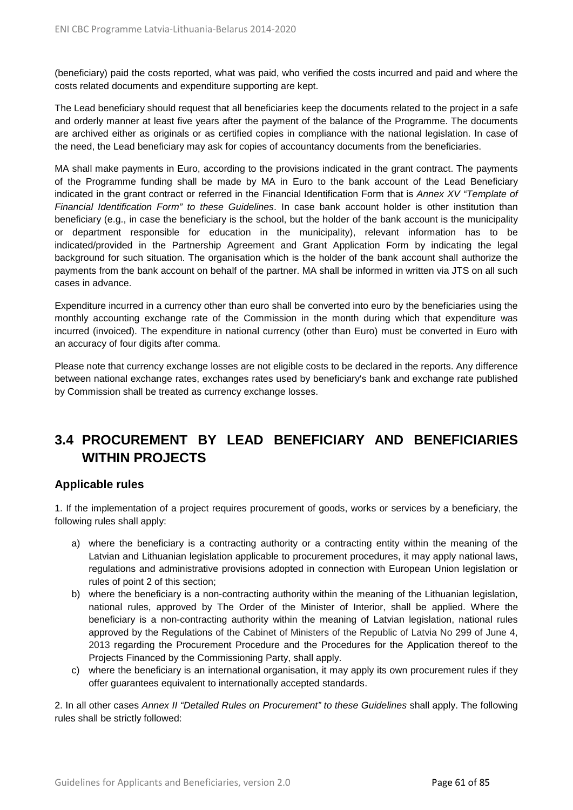(beneficiary) paid the costs reported, what was paid, who verified the costs incurred and paid and where the costs related documents and expenditure supporting are kept.

The Lead beneficiary should request that all beneficiaries keep the documents related to the project in a safe and orderly manner at least five years after the payment of the balance of the Programme. The documents are archived either as originals or as certified copies in compliance with the national legislation. In case of the need, the Lead beneficiary may ask for copies of accountancy documents from the beneficiaries.

MA shall make payments in Euro, according to the provisions indicated in the grant contract. The payments of the Programme funding shall be made by MA in Euro to the bank account of the Lead Beneficiary indicated in the grant contract or referred in the Financial Identification Form that is *Annex XV "Template of Financial Identification Form" to these Guidelines*. In case bank account holder is other institution than beneficiary (e.g., in case the beneficiary is the school, but the holder of the bank account is the municipality or department responsible for education in the municipality), relevant information has to be indicated/provided in the Partnership Agreement and Grant Application Form by indicating the legal background for such situation. The organisation which is the holder of the bank account shall authorize the payments from the bank account on behalf of the partner. MA shall be informed in written via JTS on all such cases in advance.

Expenditure incurred in a currency other than euro shall be converted into euro by the beneficiaries using the monthly accounting exchange rate of the Commission in the month during which that expenditure was incurred (invoiced). The expenditure in national currency (other than Euro) must be converted in Euro with an accuracy of four digits after comma.

Please note that currency exchange losses are not eligible costs to be declared in the reports. Any difference between national exchange rates, exchanges rates used by beneficiary's bank and exchange rate published by Commission shall be treated as currency exchange losses.

# **3.4 PROCUREMENT BY LEAD BENEFICIARY AND BENEFICIARIES WITHIN PROJECTS**

### **Applicable rules**

1. If the implementation of a project requires procurement of goods, works or services by a beneficiary, the following rules shall apply:

- a) where the beneficiary is a contracting authority or a contracting entity within the meaning of the Latvian and Lithuanian legislation applicable to procurement procedures, it may apply national laws, regulations and administrative provisions adopted in connection with European Union legislation or rules of point 2 of this section;
- b) where the beneficiary is a non-contracting authority within the meaning of the Lithuanian legislation, national rules, approved by The Order of the Minister of Interior, shall be applied. Where the beneficiary is a non-contracting authority within the meaning of Latvian legislation, national rules approved by the Regulations of the Cabinet of Ministers of the Republic of Latvia No 299 of June 4, 2013 regarding the Procurement Procedure and the Procedures for the Application thereof to the Projects Financed by the Commissioning Party, shall apply.
- c) where the beneficiary is an international organisation, it may apply its own procurement rules if they offer guarantees equivalent to internationally accepted standards.

2. In all other cases *Annex II "Detailed Rules on Procurement" to these Guidelines* shall apply. The following rules shall be strictly followed: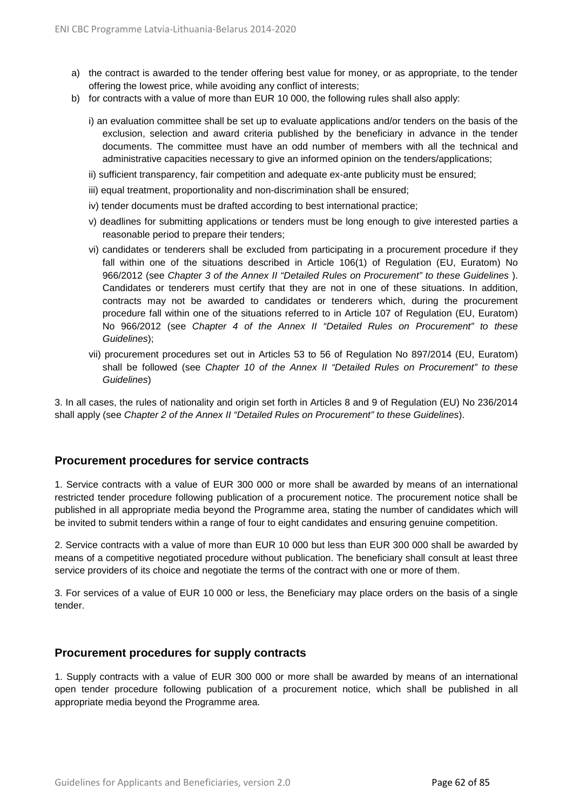- a) the contract is awarded to the tender offering best value for money, or as appropriate, to the tender offering the lowest price, while avoiding any conflict of interests;
- b) for contracts with a value of more than EUR 10 000, the following rules shall also apply:
	- i) an evaluation committee shall be set up to evaluate applications and/or tenders on the basis of the exclusion, selection and award criteria published by the beneficiary in advance in the tender documents. The committee must have an odd number of members with all the technical and administrative capacities necessary to give an informed opinion on the tenders/applications;
	- ii) sufficient transparency, fair competition and adequate ex-ante publicity must be ensured;
	- iii) equal treatment, proportionality and non-discrimination shall be ensured;
	- iv) tender documents must be drafted according to best international practice;
	- v) deadlines for submitting applications or tenders must be long enough to give interested parties a reasonable period to prepare their tenders;
	- vi) candidates or tenderers shall be excluded from participating in a procurement procedure if they fall within one of the situations described in Article 106(1) of Regulation (EU, Euratom) No 966/2012 (see *Chapter 3 of the Annex II "Detailed Rules on Procurement" to these Guidelines* ). Candidates or tenderers must certify that they are not in one of these situations. In addition, contracts may not be awarded to candidates or tenderers which, during the procurement procedure fall within one of the situations referred to in Article 107 of Regulation (EU, Euratom) No 966/2012 (see *Chapter 4 of the Annex II "Detailed Rules on Procurement" to these Guidelines*);
	- vii) procurement procedures set out in Articles 53 to 56 of Regulation No 897/2014 (EU, Euratom) shall be followed (see *Chapter 10 of the Annex II "Detailed Rules on Procurement" to these Guidelines*)

3. In all cases, the rules of nationality and origin set forth in Articles 8 and 9 of Regulation (EU) No 236/2014 shall apply (see *Chapter 2 of the Annex II "Detailed Rules on Procurement" to these Guidelines*).

#### **Procurement procedures for service contracts**

1. Service contracts with a value of EUR 300 000 or more shall be awarded by means of an international restricted tender procedure following publication of a procurement notice. The procurement notice shall be published in all appropriate media beyond the Programme area, stating the number of candidates which will be invited to submit tenders within a range of four to eight candidates and ensuring genuine competition.

2. Service contracts with a value of more than EUR 10 000 but less than EUR 300 000 shall be awarded by means of a competitive negotiated procedure without publication. The beneficiary shall consult at least three service providers of its choice and negotiate the terms of the contract with one or more of them.

3. For services of a value of EUR 10 000 or less, the Beneficiary may place orders on the basis of a single tender.

#### **Procurement procedures for supply contracts**

1. Supply contracts with a value of EUR 300 000 or more shall be awarded by means of an international open tender procedure following publication of a procurement notice, which shall be published in all appropriate media beyond the Programme area.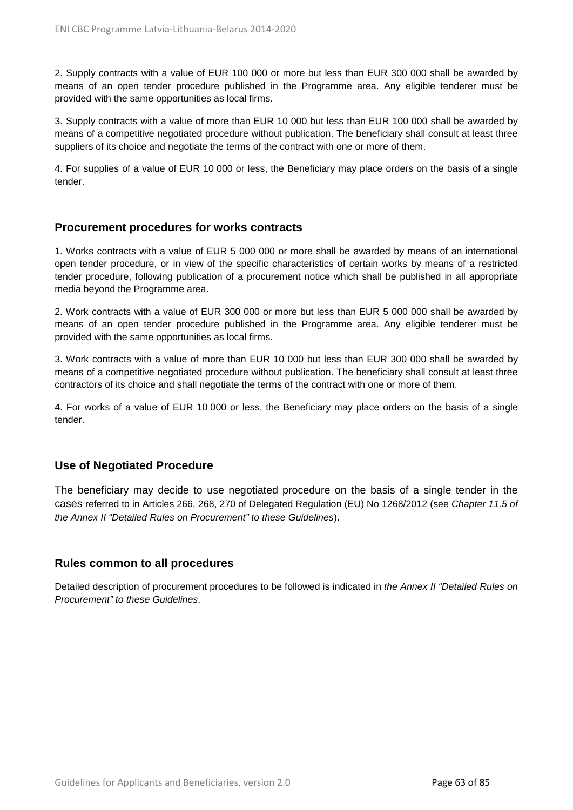2. Supply contracts with a value of EUR 100 000 or more but less than EUR 300 000 shall be awarded by means of an open tender procedure published in the Programme area. Any eligible tenderer must be provided with the same opportunities as local firms.

3. Supply contracts with a value of more than EUR 10 000 but less than EUR 100 000 shall be awarded by means of a competitive negotiated procedure without publication. The beneficiary shall consult at least three suppliers of its choice and negotiate the terms of the contract with one or more of them.

4. For supplies of a value of EUR 10 000 or less, the Beneficiary may place orders on the basis of a single tender.

#### **Procurement procedures for works contracts**

1. Works contracts with a value of EUR 5 000 000 or more shall be awarded by means of an international open tender procedure, or in view of the specific characteristics of certain works by means of a restricted tender procedure, following publication of a procurement notice which shall be published in all appropriate media beyond the Programme area.

2. Work contracts with a value of EUR 300 000 or more but less than EUR 5 000 000 shall be awarded by means of an open tender procedure published in the Programme area. Any eligible tenderer must be provided with the same opportunities as local firms.

3. Work contracts with a value of more than EUR 10 000 but less than EUR 300 000 shall be awarded by means of a competitive negotiated procedure without publication. The beneficiary shall consult at least three contractors of its choice and shall negotiate the terms of the contract with one or more of them.

4. For works of a value of EUR 10 000 or less, the Beneficiary may place orders on the basis of a single tender.

### **Use of Negotiated Procedure**

The beneficiary may decide to use negotiated procedure on the basis of a single tender in the cases referred to in Articles 266, 268, 270 of Delegated Regulation (EU) No 1268/2012 (see *Chapter 11.5 of the Annex II "Detailed Rules on Procurement" to these Guidelines*).

#### **Rules common to all procedures**

Detailed description of procurement procedures to be followed is indicated in *the Annex II "Detailed Rules on Procurement" to these Guidelines*.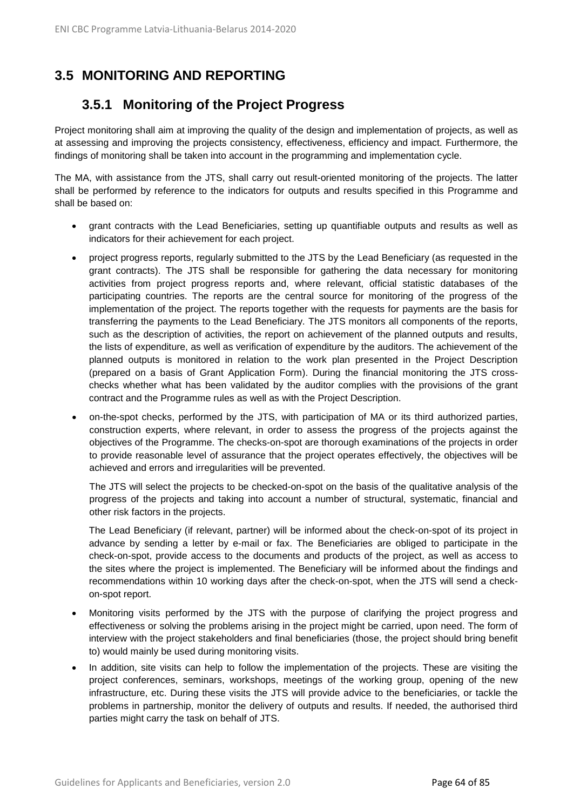# **3.5 MONITORING AND REPORTING**

# **3.5.1 Monitoring of the Project Progress**

Project monitoring shall aim at improving the quality of the design and implementation of projects, as well as at assessing and improving the projects consistency, effectiveness, efficiency and impact. Furthermore, the findings of monitoring shall be taken into account in the programming and implementation cycle.

The MA, with assistance from the JTS, shall carry out result-oriented monitoring of the projects. The latter shall be performed by reference to the indicators for outputs and results specified in this Programme and shall be based on:

- grant contracts with the Lead Beneficiaries, setting up quantifiable outputs and results as well as indicators for their achievement for each project.
- project progress reports, regularly submitted to the JTS by the Lead Beneficiary (as requested in the grant contracts). The JTS shall be responsible for gathering the data necessary for monitoring activities from project progress reports and, where relevant, official statistic databases of the participating countries. The reports are the central source for monitoring of the progress of the implementation of the project. The reports together with the requests for payments are the basis for transferring the payments to the Lead Beneficiary. The JTS monitors all components of the reports, such as the description of activities, the report on achievement of the planned outputs and results, the lists of expenditure, as well as verification of expenditure by the auditors. The achievement of the planned outputs is monitored in relation to the work plan presented in the Project Description (prepared on a basis of Grant Application Form). During the financial monitoring the JTS crosschecks whether what has been validated by the auditor complies with the provisions of the grant contract and the Programme rules as well as with the Project Description.
- on-the-spot checks, performed by the JTS, with participation of MA or its third authorized parties, construction experts, where relevant, in order to assess the progress of the projects against the objectives of the Programme. The checks-on-spot are thorough examinations of the projects in order to provide reasonable level of assurance that the project operates effectively, the objectives will be achieved and errors and irregularities will be prevented.

The JTS will select the projects to be checked-on-spot on the basis of the qualitative analysis of the progress of the projects and taking into account a number of structural, systematic, financial and other risk factors in the projects.

The Lead Beneficiary (if relevant, partner) will be informed about the check-on-spot of its project in advance by sending a letter by e-mail or fax. The Beneficiaries are obliged to participate in the check-on-spot, provide access to the documents and products of the project, as well as access to the sites where the project is implemented. The Beneficiary will be informed about the findings and recommendations within 10 working days after the check-on-spot, when the JTS will send a checkon-spot report.

- Monitoring visits performed by the JTS with the purpose of clarifying the project progress and effectiveness or solving the problems arising in the project might be carried, upon need. The form of interview with the project stakeholders and final beneficiaries (those, the project should bring benefit to) would mainly be used during monitoring visits.
- In addition, site visits can help to follow the implementation of the projects. These are visiting the project conferences, seminars, workshops, meetings of the working group, opening of the new infrastructure, etc. During these visits the JTS will provide advice to the beneficiaries, or tackle the problems in partnership, monitor the delivery of outputs and results. If needed, the authorised third parties might carry the task on behalf of JTS.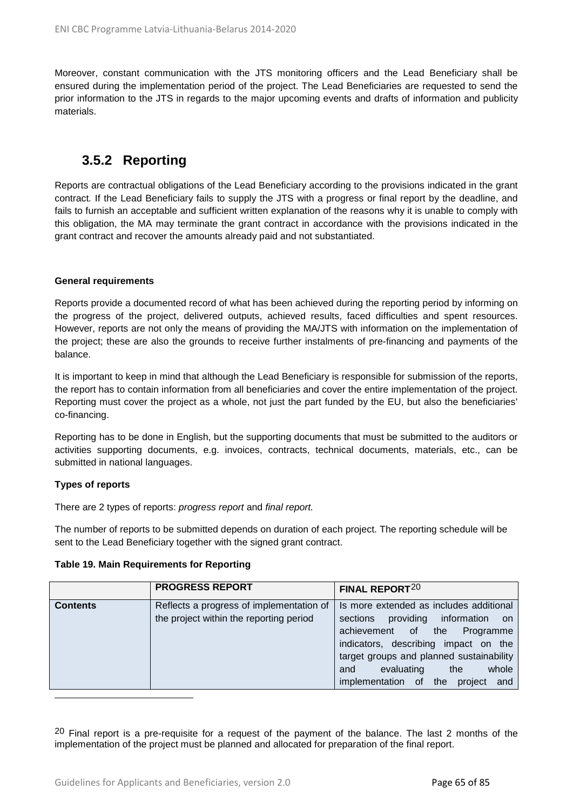Moreover, constant communication with the JTS monitoring officers and the Lead Beneficiary shall be ensured during the implementation period of the project. The Lead Beneficiaries are requested to send the prior information to the JTS in regards to the major upcoming events and drafts of information and publicity materials.

## **3.5.2 Reporting**

Reports are contractual obligations of the Lead Beneficiary according to the provisions indicated in the grant contract*.* If the Lead Beneficiary fails to supply the JTS with a progress or final report by the deadline, and fails to furnish an acceptable and sufficient written explanation of the reasons why it is unable to comply with this obligation, the MA may terminate the grant contract in accordance with the provisions indicated in the grant contract and recover the amounts already paid and not substantiated.

#### **General requirements**

Reports provide a documented record of what has been achieved during the reporting period by informing on the progress of the project, delivered outputs, achieved results, faced difficulties and spent resources. However, reports are not only the means of providing the MA/JTS with information on the implementation of the project; these are also the grounds to receive further instalments of pre-financing and payments of the balance.

It is important to keep in mind that although the Lead Beneficiary is responsible for submission of the reports, the report has to contain information from all beneficiaries and cover the entire implementation of the project. Reporting must cover the project as a whole, not just the part funded by the EU, but also the beneficiaries' co-financing.

Reporting has to be done in English, but the supporting documents that must be submitted to the auditors or activities supporting documents, e.g. invoices, contracts, technical documents, materials, etc., can be submitted in national languages.

#### **Types of reports**

 $\overline{a}$ 

There are 2 types of reports: *progress report* and *final report.*

The number of reports to be submitted depends on duration of each project. The reporting schedule will be sent to the Lead Beneficiary together with the signed grant contract.

#### **Table 19. Main Requirements for Reporting**

|                 | <b>PROGRESS REPORT</b>                   | FINAL REPORT <sup>20</sup>                 |
|-----------------|------------------------------------------|--------------------------------------------|
| <b>Contents</b> | Reflects a progress of implementation of | Is more extended as includes additional    |
|                 | the project within the reporting period  | providing information on<br>sections       |
|                 |                                          | Programme<br>achievement of the            |
|                 |                                          | indicators, describing impact on the       |
|                 |                                          | target groups and planned sustainability   |
|                 |                                          | whole<br>evaluating<br>the<br>and          |
|                 |                                          | implementation of<br>the<br>project<br>and |

<span id="page-64-0"></span> $20$  Final report is a pre-requisite for a request of the payment of the balance. The last 2 months of the implementation of the project must be planned and allocated for preparation of the final report.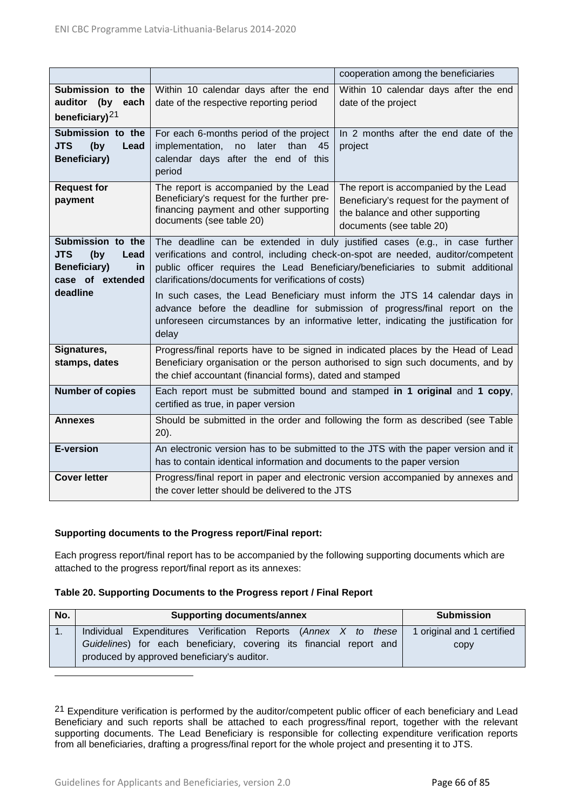|                                                                                                             |                                                                                                                                                                                                                                                                                                                                                                                                                                                                                                                                                                         | cooperation among the beneficiaries                                                                                                               |  |
|-------------------------------------------------------------------------------------------------------------|-------------------------------------------------------------------------------------------------------------------------------------------------------------------------------------------------------------------------------------------------------------------------------------------------------------------------------------------------------------------------------------------------------------------------------------------------------------------------------------------------------------------------------------------------------------------------|---------------------------------------------------------------------------------------------------------------------------------------------------|--|
| Submission to the<br>auditor (by<br>each                                                                    | Within 10 calendar days after the end<br>date of the respective reporting period                                                                                                                                                                                                                                                                                                                                                                                                                                                                                        | Within 10 calendar days after the end<br>date of the project                                                                                      |  |
| beneficiary) <sup>21</sup>                                                                                  |                                                                                                                                                                                                                                                                                                                                                                                                                                                                                                                                                                         |                                                                                                                                                   |  |
| Submission to the<br><b>JTS</b><br>(by<br>Lead<br><b>Beneficiary)</b>                                       | For each 6-months period of the project<br>later<br>implementation,<br>no<br>than<br>45<br>calendar days after the end of this<br>period                                                                                                                                                                                                                                                                                                                                                                                                                                | In 2 months after the end date of the<br>project                                                                                                  |  |
| <b>Request for</b><br>payment                                                                               | The report is accompanied by the Lead<br>Beneficiary's request for the further pre-<br>financing payment and other supporting<br>documents (see table 20)                                                                                                                                                                                                                                                                                                                                                                                                               | The report is accompanied by the Lead<br>Beneficiary's request for the payment of<br>the balance and other supporting<br>documents (see table 20) |  |
| Submission to the<br><b>JTS</b><br>(by<br>Lead<br>Beneficiary)<br><u>in</u><br>case of extended<br>deadline | The deadline can be extended in duly justified cases (e.g., in case further<br>verifications and control, including check-on-spot are needed, auditor/competent<br>public officer requires the Lead Beneficiary/beneficiaries to submit additional<br>clarifications/documents for verifications of costs)<br>In such cases, the Lead Beneficiary must inform the JTS 14 calendar days in<br>advance before the deadline for submission of progress/final report on the<br>unforeseen circumstances by an informative letter, indicating the justification for<br>delay |                                                                                                                                                   |  |
| Signatures,<br>stamps, dates                                                                                | Progress/final reports have to be signed in indicated places by the Head of Lead<br>Beneficiary organisation or the person authorised to sign such documents, and by<br>the chief accountant (financial forms), dated and stamped                                                                                                                                                                                                                                                                                                                                       |                                                                                                                                                   |  |
| <b>Number of copies</b>                                                                                     | Each report must be submitted bound and stamped in 1 original and 1 copy,<br>certified as true, in paper version                                                                                                                                                                                                                                                                                                                                                                                                                                                        |                                                                                                                                                   |  |
| <b>Annexes</b>                                                                                              | Should be submitted in the order and following the form as described (see Table<br>$20$ ).                                                                                                                                                                                                                                                                                                                                                                                                                                                                              |                                                                                                                                                   |  |
| <b>E-version</b>                                                                                            | An electronic version has to be submitted to the JTS with the paper version and it<br>has to contain identical information and documents to the paper version                                                                                                                                                                                                                                                                                                                                                                                                           |                                                                                                                                                   |  |
| <b>Cover letter</b>                                                                                         | Progress/final report in paper and electronic version accompanied by annexes and<br>the cover letter should be delivered to the JTS                                                                                                                                                                                                                                                                                                                                                                                                                                     |                                                                                                                                                   |  |

#### **Supporting documents to the Progress report/Final report:**

Each progress report/final report has to be accompanied by the following supporting documents which are attached to the progress report/final report as its annexes:

#### **Table 20. Supporting Documents to the Progress report / Final Report**

| No. | <b>Supporting documents/annex</b>                                                                                  | <b>Submission</b>          |
|-----|--------------------------------------------------------------------------------------------------------------------|----------------------------|
| 1.  | Individual Expenditures Verification Reports (Annex X to these                                                     | 1 original and 1 certified |
|     | Guidelines) for each beneficiary, covering its financial report and<br>produced by approved beneficiary's auditor. | copy                       |

<span id="page-65-0"></span><sup>21</sup> Expenditure verification is performed by the auditor/competent public officer of each beneficiary and Lead Beneficiary and such reports shall be attached to each progress/final report, together with the relevant supporting documents. The Lead Beneficiary is responsible for collecting expenditure verification reports from all beneficiaries, drafting a progress/final report for the whole project and presenting it to JTS.

 $\overline{a}$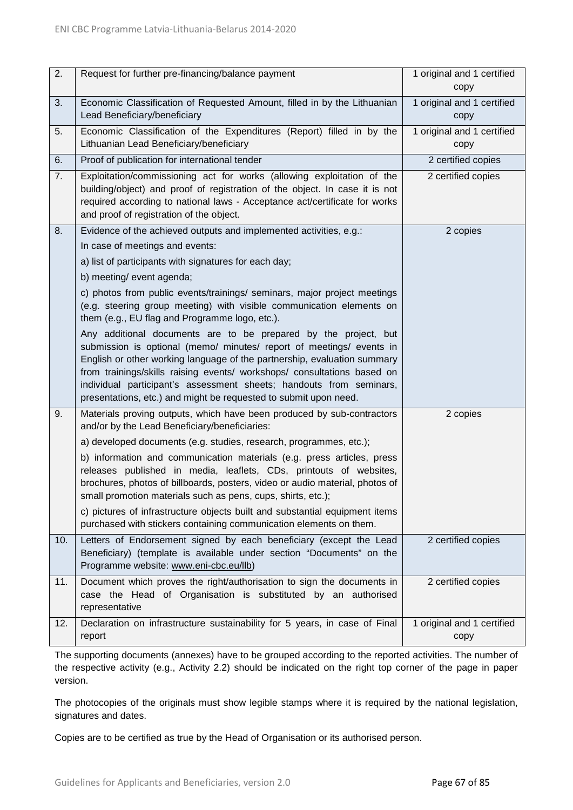| 2.  | Request for further pre-financing/balance payment                                                                                                                                                                                                                                                                                                                                                                                                 | 1 original and 1 certified<br>copy |
|-----|---------------------------------------------------------------------------------------------------------------------------------------------------------------------------------------------------------------------------------------------------------------------------------------------------------------------------------------------------------------------------------------------------------------------------------------------------|------------------------------------|
| 3.  | Economic Classification of Requested Amount, filled in by the Lithuanian<br>Lead Beneficiary/beneficiary                                                                                                                                                                                                                                                                                                                                          | 1 original and 1 certified<br>copy |
| 5.  | Economic Classification of the Expenditures (Report) filled in by the<br>Lithuanian Lead Beneficiary/beneficiary                                                                                                                                                                                                                                                                                                                                  | 1 original and 1 certified<br>copy |
| 6.  | Proof of publication for international tender                                                                                                                                                                                                                                                                                                                                                                                                     | 2 certified copies                 |
| 7.  | Exploitation/commissioning act for works (allowing exploitation of the<br>building/object) and proof of registration of the object. In case it is not<br>required according to national laws - Acceptance act/certificate for works<br>and proof of registration of the object.                                                                                                                                                                   | 2 certified copies                 |
| 8.  | Evidence of the achieved outputs and implemented activities, e.g.:                                                                                                                                                                                                                                                                                                                                                                                | 2 copies                           |
|     | In case of meetings and events:                                                                                                                                                                                                                                                                                                                                                                                                                   |                                    |
|     | a) list of participants with signatures for each day;                                                                                                                                                                                                                                                                                                                                                                                             |                                    |
|     | b) meeting/ event agenda;                                                                                                                                                                                                                                                                                                                                                                                                                         |                                    |
|     | c) photos from public events/trainings/ seminars, major project meetings<br>(e.g. steering group meeting) with visible communication elements on<br>them (e.g., EU flag and Programme logo, etc.).                                                                                                                                                                                                                                                |                                    |
|     | Any additional documents are to be prepared by the project, but<br>submission is optional (memo/ minutes/ report of meetings/ events in<br>English or other working language of the partnership, evaluation summary<br>from trainings/skills raising events/ workshops/ consultations based on<br>individual participant's assessment sheets; handouts from seminars,<br>presentations, etc.) and might be requested to submit upon need.         |                                    |
| 9.  | Materials proving outputs, which have been produced by sub-contractors<br>and/or by the Lead Beneficiary/beneficiaries:                                                                                                                                                                                                                                                                                                                           | 2 copies                           |
|     | a) developed documents (e.g. studies, research, programmes, etc.);                                                                                                                                                                                                                                                                                                                                                                                |                                    |
|     | b) information and communication materials (e.g. press articles, press<br>releases published in media, leaflets, CDs, printouts of websites,<br>brochures, photos of billboards, posters, video or audio material, photos of<br>small promotion materials such as pens, cups, shirts, etc.);<br>c) pictures of infrastructure objects built and substantial equipment items<br>purchased with stickers containing communication elements on them. |                                    |
| 10. | Letters of Endorsement signed by each beneficiary (except the Lead<br>Beneficiary) (template is available under section "Documents" on the<br>Programme website: www.eni-cbc.eu/llb)                                                                                                                                                                                                                                                              | 2 certified copies                 |
| 11. | Document which proves the right/authorisation to sign the documents in<br>case the Head of Organisation is substituted by an authorised<br>representative                                                                                                                                                                                                                                                                                         | 2 certified copies                 |
| 12. | Declaration on infrastructure sustainability for 5 years, in case of Final<br>report                                                                                                                                                                                                                                                                                                                                                              | 1 original and 1 certified<br>copy |

The supporting documents (annexes) have to be grouped according to the reported activities. The number of the respective activity (e.g., Activity 2.2) should be indicated on the right top corner of the page in paper version.

The photocopies of the originals must show legible stamps where it is required by the national legislation, signatures and dates.

Copies are to be certified as true by the Head of Organisation or its authorised person.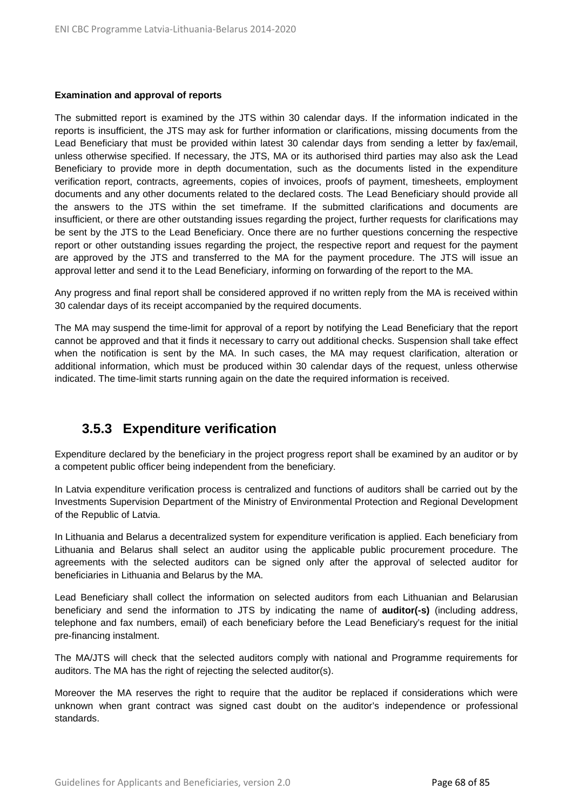#### **Examination and approval of reports**

The submitted report is examined by the JTS within 30 calendar days. If the information indicated in the reports is insufficient, the JTS may ask for further information or clarifications, missing documents from the Lead Beneficiary that must be provided within latest 30 calendar days from sending a letter by fax/email, unless otherwise specified. If necessary, the JTS, MA or its authorised third parties may also ask the Lead Beneficiary to provide more in depth documentation, such as the documents listed in the expenditure verification report, contracts, agreements, copies of invoices, proofs of payment, timesheets, employment documents and any other documents related to the declared costs. The Lead Beneficiary should provide all the answers to the JTS within the set timeframe. If the submitted clarifications and documents are insufficient, or there are other outstanding issues regarding the project, further requests for clarifications may be sent by the JTS to the Lead Beneficiary. Once there are no further questions concerning the respective report or other outstanding issues regarding the project, the respective report and request for the payment are approved by the JTS and transferred to the MA for the payment procedure. The JTS will issue an approval letter and send it to the Lead Beneficiary, informing on forwarding of the report to the MA.

Any progress and final report shall be considered approved if no written reply from the MA is received within 30 calendar days of its receipt accompanied by the required documents.

The MA may suspend the time-limit for approval of a report by notifying the Lead Beneficiary that the report cannot be approved and that it finds it necessary to carry out additional checks. Suspension shall take effect when the notification is sent by the MA. In such cases, the MA may request clarification, alteration or additional information, which must be produced within 30 calendar days of the request, unless otherwise indicated. The time-limit starts running again on the date the required information is received.

### **3.5.3 Expenditure verification**

Expenditure declared by the beneficiary in the project progress report shall be examined by an auditor or by a competent public officer being independent from the beneficiary.

In Latvia expenditure verification process is centralized and functions of auditors shall be carried out by the Investments Supervision Department of the Ministry of Environmental Protection and Regional Development of the Republic of Latvia.

In Lithuania and Belarus a decentralized system for expenditure verification is applied. Each beneficiary from Lithuania and Belarus shall select an auditor using the applicable public procurement procedure. The agreements with the selected auditors can be signed only after the approval of selected auditor for beneficiaries in Lithuania and Belarus by the MA.

Lead Beneficiary shall collect the information on selected auditors from each Lithuanian and Belarusian beneficiary and send the information to JTS by indicating the name of **auditor(-s)** (including address, telephone and fax numbers, email) of each beneficiary before the Lead Beneficiary's request for the initial pre-financing instalment.

The MA/JTS will check that the selected auditors comply with national and Programme requirements for auditors. The MA has the right of rejecting the selected auditor(s).

Moreover the MA reserves the right to require that the auditor be replaced if considerations which were unknown when grant contract was signed cast doubt on the auditor's independence or professional standards.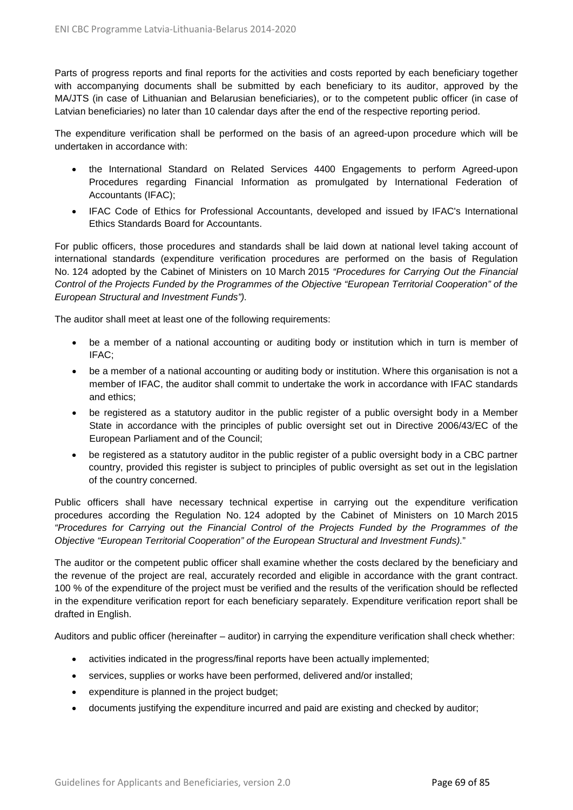Parts of progress reports and final reports for the activities and costs reported by each beneficiary together with accompanying documents shall be submitted by each beneficiary to its auditor, approved by the MA/JTS (in case of Lithuanian and Belarusian beneficiaries), or to the competent public officer (in case of Latvian beneficiaries) no later than 10 calendar days after the end of the respective reporting period.

The expenditure verification shall be performed on the basis of an agreed-upon procedure which will be undertaken in accordance with:

- the International Standard on Related Services 4400 Engagements to perform Agreed-upon Procedures regarding Financial Information as promulgated by International Federation of Accountants (IFAC);
- IFAC Code of Ethics for Professional Accountants, developed and issued by IFAC's International Ethics Standards Board for Accountants.

For public officers, those procedures and standards shall be laid down at national level taking account of international standards (expenditure verification procedures are performed on the basis of Regulation No. 124 adopted by the Cabinet of Ministers on 10 March 2015 *"Procedures for Carrying Out the Financial Control of the Projects Funded by the Programmes of the Objective "European Territorial Cooperation" of the European Structural and Investment Funds").* 

The auditor shall meet at least one of the following requirements:

- be a member of a national accounting or auditing body or institution which in turn is member of IFAC;
- be a member of a national accounting or auditing body or institution. Where this organisation is not a member of IFAC, the auditor shall commit to undertake the work in accordance with IFAC standards and ethics;
- be registered as a statutory auditor in the public register of a public oversight body in a Member State in accordance with the principles of public oversight set out in Directive 2006/43/EC of the European Parliament and of the Council;
- be registered as a statutory auditor in the public register of a public oversight body in a CBC partner country, provided this register is subject to principles of public oversight as set out in the legislation of the country concerned.

Public officers shall have necessary technical expertise in carrying out the expenditure verification procedures according the Regulation No. 124 adopted by the Cabinet of Ministers on 10 March 2015 *"Procedures for Carrying out the Financial Control of the Projects Funded by the Programmes of the Objective "European Territorial Cooperation" of the European Structural and Investment Funds).*"

The auditor or the competent public officer shall examine whether the costs declared by the beneficiary and the revenue of the project are real, accurately recorded and eligible in accordance with the grant contract. 100 % of the expenditure of the project must be verified and the results of the verification should be reflected in the expenditure verification report for each beneficiary separately. Expenditure verification report shall be drafted in English.

Auditors and public officer (hereinafter – auditor) in carrying the expenditure verification shall check whether:

- activities indicated in the progress/final reports have been actually implemented;
- services, supplies or works have been performed, delivered and/or installed;
- expenditure is planned in the project budget;
- documents justifying the expenditure incurred and paid are existing and checked by auditor;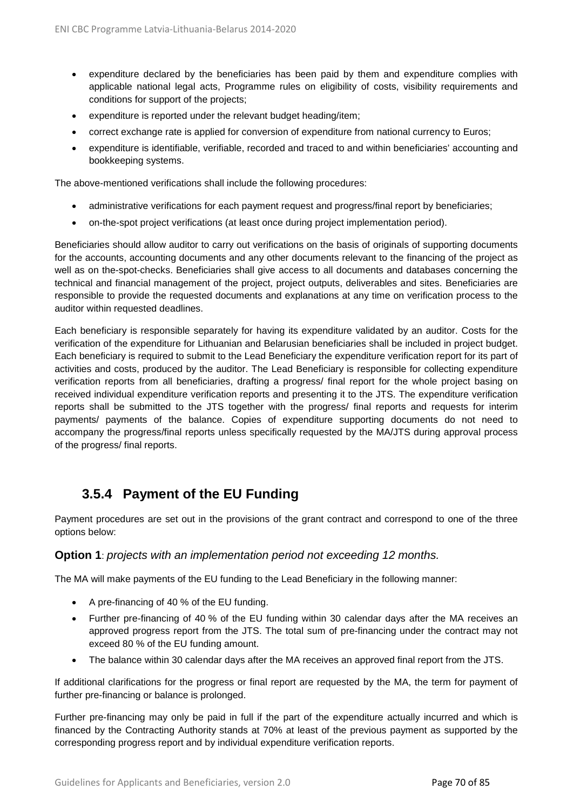- expenditure declared by the beneficiaries has been paid by them and expenditure complies with applicable national legal acts, Programme rules on eligibility of costs, visibility requirements and conditions for support of the projects;
- expenditure is reported under the relevant budget heading/item;
- correct exchange rate is applied for conversion of expenditure from national currency to Euros;
- expenditure is identifiable, verifiable, recorded and traced to and within beneficiaries' accounting and bookkeeping systems.

The above-mentioned verifications shall include the following procedures:

- administrative verifications for each payment request and progress/final report by beneficiaries;
- on-the-spot project verifications (at least once during project implementation period).

Beneficiaries should allow auditor to carry out verifications on the basis of originals of supporting documents for the accounts, accounting documents and any other documents relevant to the financing of the project as well as on the-spot-checks. Beneficiaries shall give access to all documents and databases concerning the technical and financial management of the project, project outputs, deliverables and sites. Beneficiaries are responsible to provide the requested documents and explanations at any time on verification process to the auditor within requested deadlines.

Each beneficiary is responsible separately for having its expenditure validated by an auditor. Costs for the verification of the expenditure for Lithuanian and Belarusian beneficiaries shall be included in project budget. Each beneficiary is required to submit to the Lead Beneficiary the expenditure verification report for its part of activities and costs, produced by the auditor. The Lead Beneficiary is responsible for collecting expenditure verification reports from all beneficiaries, drafting a progress/ final report for the whole project basing on received individual expenditure verification reports and presenting it to the JTS. The expenditure verification reports shall be submitted to the JTS together with the progress/ final reports and requests for interim payments/ payments of the balance. Copies of expenditure supporting documents do not need to accompany the progress/final reports unless specifically requested by the MA/JTS during approval process of the progress/ final reports.

# **3.5.4 Payment of the EU Funding**

Payment procedures are set out in the provisions of the grant contract and correspond to one of the three options below:

#### **Option 1**: *projects with an implementation period not exceeding 12 months.*

The MA will make payments of the EU funding to the Lead Beneficiary in the following manner:

- A pre-financing of 40 % of the EU funding.
- Further pre-financing of 40 % of the EU funding within 30 calendar days after the MA receives an approved progress report from the JTS. The total sum of pre-financing under the contract may not exceed 80 % of the EU funding amount.
- The balance within 30 calendar days after the MA receives an approved final report from the JTS.

If additional clarifications for the progress or final report are requested by the MA, the term for payment of further pre-financing or balance is prolonged.

Further pre-financing may only be paid in full if the part of the expenditure actually incurred and which is financed by the Contracting Authority stands at 70% at least of the previous payment as supported by the corresponding progress report and by individual expenditure verification reports.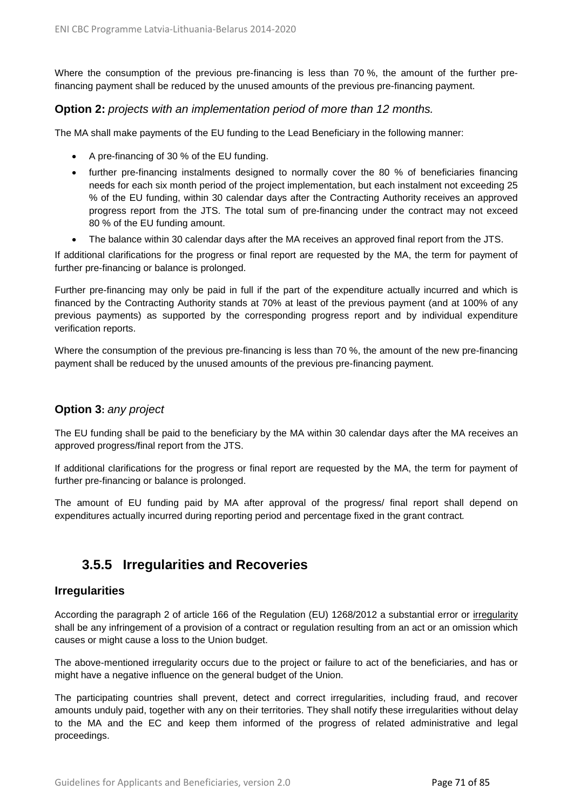Where the consumption of the previous pre-financing is less than 70 %, the amount of the further prefinancing payment shall be reduced by the unused amounts of the previous pre-financing payment.

#### **Option 2:** *projects with an implementation period of more than 12 months.*

The MA shall make payments of the EU funding to the Lead Beneficiary in the following manner:

- A pre-financing of 30 % of the EU funding.
- further pre-financing instalments designed to normally cover the 80 % of beneficiaries financing needs for each six month period of the project implementation, but each instalment not exceeding 25 % of the EU funding, within 30 calendar days after the Contracting Authority receives an approved progress report from the JTS. The total sum of pre-financing under the contract may not exceed 80 % of the EU funding amount.
- The balance within 30 calendar days after the MA receives an approved final report from the JTS.

If additional clarifications for the progress or final report are requested by the MA, the term for payment of further pre-financing or balance is prolonged.

Further pre-financing may only be paid in full if the part of the expenditure actually incurred and which is financed by the Contracting Authority stands at 70% at least of the previous payment (and at 100% of any previous payments) as supported by the corresponding progress report and by individual expenditure verification reports.

Where the consumption of the previous pre-financing is less than 70 %, the amount of the new pre-financing payment shall be reduced by the unused amounts of the previous pre-financing payment.

#### **Option 3:** *any project*

The EU funding shall be paid to the beneficiary by the MA within 30 calendar days after the MA receives an approved progress/final report from the JTS.

If additional clarifications for the progress or final report are requested by the MA, the term for payment of further pre-financing or balance is prolonged.

The amount of EU funding paid by MA after approval of the progress/ final report shall depend on expenditures actually incurred during reporting period and percentage fixed in the grant contract*.*

### **3.5.5 Irregularities and Recoveries**

#### **Irregularities**

According the paragraph 2 of article 166 of the Regulation (EU) 1268/2012 a substantial error or irregularity shall be any infringement of a provision of a contract or regulation resulting from an act or an omission which causes or might cause a loss to the Union budget.

The above-mentioned irregularity occurs due to the project or failure to act of the beneficiaries, and has or might have a negative influence on the general budget of the Union.

The participating countries shall prevent, detect and correct irregularities, including fraud, and recover amounts unduly paid, together with any on their territories. They shall notify these irregularities without delay to the MA and the EC and keep them informed of the progress of related administrative and legal proceedings.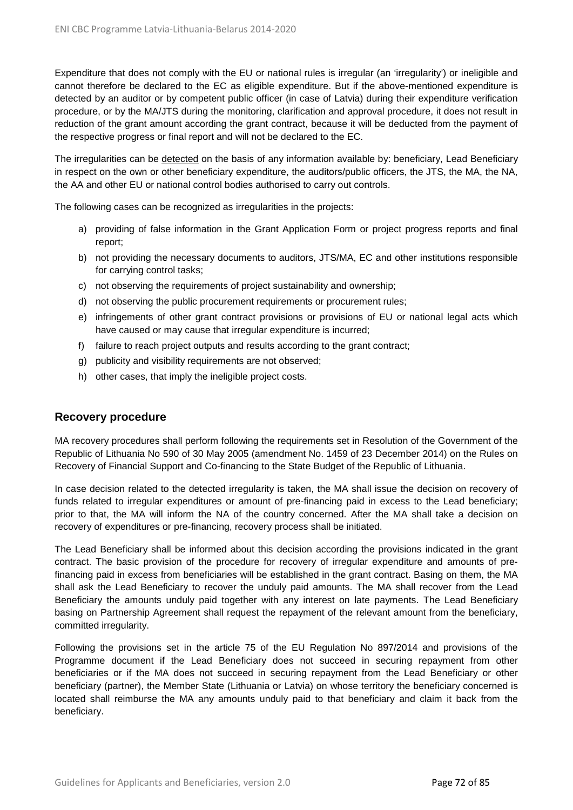Expenditure that does not comply with the EU or national rules is irregular (an 'irregularity') or ineligible and cannot therefore be declared to the EC as eligible expenditure. But if the above-mentioned expenditure is detected by an auditor or by competent public officer (in case of Latvia) during their expenditure verification procedure, or by the MA/JTS during the monitoring, clarification and approval procedure, it does not result in reduction of the grant amount according the grant contract, because it will be deducted from the payment of the respective progress or final report and will not be declared to the EC.

The irregularities can be detected on the basis of any information available by: beneficiary, Lead Beneficiary in respect on the own or other beneficiary expenditure, the auditors/public officers, the JTS, the MA, the NA, the AA and other EU or national control bodies authorised to carry out controls.

The following cases can be recognized as irregularities in the projects:

- a) providing of false information in the Grant Application Form or project progress reports and final report;
- b) not providing the necessary documents to auditors, JTS/MA, EC and other institutions responsible for carrying control tasks;
- c) not observing the requirements of project sustainability and ownership;
- d) not observing the public procurement requirements or procurement rules;
- e) infringements of other grant contract provisions or provisions of EU or national legal acts which have caused or may cause that irregular expenditure is incurred;
- f) failure to reach project outputs and results according to the grant contract;
- g) publicity and visibility requirements are not observed;
- h) other cases, that imply the ineligible project costs.

### **Recovery procedure**

MA recovery procedures shall perform following the requirements set in Resolution of the Government of the Republic of Lithuania No 590 of 30 May 2005 (amendment No. 1459 of 23 December 2014) on the Rules on Recovery of Financial Support and Co-financing to the State Budget of the Republic of Lithuania.

In case decision related to the detected irregularity is taken, the MA shall issue the decision on recovery of funds related to irregular expenditures or amount of pre-financing paid in excess to the Lead beneficiary; prior to that, the MA will inform the NA of the country concerned. After the MA shall take a decision on recovery of expenditures or pre-financing, recovery process shall be initiated.

The Lead Beneficiary shall be informed about this decision according the provisions indicated in the grant contract. The basic provision of the procedure for recovery of irregular expenditure and amounts of prefinancing paid in excess from beneficiaries will be established in the grant contract. Basing on them, the MA shall ask the Lead Beneficiary to recover the unduly paid amounts. The MA shall recover from the Lead Beneficiary the amounts unduly paid together with any interest on late payments. The Lead Beneficiary basing on Partnership Agreement shall request the repayment of the relevant amount from the beneficiary, committed irregularity.

Following the provisions set in the article 75 of the EU Regulation No 897/2014 and provisions of the Programme document if the Lead Beneficiary does not succeed in securing repayment from other beneficiaries or if the MA does not succeed in securing repayment from the Lead Beneficiary or other beneficiary (partner), the Member State (Lithuania or Latvia) on whose territory the beneficiary concerned is located shall reimburse the MA any amounts unduly paid to that beneficiary and claim it back from the beneficiary.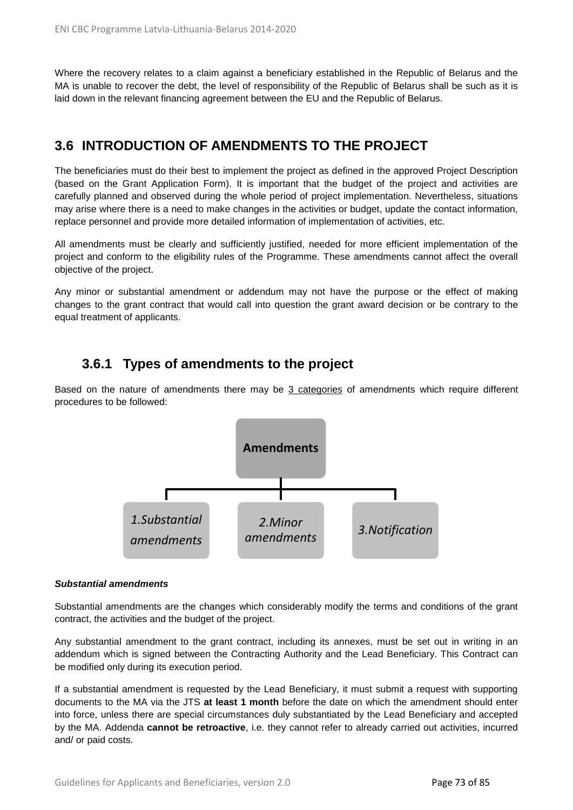Where the recovery relates to a claim against a beneficiary established in the Republic of Belarus and the MA is unable to recover the debt, the level of responsibility of the Republic of Belarus shall be such as it is laid down in the relevant financing agreement between the EU and the Republic of Belarus.

## **3.6 INTRODUCTION OF AMENDMENTS TO THE PROJECT**

The beneficiaries must do their best to implement the project as defined in the approved Project Description (based on the Grant Application Form). It is important that the budget of the project and activities are carefully planned and observed during the whole period of project implementation. Nevertheless, situations may arise where there is a need to make changes in the activities or budget, update the contact information, replace personnel and provide more detailed information of implementation of activities, etc.

All amendments must be clearly and sufficiently justified, needed for more efficient implementation of the project and conform to the eligibility rules of the Programme. These amendments cannot affect the overall objective of the project.

Any minor or substantial amendment or addendum may not have the purpose or the effect of making changes to the grant contract that would call into question the grant award decision or be contrary to the equal treatment of applicants.

## **3.6.1 Types of amendments to the project**

Based on the nature of amendments there may be 3 categories of amendments which require different procedures to be followed:



#### *Substantial amendments*

Substantial amendments are the changes which considerably modify the terms and conditions of the grant contract, the activities and the budget of the project.

Any substantial amendment to the grant contract, including its annexes, must be set out in writing in an addendum which is signed between the Contracting Authority and the Lead Beneficiary. This Contract can be modified only during its execution period.

If a substantial amendment is requested by the Lead Beneficiary, it must submit a request with supporting documents to the MA via the JTS **at least 1 month** before the date on which the amendment should enter into force, unless there are special circumstances duly substantiated by the Lead Beneficiary and accepted by the MA. Addenda **cannot be retroactive**, i.e. they cannot refer to already carried out activities, incurred and/ or paid costs.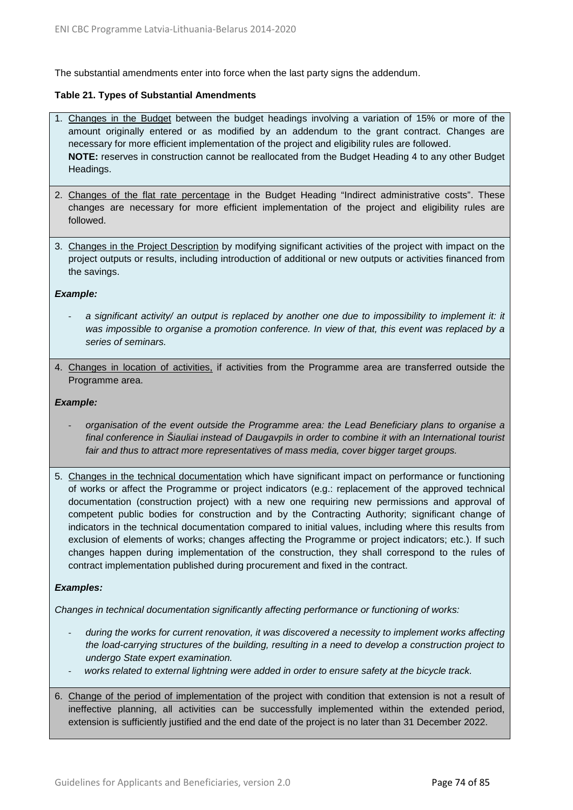The substantial amendments enter into force when the last party signs the addendum.

#### **Table 21. Types of Substantial Amendments**

- 1. Changes in the Budget between the budget headings involving a variation of 15% or more of the amount originally entered or as modified by an addendum to the grant contract. Changes are necessary for more efficient implementation of the project and eligibility rules are followed. **NOTE:** reserves in construction cannot be reallocated from the Budget Heading 4 to any other Budget Headings.
- 2. Changes of the flat rate percentage in the Budget Heading "Indirect administrative costs". These changes are necessary for more efficient implementation of the project and eligibility rules are followed.
- 3. Changes in the Project Description by modifying significant activities of the project with impact on the project outputs or results, including introduction of additional or new outputs or activities financed from the savings.

#### *Example:*

- *a significant activity/ an output is replaced by another one due to impossibility to implement it: it was impossible to organise a promotion conference. In view of that, this event was replaced by a series of seminars.*
- 4. Changes in location of activities, if activities from the Programme area are transferred outside the Programme area.

#### *Example:*

- *organisation of the event outside the Programme area: the Lead Beneficiary plans to organise a final conference in Šiauliai instead of Daugavpils in order to combine it with an International tourist*  fair and thus to attract more representatives of mass media, cover bigger target groups.
- 5. Changes in the technical documentation which have significant impact on performance or functioning of works or affect the Programme or project indicators (e.g.: replacement of the approved technical documentation (construction project) with a new one requiring new permissions and approval of competent public bodies for construction and by the Contracting Authority; significant change of indicators in the technical documentation compared to initial values, including where this results from exclusion of elements of works; changes affecting the Programme or project indicators; etc.). If such changes happen during implementation of the construction, they shall correspond to the rules of contract implementation published during procurement and fixed in the contract.

#### *Examples:*

*Changes in technical documentation significantly affecting performance or functioning of works:*

- *during the works for current renovation, it was discovered a necessity to implement works affecting the load-carrying structures of the building, resulting in a need to develop a construction project to undergo State expert examination.*
- *works related to external lightning were added in order to ensure safety at the bicycle track.*
- 6. Change of the period of implementation of the project with condition that extension is not a result of ineffective planning, all activities can be successfully implemented within the extended period, extension is sufficiently justified and the end date of the project is no later than 31 December 2022.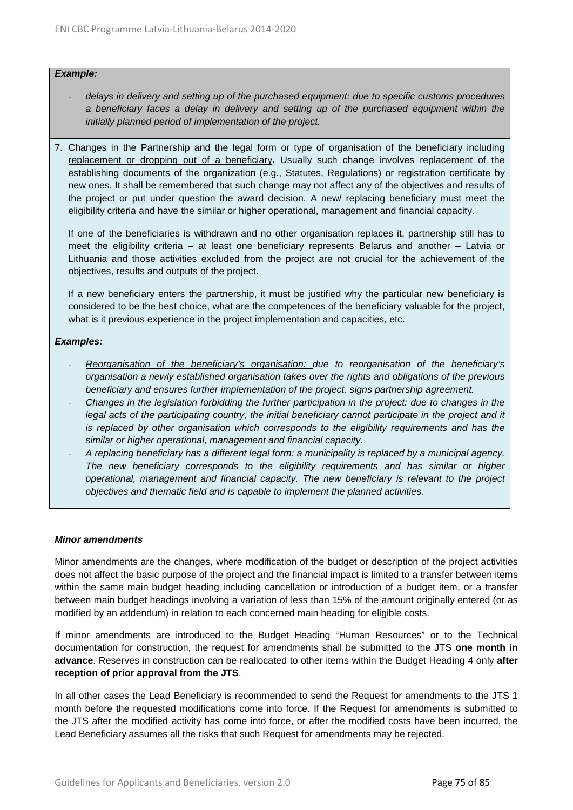#### *Example:*

- *delays in delivery and setting up of the purchased equipment: due to specific customs procedures a beneficiary faces a delay in delivery and setting up of the purchased equipment within the initially planned period of implementation of the project.*
- 7. Changes in the Partnership and the legal form or type of organisation of the beneficiary including replacement or dropping out of a beneficiary**.** Usually such change involves replacement of the establishing documents of the organization (e.g., Statutes, Regulations) or registration certificate by new ones. It shall be remembered that such change may not affect any of the objectives and results of the project or put under question the award decision. A new/ replacing beneficiary must meet the eligibility criteria and have the similar or higher operational, management and financial capacity.

If one of the beneficiaries is withdrawn and no other organisation replaces it, partnership still has to meet the eligibility criteria – at least one beneficiary represents Belarus and another – Latvia or Lithuania and those activities excluded from the project are not crucial for the achievement of the objectives, results and outputs of the project.

If a new beneficiary enters the partnership, it must be justified why the particular new beneficiary is considered to be the best choice, what are the competences of the beneficiary valuable for the project, what is it previous experience in the project implementation and capacities, etc.

#### *Examples:*

- *Reorganisation of the beneficiary's organisation: due to reorganisation of the beneficiary's organisation a newly established organisation takes over the rights and obligations of the previous beneficiary and ensures further implementation of the project, signs partnership agreement.*
- *Changes in the legislation forbidding the further participation in the project: due to changes in the*  legal acts of the participating country, the initial beneficiary cannot participate in the project and it *is replaced by other organisation which corresponds to the eligibility requirements and has the similar or higher operational, management and financial capacity.*
- *A replacing beneficiary has a different legal form: a municipality is replaced by a municipal agency. The new beneficiary corresponds to the eligibility requirements and has similar or higher operational, management and financial capacity. The new beneficiary is relevant to the project objectives and thematic field and is capable to implement the planned activities.*

#### *Minor amendments*

Minor amendments are the changes, where modification of the budget or description of the project activities does not affect the basic purpose of the project and the financial impact is limited to a transfer between items within the same main budget heading including cancellation or introduction of a budget item, or a transfer between main budget headings involving a variation of less than 15% of the amount originally entered (or as modified by an addendum) in relation to each concerned main heading for eligible costs.

If minor amendments are introduced to the Budget Heading "Human Resources" or to the Technical documentation for construction, the request for amendments shall be submitted to the JTS **one month in advance**. Reserves in construction can be reallocated to other items within the Budget Heading 4 only **after reception of prior approval from the JTS**.

In all other cases the Lead Beneficiary is recommended to send the Request for amendments to the JTS 1 month before the requested modifications come into force. If the Request for amendments is submitted to the JTS after the modified activity has come into force, or after the modified costs have been incurred, the Lead Beneficiary assumes all the risks that such Request for amendments may be rejected.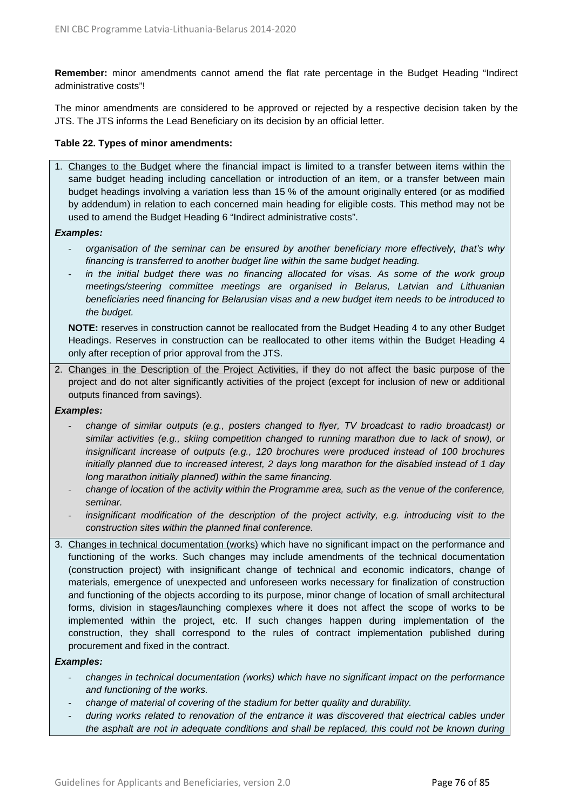**Remember:** minor amendments cannot amend the flat rate percentage in the Budget Heading "Indirect administrative costs"!

The minor amendments are considered to be approved or rejected by a respective decision taken by the JTS. The JTS informs the Lead Beneficiary on its decision by an official letter.

#### **Table 22. Types of minor amendments:**

1. Changes to the Budget where the financial impact is limited to a transfer between items within the same budget heading including cancellation or introduction of an item, or a transfer between main budget headings involving a variation less than 15 % of the amount originally entered (or as modified by addendum) in relation to each concerned main heading for eligible costs. This method may not be used to amend the Budget Heading 6 "Indirect administrative costs".

#### *Examples:*

- *organisation of the seminar can be ensured by another beneficiary more effectively, that's why financing is transferred to another budget line within the same budget heading.*
- in the initial budget there was no financing allocated for visas. As some of the work group *meetings/steering committee meetings are organised in Belarus, Latvian and Lithuanian beneficiaries need financing for Belarusian visas and a new budget item needs to be introduced to the budget.*

**NOTE:** reserves in construction cannot be reallocated from the Budget Heading 4 to any other Budget Headings. Reserves in construction can be reallocated to other items within the Budget Heading 4 only after reception of prior approval from the JTS.

2. Changes in the Description of the Project Activities, if they do not affect the basic purpose of the project and do not alter significantly activities of the project (except for inclusion of new or additional outputs financed from savings).

#### *Examples:*

- *change of similar outputs (e.g., posters changed to flyer, TV broadcast to radio broadcast) or similar activities (e.g., skiing competition changed to running marathon due to lack of snow), or insignificant increase of outputs (e.g., 120 brochures were produced instead of 100 brochures initially planned due to increased interest, 2 days long marathon for the disabled instead of 1 day long marathon initially planned) within the same financing.*
- *change of location of the activity within the Programme area, such as the venue of the conference, seminar.*
- insignificant modification of the description of the project activity, e.g. introducing visit to the *construction sites within the planned final conference.*
- 3. Changes in technical documentation (works) which have no significant impact on the performance and functioning of the works. Such changes may include amendments of the technical documentation (construction project) with insignificant change of technical and economic indicators, change of materials, emergence of unexpected and unforeseen works necessary for finalization of construction and functioning of the objects according to its purpose, minor change of location of small architectural forms, division in stages/launching complexes where it does not affect the scope of works to be implemented within the project, etc. If such changes happen during implementation of the construction, they shall correspond to the rules of contract implementation published during procurement and fixed in the contract.

#### *Examples:*

- *changes in technical documentation (works) which have no significant impact on the performance and functioning of the works.*
- *change of material of covering of the stadium for better quality and durability.*
- *during works related to renovation of the entrance it was discovered that electrical cables under the asphalt are not in adequate conditions and shall be replaced, this could not be known during*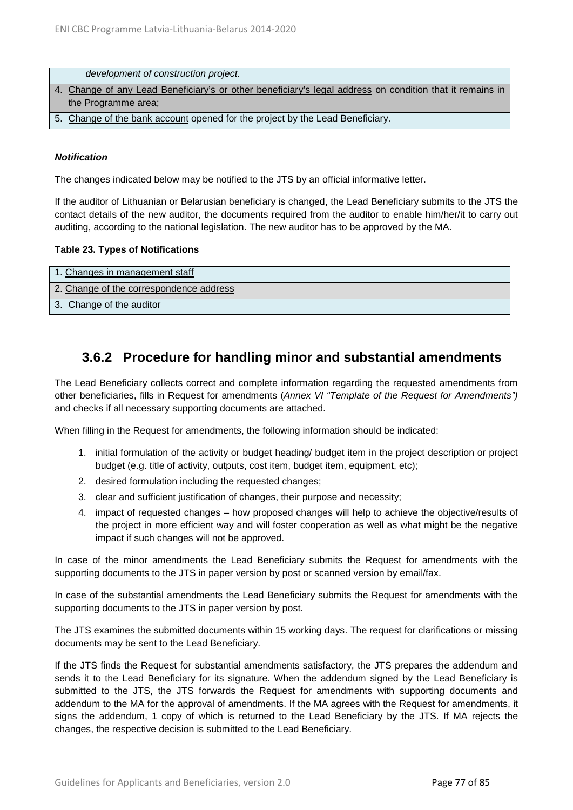| development of construction project.                                                                     |
|----------------------------------------------------------------------------------------------------------|
| 4. Change of any Lead Beneficiary's or other beneficiary's legal address on condition that it remains in |
| the Programme area;                                                                                      |
| 5. Change of the bank account opened for the project by the Lead Beneficiary.                            |

#### *Notification*

The changes indicated below may be notified to the JTS by an official informative letter.

If the auditor of Lithuanian or Belarusian beneficiary is changed, the Lead Beneficiary submits to the JTS the contact details of the new auditor, the documents required from the auditor to enable him/her/it to carry out auditing, according to the national legislation. The new auditor has to be approved by the MA.

#### **Table 23. Types of Notifications**

| 1. Changes in management staff          |
|-----------------------------------------|
| 2. Change of the correspondence address |
| 3. Change of the auditor                |

## **3.6.2 Procedure for handling minor and substantial amendments**

The Lead Beneficiary collects correct and complete information regarding the requested amendments from other beneficiaries, fills in Request for amendments (*Annex VI "Template of the Request for Amendments")*  and checks if all necessary supporting documents are attached.

When filling in the Request for amendments, the following information should be indicated:

- 1. initial formulation of the activity or budget heading/ budget item in the project description or project budget (e.g. title of activity, outputs, cost item, budget item, equipment, etc);
- 2. desired formulation including the requested changes;
- 3. clear and sufficient justification of changes, their purpose and necessity;
- 4. impact of requested changes how proposed changes will help to achieve the objective/results of the project in more efficient way and will foster cooperation as well as what might be the negative impact if such changes will not be approved.

In case of the minor amendments the Lead Beneficiary submits the Request for amendments with the supporting documents to the JTS in paper version by post or scanned version by email/fax.

In case of the substantial amendments the Lead Beneficiary submits the Request for amendments with the supporting documents to the JTS in paper version by post.

The JTS examines the submitted documents within 15 working days. The request for clarifications or missing documents may be sent to the Lead Beneficiary.

If the JTS finds the Request for substantial amendments satisfactory, the JTS prepares the addendum and sends it to the Lead Beneficiary for its signature. When the addendum signed by the Lead Beneficiary is submitted to the JTS, the JTS forwards the Request for amendments with supporting documents and addendum to the MA for the approval of amendments. If the MA agrees with the Request for amendments, it signs the addendum, 1 copy of which is returned to the Lead Beneficiary by the JTS. If MA rejects the changes, the respective decision is submitted to the Lead Beneficiary.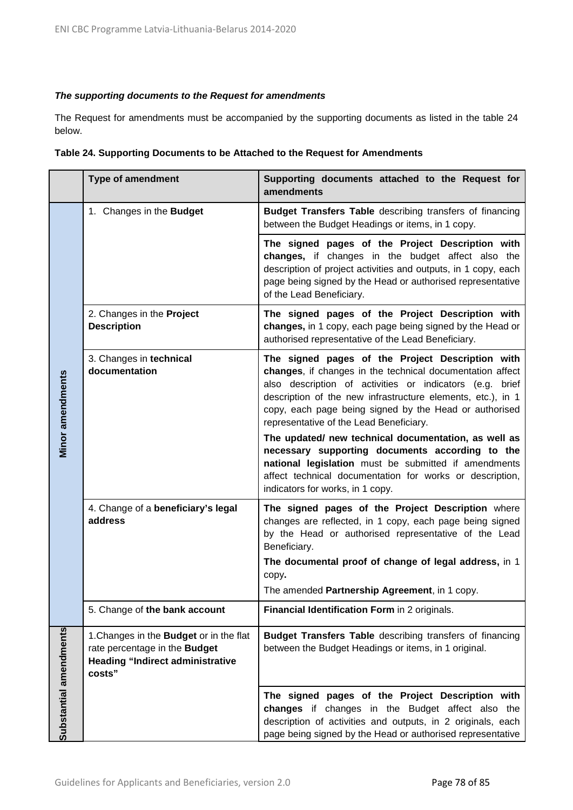#### *The supporting documents to the Request for amendments*

The Request for amendments must be accompanied by the supporting documents as listed in the table 24 below.

| Table 24. Supporting Documents to be Attached to the Request for Amendments |  |  |
|-----------------------------------------------------------------------------|--|--|
|-----------------------------------------------------------------------------|--|--|

|                        | <b>Type of amendment</b>                                                                                                             | Supporting documents attached to the Request for<br>amendments                                                                                                                                                                                                                                                                                |
|------------------------|--------------------------------------------------------------------------------------------------------------------------------------|-----------------------------------------------------------------------------------------------------------------------------------------------------------------------------------------------------------------------------------------------------------------------------------------------------------------------------------------------|
|                        | 1. Changes in the Budget                                                                                                             | <b>Budget Transfers Table</b> describing transfers of financing<br>between the Budget Headings or items, in 1 copy.                                                                                                                                                                                                                           |
|                        |                                                                                                                                      | The signed pages of the Project Description with<br>changes, if changes in the budget affect also the<br>description of project activities and outputs, in 1 copy, each<br>page being signed by the Head or authorised representative<br>of the Lead Beneficiary.                                                                             |
|                        | 2. Changes in the Project<br><b>Description</b>                                                                                      | The signed pages of the Project Description with<br>changes, in 1 copy, each page being signed by the Head or<br>authorised representative of the Lead Beneficiary.                                                                                                                                                                           |
| Minor amendments       | 3. Changes in technical<br>documentation                                                                                             | The signed pages of the Project Description with<br>changes, if changes in the technical documentation affect<br>also description of activities or indicators (e.g. brief<br>description of the new infrastructure elements, etc.), in 1<br>copy, each page being signed by the Head or authorised<br>representative of the Lead Beneficiary. |
|                        |                                                                                                                                      | The updated/ new technical documentation, as well as<br>necessary supporting documents according to the<br>national legislation must be submitted if amendments<br>affect technical documentation for works or description,<br>indicators for works, in 1 copy.                                                                               |
|                        | 4. Change of a beneficiary's legal<br>address                                                                                        | The signed pages of the Project Description where<br>changes are reflected, in 1 copy, each page being signed<br>by the Head or authorised representative of the Lead<br>Beneficiary.<br>The documental proof of change of legal address, in 1                                                                                                |
|                        |                                                                                                                                      | copy.<br>The amended Partnership Agreement, in 1 copy.                                                                                                                                                                                                                                                                                        |
|                        | 5. Change of the bank account                                                                                                        | Financial Identification Form in 2 originals.                                                                                                                                                                                                                                                                                                 |
| Substantial amendments | 1. Changes in the <b>Budget</b> or in the flat<br>rate percentage in the Budget<br><b>Heading "Indirect administrative</b><br>costs" | <b>Budget Transfers Table</b> describing transfers of financing<br>between the Budget Headings or items, in 1 original.                                                                                                                                                                                                                       |
|                        |                                                                                                                                      | The signed pages of the Project Description with<br>changes if changes in the Budget affect also the<br>description of activities and outputs, in 2 originals, each<br>page being signed by the Head or authorised representative                                                                                                             |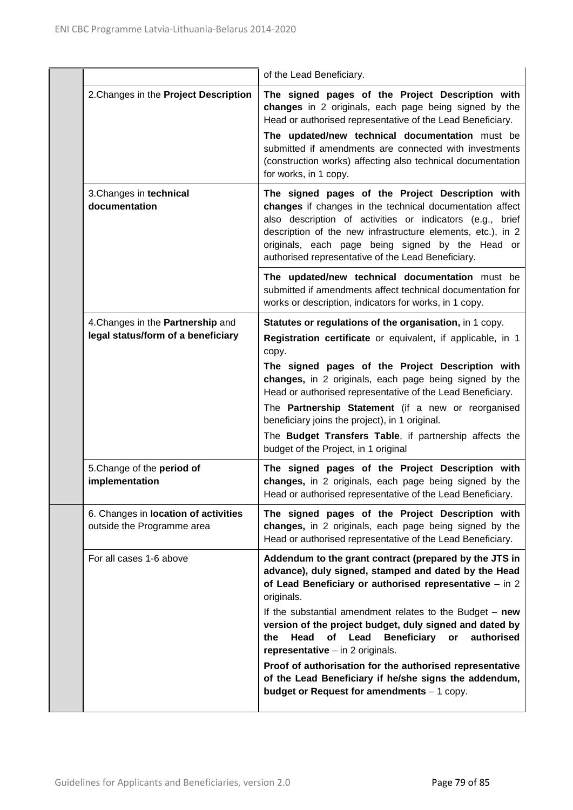|                                                                         | of the Lead Beneficiary.                                                                                                                                                                                                                                                                                                                                                                                                                                                                                                                                                                         |
|-------------------------------------------------------------------------|--------------------------------------------------------------------------------------------------------------------------------------------------------------------------------------------------------------------------------------------------------------------------------------------------------------------------------------------------------------------------------------------------------------------------------------------------------------------------------------------------------------------------------------------------------------------------------------------------|
| 2. Changes in the Project Description                                   | The signed pages of the Project Description with<br>changes in 2 originals, each page being signed by the<br>Head or authorised representative of the Lead Beneficiary.<br>The updated/new technical documentation must be<br>submitted if amendments are connected with investments<br>(construction works) affecting also technical documentation<br>for works, in 1 copy.                                                                                                                                                                                                                     |
| 3. Changes in technical<br>documentation                                | The signed pages of the Project Description with<br>changes if changes in the technical documentation affect<br>also description of activities or indicators (e.g., brief<br>description of the new infrastructure elements, etc.), in 2<br>originals, each page being signed by the Head or<br>authorised representative of the Lead Beneficiary.                                                                                                                                                                                                                                               |
|                                                                         | The updated/new technical documentation must be<br>submitted if amendments affect technical documentation for<br>works or description, indicators for works, in 1 copy.                                                                                                                                                                                                                                                                                                                                                                                                                          |
| 4. Changes in the Partnership and<br>legal status/form of a beneficiary | Statutes or regulations of the organisation, in 1 copy.<br>Registration certificate or equivalent, if applicable, in 1<br>copy.<br>The signed pages of the Project Description with<br>changes, in 2 originals, each page being signed by the<br>Head or authorised representative of the Lead Beneficiary.<br>The Partnership Statement (if a new or reorganised<br>beneficiary joins the project), in 1 original.<br>The Budget Transfers Table, if partnership affects the<br>budget of the Project, in 1 original                                                                            |
| 5. Change of the period of<br>implementation                            | The signed pages of the Project Description with<br>changes, in 2 originals, each page being signed by the<br>Head or authorised representative of the Lead Beneficiary.                                                                                                                                                                                                                                                                                                                                                                                                                         |
| 6. Changes in location of activities<br>outside the Programme area      | The signed pages of the Project Description with<br>changes, in 2 originals, each page being signed by the<br>Head or authorised representative of the Lead Beneficiary.                                                                                                                                                                                                                                                                                                                                                                                                                         |
| For all cases 1-6 above                                                 | Addendum to the grant contract (prepared by the JTS in<br>advance), duly signed, stamped and dated by the Head<br>of Lead Beneficiary or authorised representative - in 2<br>originals.<br>If the substantial amendment relates to the Budget $-$ new<br>version of the project budget, duly signed and dated by<br><b>Beneficiary</b><br>Head<br>of<br>Lead<br>authorised<br>the<br>or<br>representative $-$ in 2 originals.<br>Proof of authorisation for the authorised representative<br>of the Lead Beneficiary if he/she signs the addendum,<br>budget or Request for amendments - 1 copy. |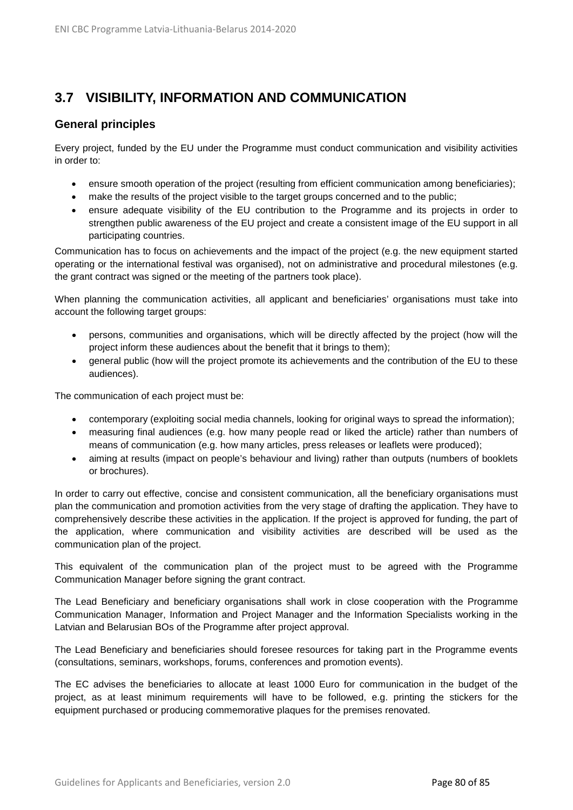# **3.7 VISIBILITY, INFORMATION AND COMMUNICATION**

### **General principles**

Every project, funded by the EU under the Programme must conduct communication and visibility activities in order to:

- ensure smooth operation of the project (resulting from efficient communication among beneficiaries);
- make the results of the project visible to the target groups concerned and to the public;
- ensure adequate visibility of the EU contribution to the Programme and its projects in order to strengthen public awareness of the EU project and create a consistent image of the EU support in all participating countries.

Communication has to focus on achievements and the impact of the project (e.g. the new equipment started operating or the international festival was organised), not on administrative and procedural milestones (e.g. the grant contract was signed or the meeting of the partners took place).

When planning the communication activities, all applicant and beneficiaries' organisations must take into account the following target groups:

- persons, communities and organisations, which will be directly affected by the project (how will the project inform these audiences about the benefit that it brings to them);
- general public (how will the project promote its achievements and the contribution of the EU to these audiences).

The communication of each project must be:

- contemporary (exploiting social media channels, looking for original ways to spread the information);
- measuring final audiences (e.g. how many people read or liked the article) rather than numbers of means of communication (e.g. how many articles, press releases or leaflets were produced);
- aiming at results (impact on people's behaviour and living) rather than outputs (numbers of booklets or brochures).

In order to carry out effective, concise and consistent communication, all the beneficiary organisations must plan the communication and promotion activities from the very stage of drafting the application. They have to comprehensively describe these activities in the application. If the project is approved for funding, the part of the application, where communication and visibility activities are described will be used as the communication plan of the project.

This equivalent of the communication plan of the project must to be agreed with the Programme Communication Manager before signing the grant contract.

The Lead Beneficiary and beneficiary organisations shall work in close cooperation with the Programme Communication Manager, Information and Project Manager and the Information Specialists working in the Latvian and Belarusian BOs of the Programme after project approval.

The Lead Beneficiary and beneficiaries should foresee resources for taking part in the Programme events (consultations, seminars, workshops, forums, conferences and promotion events).

The EC advises the beneficiaries to allocate at least 1000 Euro for communication in the budget of the project, as at least minimum requirements will have to be followed, e.g. printing the stickers for the equipment purchased or producing commemorative plaques for the premises renovated.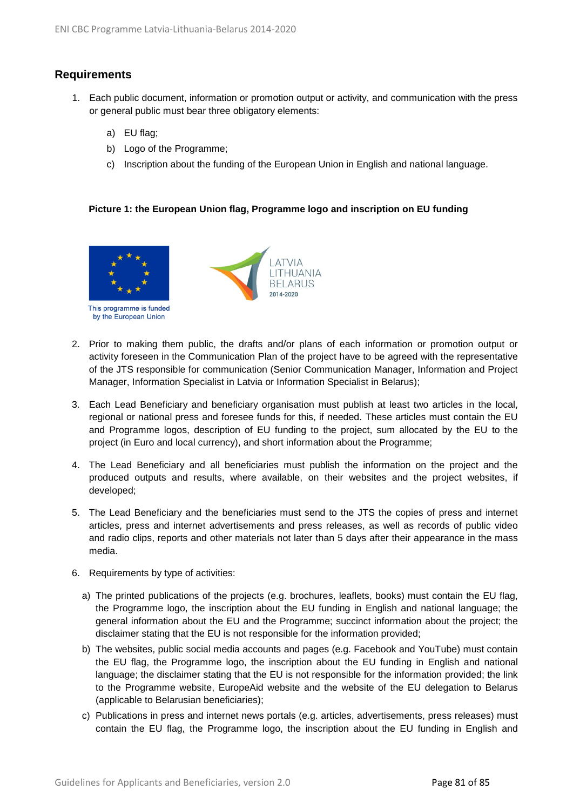## **Requirements**

- 1. Each public document, information or promotion output or activity, and communication with the press or general public must bear three obligatory elements:
	- a) EU flag;
	- b) Logo of the Programme;
	- c) Inscription about the funding of the European Union in English and national language.

#### **Picture 1: the European Union flag, Programme logo and inscription on EU funding**



- 2. Prior to making them public, the drafts and/or plans of each information or promotion output or activity foreseen in the Communication Plan of the project have to be agreed with the representative of the JTS responsible for communication (Senior Communication Manager, Information and Project Manager, Information Specialist in Latvia or Information Specialist in Belarus);
- 3. Each Lead Beneficiary and beneficiary organisation must publish at least two articles in the local, regional or national press and foresee funds for this, if needed. These articles must contain the EU and Programme logos, description of EU funding to the project, sum allocated by the EU to the project (in Euro and local currency), and short information about the Programme;
- 4. The Lead Beneficiary and all beneficiaries must publish the information on the project and the produced outputs and results, where available, on their websites and the project websites, if developed;
- 5. The Lead Beneficiary and the beneficiaries must send to the JTS the copies of press and internet articles, press and internet advertisements and press releases, as well as records of public video and radio clips, reports and other materials not later than 5 days after their appearance in the mass media.
- 6. Requirements by type of activities:
	- a) The printed publications of the projects (e.g. brochures, leaflets, books) must contain the EU flag, the Programme logo, the inscription about the EU funding in English and national language; the general information about the EU and the Programme; succinct information about the project; the disclaimer stating that the EU is not responsible for the information provided;
	- b) The websites, public social media accounts and pages (e.g. Facebook and YouTube) must contain the EU flag, the Programme logo, the inscription about the EU funding in English and national language; the disclaimer stating that the EU is not responsible for the information provided; the link to the Programme website, EuropeAid website and the website of the EU delegation to Belarus (applicable to Belarusian beneficiaries);
	- c) Publications in press and internet news portals (e.g. articles, advertisements, press releases) must contain the EU flag, the Programme logo, the inscription about the EU funding in English and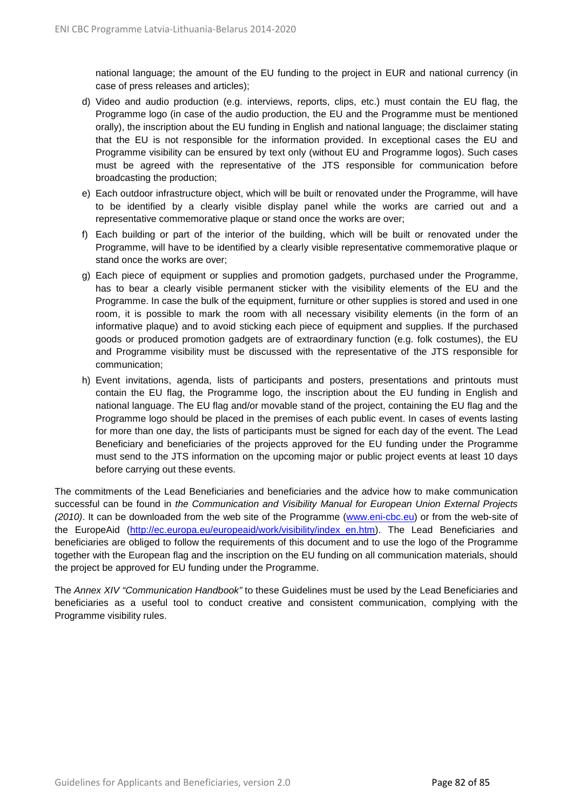national language; the amount of the EU funding to the project in EUR and national currency (in case of press releases and articles);

- d) Video and audio production (e.g. interviews, reports, clips, etc.) must contain the EU flag, the Programme logo (in case of the audio production, the EU and the Programme must be mentioned orally), the inscription about the EU funding in English and national language; the disclaimer stating that the EU is not responsible for the information provided. In exceptional cases the EU and Programme visibility can be ensured by text only (without EU and Programme logos). Such cases must be agreed with the representative of the JTS responsible for communication before broadcasting the production;
- e) Each outdoor infrastructure object, which will be built or renovated under the Programme, will have to be identified by a clearly visible display panel while the works are carried out and a representative commemorative plaque or stand once the works are over;
- f) Each building or part of the interior of the building, which will be built or renovated under the Programme, will have to be identified by a clearly visible representative commemorative plaque or stand once the works are over;
- g) Each piece of equipment or supplies and promotion gadgets, purchased under the Programme, has to bear a clearly visible permanent sticker with the visibility elements of the EU and the Programme. In case the bulk of the equipment, furniture or other supplies is stored and used in one room, it is possible to mark the room with all necessary visibility elements (in the form of an informative plaque) and to avoid sticking each piece of equipment and supplies. If the purchased goods or produced promotion gadgets are of extraordinary function (e.g. folk costumes), the EU and Programme visibility must be discussed with the representative of the JTS responsible for communication;
- h) Event invitations, agenda, lists of participants and posters, presentations and printouts must contain the EU flag, the Programme logo, the inscription about the EU funding in English and national language. The EU flag and/or movable stand of the project, containing the EU flag and the Programme logo should be placed in the premises of each public event. In cases of events lasting for more than one day, the lists of participants must be signed for each day of the event. The Lead Beneficiary and beneficiaries of the projects approved for the EU funding under the Programme must send to the JTS information on the upcoming major or public project events at least 10 days before carrying out these events.

The commitments of the Lead Beneficiaries and beneficiaries and the advice how to make communication successful can be found in *the Communication and Visibility Manual for European Union External Projects (2010)*. It can be downloaded from the web site of the Programme [\(www.eni-cbc.eu\)](http://www.eni-cbc.eu/) or from the web-site of the EuropeAid [\(http://ec.europa.eu/europeaid/work/visibility/index\\_en.htm\)](http://ec.europa.eu/europeaid/work/visibility/index_en.htm). The Lead Beneficiaries and beneficiaries are obliged to follow the requirements of this document and to use the logo of the Programme together with the European flag and the inscription on the EU funding on all communication materials, should the project be approved for EU funding under the Programme.

The *Annex XIV "Communication Handbook"* to these Guidelines must be used by the Lead Beneficiaries and beneficiaries as a useful tool to conduct creative and consistent communication, complying with the Programme visibility rules.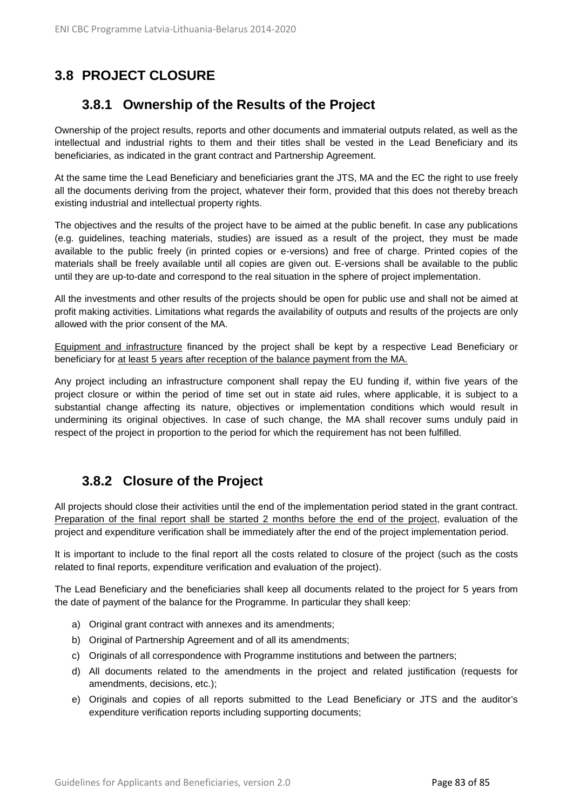# **3.8 PROJECT CLOSURE**

## **3.8.1 Ownership of the Results of the Project**

Ownership of the project results, reports and other documents and immaterial outputs related, as well as the intellectual and industrial rights to them and their titles shall be vested in the Lead Beneficiary and its beneficiaries, as indicated in the grant contract and Partnership Agreement.

At the same time the Lead Beneficiary and beneficiaries grant the JTS, MA and the EC the right to use freely all the documents deriving from the project, whatever their form, provided that this does not thereby breach existing industrial and intellectual property rights.

The objectives and the results of the project have to be aimed at the public benefit. In case any publications (e.g. guidelines, teaching materials, studies) are issued as a result of the project, they must be made available to the public freely (in printed copies or e-versions) and free of charge. Printed copies of the materials shall be freely available until all copies are given out. E-versions shall be available to the public until they are up-to-date and correspond to the real situation in the sphere of project implementation.

All the investments and other results of the projects should be open for public use and shall not be aimed at profit making activities. Limitations what regards the availability of outputs and results of the projects are only allowed with the prior consent of the MA.

Equipment and infrastructure financed by the project shall be kept by a respective Lead Beneficiary or beneficiary for at least 5 years after reception of the balance payment from the MA.

Any project including an infrastructure component shall repay the EU funding if, within five years of the project closure or within the period of time set out in state aid rules, where applicable, it is subject to a substantial change affecting its nature, objectives or implementation conditions which would result in undermining its original objectives. In case of such change, the MA shall recover sums unduly paid in respect of the project in proportion to the period for which the requirement has not been fulfilled.

# **3.8.2 Closure of the Project**

All projects should close their activities until the end of the implementation period stated in the grant contract. Preparation of the final report shall be started 2 months before the end of the project, evaluation of the project and expenditure verification shall be immediately after the end of the project implementation period.

It is important to include to the final report all the costs related to closure of the project (such as the costs related to final reports, expenditure verification and evaluation of the project).

The Lead Beneficiary and the beneficiaries shall keep all documents related to the project for 5 years from the date of payment of the balance for the Programme. In particular they shall keep:

- a) Original grant contract with annexes and its amendments;
- b) Original of Partnership Agreement and of all its amendments;
- c) Originals of all correspondence with Programme institutions and between the partners;
- d) All documents related to the amendments in the project and related justification (requests for amendments, decisions, etc.);
- e) Originals and copies of all reports submitted to the Lead Beneficiary or JTS and the auditor's expenditure verification reports including supporting documents;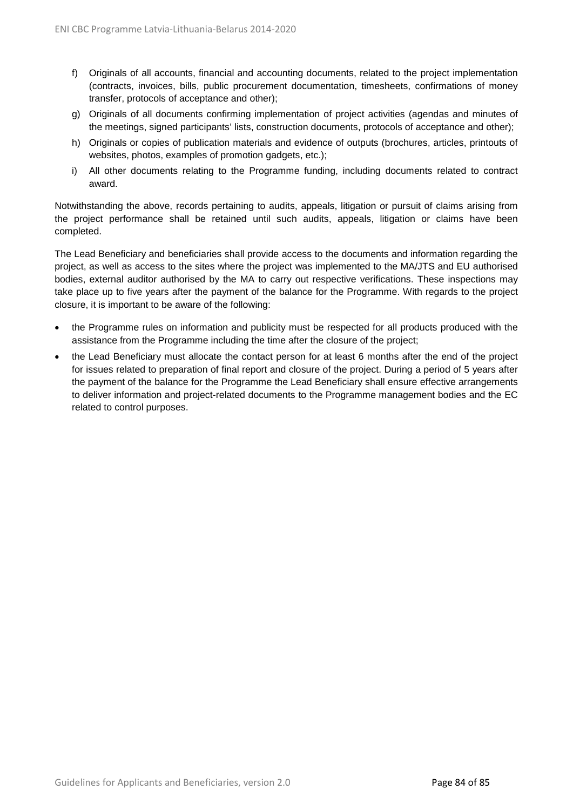- f) Originals of all accounts, financial and accounting documents, related to the project implementation (contracts, invoices, bills, public procurement documentation, timesheets, confirmations of money transfer, protocols of acceptance and other);
- g) Originals of all documents confirming implementation of project activities (agendas and minutes of the meetings, signed participants' lists, construction documents, protocols of acceptance and other);
- h) Originals or copies of publication materials and evidence of outputs (brochures, articles, printouts of websites, photos, examples of promotion gadgets, etc.);
- i) All other documents relating to the Programme funding, including documents related to contract award.

Notwithstanding the above, records pertaining to audits, appeals, litigation or pursuit of claims arising from the project performance shall be retained until such audits, appeals, litigation or claims have been completed.

The Lead Beneficiary and beneficiaries shall provide access to the documents and information regarding the project, as well as access to the sites where the project was implemented to the MA/JTS and EU authorised bodies, external auditor authorised by the MA to carry out respective verifications. These inspections may take place up to five years after the payment of the balance for the Programme. With regards to the project closure, it is important to be aware of the following:

- the Programme rules on information and publicity must be respected for all products produced with the assistance from the Programme including the time after the closure of the project;
- the Lead Beneficiary must allocate the contact person for at least 6 months after the end of the project for issues related to preparation of final report and closure of the project. During a period of 5 years after the payment of the balance for the Programme the Lead Beneficiary shall ensure effective arrangements to deliver information and project-related documents to the Programme management bodies and the EC related to control purposes.